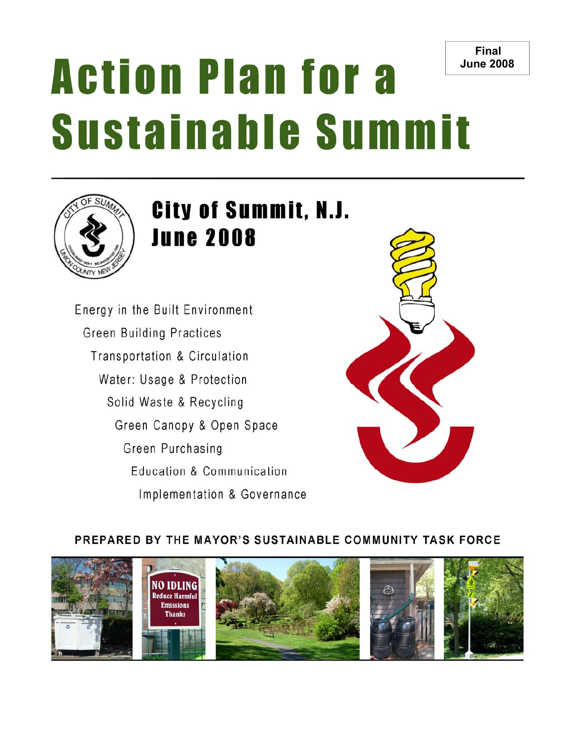#### **Final June 2008**

# **Action Plan for a** Sustainable Summit



# **City of Summit, N.J. June 2008**

Energy in the Built Environment **Green Building Practices** Transportation & Circulation Water: Usage & Protection Solid Waste & Recycling Green Canopy & Open Space Green Purchasing Education & Communication Implementation & Governance



### PREPARED BY THE MAYOR'S SUSTAINABLE COMMUNITY TASK FORCE

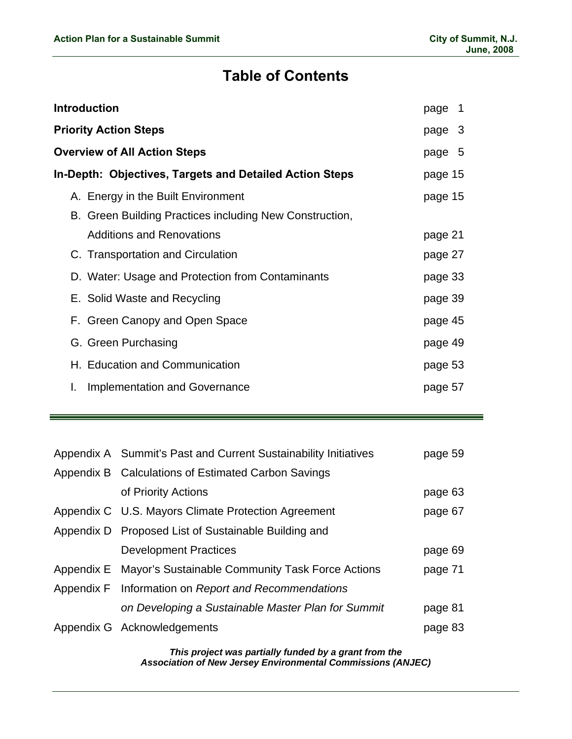<u> 1989 - Johann Barnett, fransk politiker (d. 1989)</u>

# **Table of Contents**

| Introduction                                            | page 1  |  |
|---------------------------------------------------------|---------|--|
| <b>Priority Action Steps</b>                            | page 3  |  |
| Overview of All Action Steps                            | page 5  |  |
| In-Depth: Objectives, Targets and Detailed Action Steps | page 15 |  |
| A. Energy in the Built Environment                      | page 15 |  |
| B. Green Building Practices including New Construction, |         |  |
| <b>Additions and Renovations</b>                        | page 21 |  |
| C. Transportation and Circulation                       | page 27 |  |
| D. Water: Usage and Protection from Contaminants        | page 33 |  |
| E. Solid Waste and Recycling                            | page 39 |  |
| F. Green Canopy and Open Space                          | page 45 |  |
| G. Green Purchasing                                     | page 49 |  |
| H. Education and Communication                          | page 53 |  |
| Implementation and Governance<br>I.                     | page 57 |  |

| Appendix A Summit's Past and Current Sustainability Initiatives | page 59 |
|-----------------------------------------------------------------|---------|
| Appendix B Calculations of Estimated Carbon Savings             |         |
| of Priority Actions                                             | page 63 |
| Appendix C U.S. Mayors Climate Protection Agreement             | page 67 |
| Appendix D Proposed List of Sustainable Building and            |         |
| <b>Development Practices</b>                                    | page 69 |
| Appendix E Mayor's Sustainable Community Task Force Actions     | page 71 |
| Appendix F Information on Report and Recommendations            |         |
| on Developing a Sustainable Master Plan for Summit              | page 81 |
| Appendix G Acknowledgements                                     | page 83 |
|                                                                 |         |

*This project was partially funded by a grant from the Association of New Jersey Environmental Commissions (ANJEC)*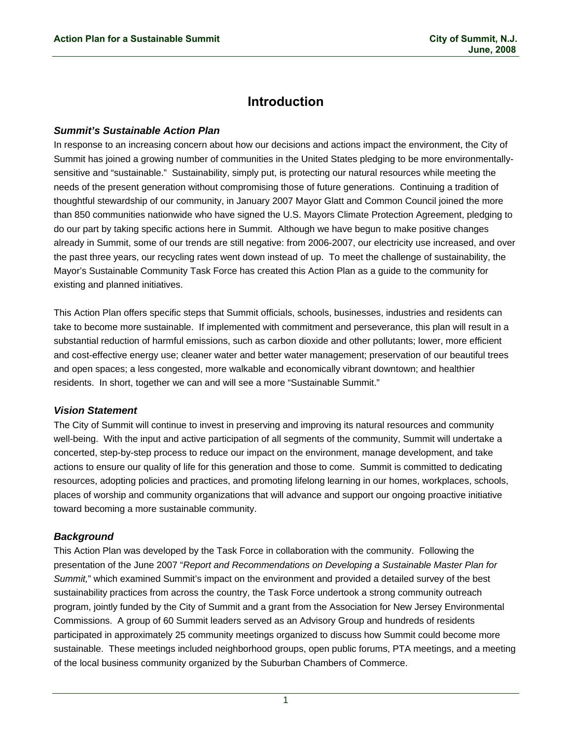### **Introduction**

#### *Summit's Sustainable Action Plan*

In response to an increasing concern about how our decisions and actions impact the environment, the City of Summit has joined a growing number of communities in the United States pledging to be more environmentallysensitive and "sustainable." Sustainability, simply put, is protecting our natural resources while meeting the needs of the present generation without compromising those of future generations. Continuing a tradition of thoughtful stewardship of our community, in January 2007 Mayor Glatt and Common Council joined the more than 850 communities nationwide who have signed the U.S. Mayors Climate Protection Agreement, pledging to do our part by taking specific actions here in Summit. Although we have begun to make positive changes already in Summit, some of our trends are still negative: from 2006-2007, our electricity use increased, and over the past three years, our recycling rates went down instead of up. To meet the challenge of sustainability, the Mayor's Sustainable Community Task Force has created this Action Plan as a guide to the community for existing and planned initiatives.

This Action Plan offers specific steps that Summit officials, schools, businesses, industries and residents can take to become more sustainable. If implemented with commitment and perseverance, this plan will result in a substantial reduction of harmful emissions, such as carbon dioxide and other pollutants; lower, more efficient and cost-effective energy use; cleaner water and better water management; preservation of our beautiful trees and open spaces; a less congested, more walkable and economically vibrant downtown; and healthier residents. In short, together we can and will see a more "Sustainable Summit."

#### *Vision Statement*

The City of Summit will continue to invest in preserving and improving its natural resources and community well-being. With the input and active participation of all segments of the community, Summit will undertake a concerted, step-by-step process to reduce our impact on the environment, manage development, and take actions to ensure our quality of life for this generation and those to come. Summit is committed to dedicating resources, adopting policies and practices, and promoting lifelong learning in our homes, workplaces, schools, places of worship and community organizations that will advance and support our ongoing proactive initiative toward becoming a more sustainable community.

#### *Background*

This Action Plan was developed by the Task Force in collaboration with the community. Following the presentation of the June 2007 "*Report and Recommendations on Developing a Sustainable Master Plan for Summit,*" which examined Summit's impact on the environment and provided a detailed survey of the best sustainability practices from across the country, the Task Force undertook a strong community outreach program, jointly funded by the City of Summit and a grant from the Association for New Jersey Environmental Commissions. A group of 60 Summit leaders served as an Advisory Group and hundreds of residents participated in approximately 25 community meetings organized to discuss how Summit could become more sustainable. These meetings included neighborhood groups, open public forums, PTA meetings, and a meeting of the local business community organized by the Suburban Chambers of Commerce.

1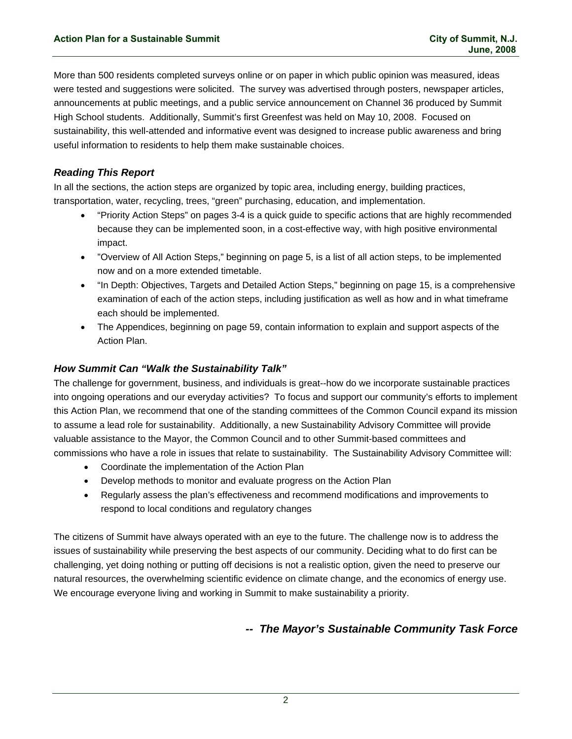More than 500 residents completed surveys online or on paper in which public opinion was measured, ideas were tested and suggestions were solicited. The survey was advertised through posters, newspaper articles, announcements at public meetings, and a public service announcement on Channel 36 produced by Summit High School students. Additionally, Summit's first Greenfest was held on May 10, 2008. Focused on sustainability, this well-attended and informative event was designed to increase public awareness and bring useful information to residents to help them make sustainable choices.

#### *Reading This Report*

In all the sections, the action steps are organized by topic area, including energy, building practices, transportation, water, recycling, trees, "green" purchasing, education, and implementation.

- "Priority Action Steps" on pages 3-4 is a quick guide to specific actions that are highly recommended because they can be implemented soon, in a cost-effective way, with high positive environmental impact.
- "Overview of All Action Steps," beginning on page 5, is a list of all action steps, to be implemented now and on a more extended timetable.
- "In Depth: Objectives, Targets and Detailed Action Steps," beginning on page 15, is a comprehensive examination of each of the action steps, including justification as well as how and in what timeframe each should be implemented.
- The Appendices, beginning on page 59, contain information to explain and support aspects of the Action Plan.

#### *How Summit Can "Walk the Sustainability Talk"*

The challenge for government, business, and individuals is great--how do we incorporate sustainable practices into ongoing operations and our everyday activities? To focus and support our community's efforts to implement this Action Plan, we recommend that one of the standing committees of the Common Council expand its mission to assume a lead role for sustainability. Additionally, a new Sustainability Advisory Committee will provide valuable assistance to the Mayor, the Common Council and to other Summit-based committees and commissions who have a role in issues that relate to sustainability. The Sustainability Advisory Committee will:

- Coordinate the implementation of the Action Plan
- Develop methods to monitor and evaluate progress on the Action Plan
- Regularly assess the plan's effectiveness and recommend modifications and improvements to respond to local conditions and regulatory changes

The citizens of Summit have always operated with an eye to the future. The challenge now is to address the issues of sustainability while preserving the best aspects of our community. Deciding what to do first can be challenging, yet doing nothing or putting off decisions is not a realistic option, given the need to preserve our natural resources, the overwhelming scientific evidence on climate change, and the economics of energy use. We encourage everyone living and working in Summit to make sustainability a priority.

#### *-- The Mayor's Sustainable Community Task Force*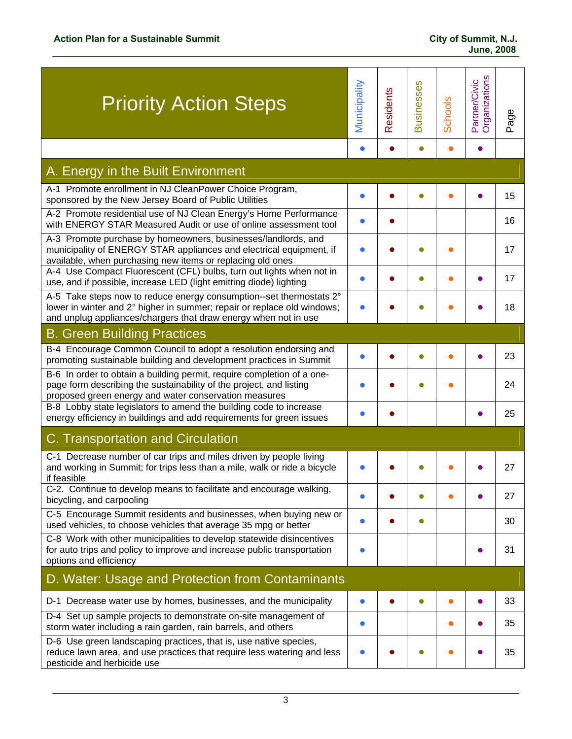| <b>Priority Action Steps</b>                                                                                                                                                                                      | Municipality | Residents | <b>Businesses</b> | <b>Schools</b> | Partner/Civic<br>Organizations | Page |
|-------------------------------------------------------------------------------------------------------------------------------------------------------------------------------------------------------------------|--------------|-----------|-------------------|----------------|--------------------------------|------|
|                                                                                                                                                                                                                   |              |           |                   |                |                                |      |
| A. Energy in the Built Environment                                                                                                                                                                                |              |           |                   |                |                                |      |
| A-1 Promote enrollment in NJ CleanPower Choice Program,<br>sponsored by the New Jersey Board of Public Utilities                                                                                                  |              |           |                   |                |                                | 15   |
| A-2 Promote residential use of NJ Clean Energy's Home Performance<br>with ENERGY STAR Measured Audit or use of online assessment tool                                                                             |              |           |                   |                |                                | 16   |
| A-3 Promote purchase by homeowners, businesses/landlords, and<br>municipality of ENERGY STAR appliances and electrical equipment, if<br>available, when purchasing new items or replacing old ones                |              |           |                   |                |                                | 17   |
| A-4 Use Compact Fluorescent (CFL) bulbs, turn out lights when not in<br>use, and if possible, increase LED (light emitting diode) lighting                                                                        |              |           |                   |                |                                | 17   |
| A-5 Take steps now to reduce energy consumption--set thermostats 2°<br>lower in winter and 2° higher in summer; repair or replace old windows;<br>and unplug appliances/chargers that draw energy when not in use |              |           |                   |                |                                | 18   |
| <b>B. Green Building Practices</b>                                                                                                                                                                                |              |           |                   |                |                                |      |
| B-4 Encourage Common Council to adopt a resolution endorsing and<br>promoting sustainable building and development practices in Summit                                                                            |              |           |                   |                |                                | 23   |
| B-6 In order to obtain a building permit, require completion of a one-<br>page form describing the sustainability of the project, and listing<br>proposed green energy and water conservation measures            |              |           |                   |                |                                | 24   |
| B-8 Lobby state legislators to amend the building code to increase<br>energy efficiency in buildings and add requirements for green issues                                                                        |              |           |                   |                |                                | 25   |
| C. Transportation and Circulation                                                                                                                                                                                 |              |           |                   |                |                                |      |
| C-1 Decrease number of car trips and miles driven by people living<br>and working in Summit; for trips less than a mile, walk or ride a bicycle<br>if feasible                                                    |              |           |                   |                |                                | 27   |
| C-2. Continue to develop means to facilitate and encourage walking,<br>bicycling, and carpooling                                                                                                                  |              |           |                   |                |                                | 27   |
| C-5 Encourage Summit residents and businesses, when buying new or<br>used vehicles, to choose vehicles that average 35 mpg or better                                                                              |              |           |                   |                |                                | 30   |
| C-8 Work with other municipalities to develop statewide disincentives<br>for auto trips and policy to improve and increase public transportation<br>options and efficiency                                        |              |           |                   |                |                                | 31   |
| D. Water: Usage and Protection from Contaminants                                                                                                                                                                  |              |           |                   |                |                                |      |
| D-1 Decrease water use by homes, businesses, and the municipality                                                                                                                                                 | $\bullet$    |           |                   |                | ●                              | 33   |
| D-4 Set up sample projects to demonstrate on-site management of<br>storm water including a rain garden, rain barrels, and others                                                                                  |              |           |                   |                |                                | 35   |
| D-6 Use green landscaping practices, that is, use native species,<br>reduce lawn area, and use practices that require less watering and less<br>pesticide and herbicide use                                       |              |           |                   |                |                                | 35   |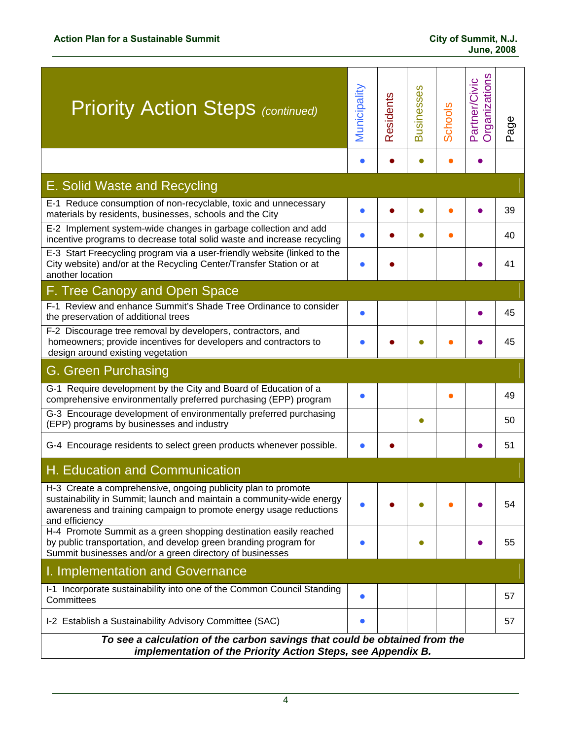| <b>Priority Action Steps (continued)</b>                                                                                                                                                                                       | Municipality | Residents | Businesses | Schools | ഗ<br>Partner/Civic<br>Organization | Page |
|--------------------------------------------------------------------------------------------------------------------------------------------------------------------------------------------------------------------------------|--------------|-----------|------------|---------|------------------------------------|------|
|                                                                                                                                                                                                                                |              |           |            |         |                                    |      |
| E. Solid Waste and Recycling                                                                                                                                                                                                   |              |           |            |         |                                    |      |
| E-1 Reduce consumption of non-recyclable, toxic and unnecessary<br>materials by residents, businesses, schools and the City                                                                                                    |              |           |            |         |                                    | 39   |
| E-2 Implement system-wide changes in garbage collection and add<br>incentive programs to decrease total solid waste and increase recycling                                                                                     |              |           |            |         |                                    | 40   |
| E-3 Start Freecycling program via a user-friendly website (linked to the<br>City website) and/or at the Recycling Center/Transfer Station or at<br>another location                                                            |              |           |            |         |                                    | 41   |
| F. Tree Canopy and Open Space                                                                                                                                                                                                  |              |           |            |         |                                    |      |
| F-1 Review and enhance Summit's Shade Tree Ordinance to consider<br>the preservation of additional trees                                                                                                                       |              |           |            |         |                                    | 45   |
| F-2 Discourage tree removal by developers, contractors, and<br>homeowners; provide incentives for developers and contractors to<br>design around existing vegetation                                                           |              |           |            |         |                                    | 45   |
| G. Green Purchasing                                                                                                                                                                                                            |              |           |            |         |                                    |      |
| G-1 Require development by the City and Board of Education of a<br>comprehensive environmentally preferred purchasing (EPP) program                                                                                            |              |           |            |         |                                    | 49   |
| G-3 Encourage development of environmentally preferred purchasing<br>(EPP) programs by businesses and industry                                                                                                                 |              |           |            |         |                                    | 50   |
| G-4 Encourage residents to select green products whenever possible.                                                                                                                                                            |              |           |            |         |                                    | 51   |
| H. Education and Communication                                                                                                                                                                                                 |              |           |            |         |                                    |      |
| H-3 Create a comprehensive, ongoing publicity plan to promote<br>sustainability in Summit; launch and maintain a community-wide energy<br>awareness and training campaign to promote energy usage reductions<br>and efficiency |              |           |            |         |                                    | 54   |
| H-4 Promote Summit as a green shopping destination easily reached<br>by public transportation, and develop green branding program for<br>Summit businesses and/or a green directory of businesses                              |              |           |            |         |                                    | 55   |
| I. Implementation and Governance                                                                                                                                                                                               |              |           |            |         |                                    |      |
| I-1 Incorporate sustainability into one of the Common Council Standing<br>Committees                                                                                                                                           |              |           |            |         |                                    | 57   |
| I-2 Establish a Sustainability Advisory Committee (SAC)                                                                                                                                                                        |              |           |            |         |                                    | 57   |
| To see a calculation of the carbon savings that could be obtained from the<br>implementation of the Priority Action Steps, see Appendix B.                                                                                     |              |           |            |         |                                    |      |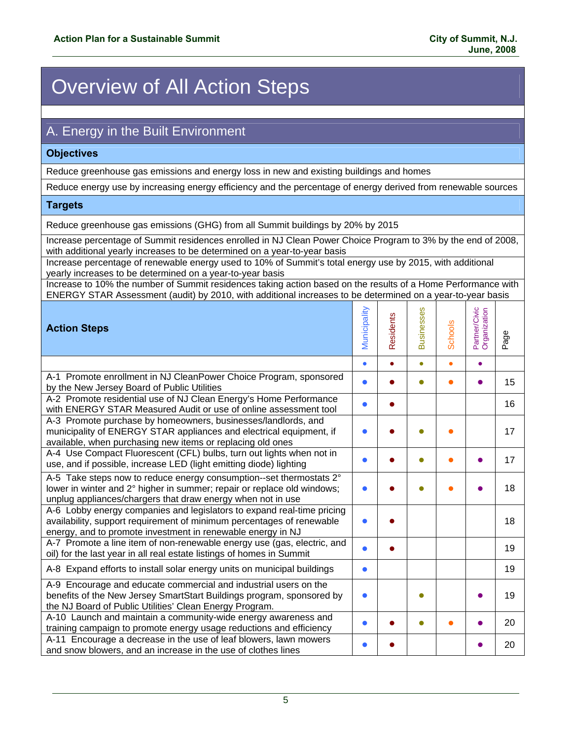# Overview of All Action Steps

# A. Energy in the Built Environment

#### **Objectives**

Reduce greenhouse gas emissions and energy loss in new and existing buildings and homes

Reduce energy use by increasing energy efficiency and the percentage of energy derived from renewable sources

#### **Targets**

Reduce greenhouse gas emissions (GHG) from all Summit buildings by 20% by 2015

Increase percentage of Summit residences enrolled in NJ Clean Power Choice Program to 3% by the end of 2008, with additional yearly increases to be determined on a year-to-year basis

Increase percentage of renewable energy used to 10% of Summit's total energy use by 2015, with additional yearly increases to be determined on a year-to-year basis

Increase to 10% the number of Summit residences taking action based on the results of a Home Performance with ENERGY STAR Assessment (audit) by 2010, with additional increases to be determined on a year-to-year basis

| <b>Action Steps</b>                                                                                                                                                                                            | Municipality | Residents | <b>Businesses</b> | <b>Schools</b> | Partner/Civic<br>Organization | Page |
|----------------------------------------------------------------------------------------------------------------------------------------------------------------------------------------------------------------|--------------|-----------|-------------------|----------------|-------------------------------|------|
|                                                                                                                                                                                                                | $\bullet$    | $\bullet$ | $\bullet$         | $\bullet$      | $\bullet$                     |      |
| A-1 Promote enrollment in NJ CleanPower Choice Program, sponsored<br>by the New Jersey Board of Public Utilities                                                                                               |              |           |                   |                |                               | 15   |
| A-2 Promote residential use of NJ Clean Energy's Home Performance<br>with ENERGY STAR Measured Audit or use of online assessment tool                                                                          |              |           |                   |                |                               | 16   |
| A-3 Promote purchase by homeowners, businesses/landlords, and<br>municipality of ENERGY STAR appliances and electrical equipment, if<br>available, when purchasing new items or replacing old ones             |              |           |                   |                |                               | 17   |
| A-4 Use Compact Fluorescent (CFL) bulbs, turn out lights when not in<br>use, and if possible, increase LED (light emitting diode) lighting                                                                     |              |           |                   |                |                               | 17   |
| A-5 Take steps now to reduce energy consumption--set thermostats 2°<br>lower in winter and 2° higher in summer; repair or replace old windows;<br>unplug appliances/chargers that draw energy when not in use  |              |           |                   |                |                               | 18   |
| A-6 Lobby energy companies and legislators to expand real-time pricing<br>availability, support requirement of minimum percentages of renewable<br>energy, and to promote investment in renewable energy in NJ |              |           |                   |                |                               | 18   |
| A-7 Promote a line item of non-renewable energy use (gas, electric, and<br>oil) for the last year in all real estate listings of homes in Summit                                                               |              |           |                   |                |                               | 19   |
| A-8 Expand efforts to install solar energy units on municipal buildings                                                                                                                                        |              |           |                   |                |                               | 19   |
| A-9 Encourage and educate commercial and industrial users on the<br>benefits of the New Jersey SmartStart Buildings program, sponsored by<br>the NJ Board of Public Utilities' Clean Energy Program.           |              |           |                   |                |                               | 19   |
| A-10 Launch and maintain a community-wide energy awareness and<br>training campaign to promote energy usage reductions and efficiency                                                                          |              |           |                   |                |                               | 20   |
| A-11 Encourage a decrease in the use of leaf blowers, lawn mowers<br>and snow blowers, and an increase in the use of clothes lines                                                                             |              |           |                   |                |                               | 20   |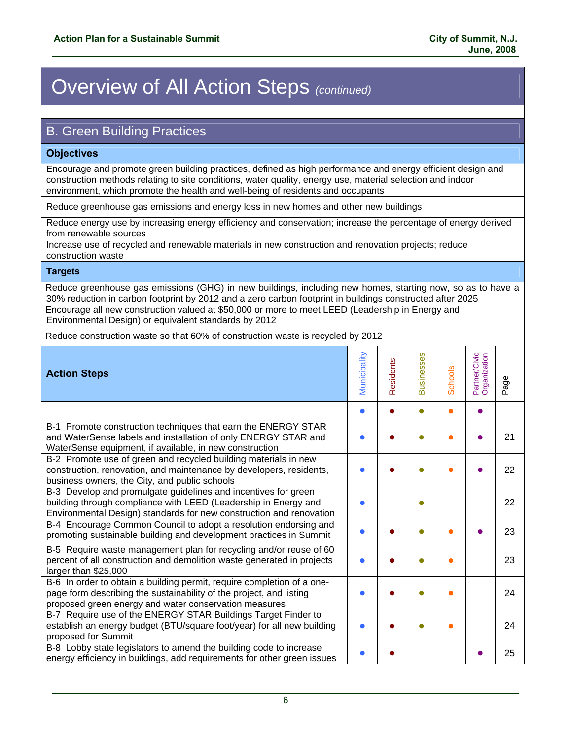## B. Green Building Practices

#### **Objectives**

Encourage and promote green building practices, defined as high performance and energy efficient design and construction methods relating to site conditions, water quality, energy use, material selection and indoor environment, which promote the health and well-being of residents and occupants

Reduce greenhouse gas emissions and energy loss in new homes and other new buildings

Reduce energy use by increasing energy efficiency and conservation; increase the percentage of energy derived from renewable sources

Increase use of recycled and renewable materials in new construction and renovation projects; reduce construction waste

#### **Targets**

Reduce greenhouse gas emissions (GHG) in new buildings, including new homes, starting now, so as to have a 30% reduction in carbon footprint by 2012 and a zero carbon footprint in buildings constructed after 2025 Encourage all new construction valued at \$50,000 or more to meet LEED (Leadership in Energy and Environmental Design) or equivalent standards by 2012

Reduce construction waste so that 60% of construction waste is recycled by 2012

| <b>Action Steps</b>                                                                                                                                                                                      | Municipality | Residents | <b>Businesses</b> | Schools | Partner/Civic<br>Organization | Page |
|----------------------------------------------------------------------------------------------------------------------------------------------------------------------------------------------------------|--------------|-----------|-------------------|---------|-------------------------------|------|
|                                                                                                                                                                                                          |              |           |                   |         |                               |      |
| B-1 Promote construction techniques that earn the ENERGY STAR<br>and WaterSense labels and installation of only ENERGY STAR and<br>WaterSense equipment, if available, in new construction               |              |           |                   |         |                               | 21   |
| B-2 Promote use of green and recycled building materials in new<br>construction, renovation, and maintenance by developers, residents,<br>business owners, the City, and public schools                  |              |           |                   |         |                               | 22   |
| B-3 Develop and promulgate guidelines and incentives for green<br>building through compliance with LEED (Leadership in Energy and<br>Environmental Design) standards for new construction and renovation |              |           |                   |         |                               | 22   |
| B-4 Encourage Common Council to adopt a resolution endorsing and<br>promoting sustainable building and development practices in Summit                                                                   |              |           |                   |         |                               | 23   |
| B-5 Require waste management plan for recycling and/or reuse of 60<br>percent of all construction and demolition waste generated in projects<br>larger than \$25,000                                     |              |           |                   |         |                               | 23   |
| B-6 In order to obtain a building permit, require completion of a one-<br>page form describing the sustainability of the project, and listing<br>proposed green energy and water conservation measures   |              |           |                   |         |                               | 24   |
| B-7 Require use of the ENERGY STAR Buildings Target Finder to<br>establish an energy budget (BTU/square foot/year) for all new building<br>proposed for Summit                                           |              |           |                   |         |                               | 24   |
| B-8 Lobby state legislators to amend the building code to increase<br>energy efficiency in buildings, add requirements for other green issues                                                            |              |           |                   |         |                               | 25   |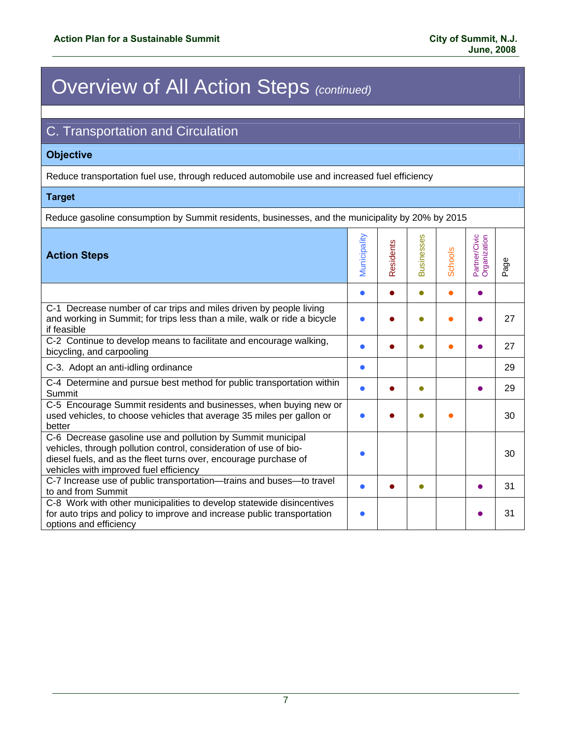# C. Transportation and Circulation

#### **Objective**

Reduce transportation fuel use, through reduced automobile use and increased fuel efficiency

#### **Target**

Reduce gasoline consumption by Summit residents, businesses, and the municipality by 20% by 2015

| <b>Action Steps</b>                                                                                                                                                                                                                            | Municipality | Residents | <b>Businesses</b> | Schools | Partner/Civic<br>Organization | Page |
|------------------------------------------------------------------------------------------------------------------------------------------------------------------------------------------------------------------------------------------------|--------------|-----------|-------------------|---------|-------------------------------|------|
|                                                                                                                                                                                                                                                |              |           |                   |         |                               |      |
| C-1 Decrease number of car trips and miles driven by people living<br>and working in Summit; for trips less than a mile, walk or ride a bicycle<br>if feasible                                                                                 |              |           |                   |         |                               | 27   |
| C-2 Continue to develop means to facilitate and encourage walking,<br>bicycling, and carpooling                                                                                                                                                |              |           |                   |         |                               | 27   |
| C-3. Adopt an anti-idling ordinance                                                                                                                                                                                                            |              |           |                   |         |                               | 29   |
| C-4 Determine and pursue best method for public transportation within<br>Summit                                                                                                                                                                |              |           |                   |         |                               | 29   |
| C-5 Encourage Summit residents and businesses, when buying new or<br>used vehicles, to choose vehicles that average 35 miles per gallon or<br>better                                                                                           |              |           |                   |         |                               | 30   |
| C-6 Decrease gasoline use and pollution by Summit municipal<br>vehicles, through pollution control, consideration of use of bio-<br>diesel fuels, and as the fleet turns over, encourage purchase of<br>vehicles with improved fuel efficiency |              |           |                   |         |                               | 30   |
| C-7 Increase use of public transportation-trains and buses-to travel<br>to and from Summit                                                                                                                                                     |              |           |                   |         |                               | 31   |
| C-8 Work with other municipalities to develop statewide disincentives<br>for auto trips and policy to improve and increase public transportation<br>options and efficiency                                                                     |              |           |                   |         |                               | 31   |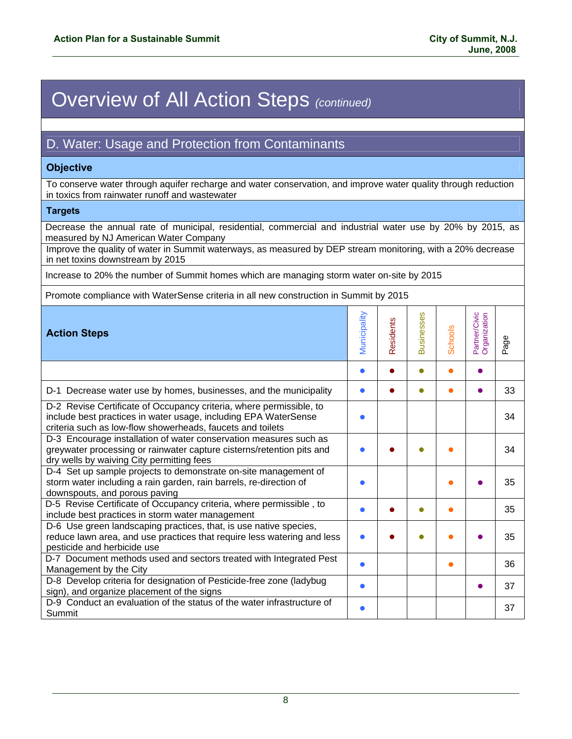### D. Water: Usage and Protection from Contaminants

#### **Objective**

To conserve water through aquifer recharge and water conservation, and improve water quality through reduction in toxics from rainwater runoff and wastewater

#### **Targets**

Decrease the annual rate of municipal, residential, commercial and industrial water use by 20% by 2015, as measured by NJ American Water Company

Improve the quality of water in Summit waterways, as measured by DEP stream monitoring, with a 20% decrease in net toxins downstream by 2015

Increase to 20% the number of Summit homes which are managing storm water on-site by 2015

Promote compliance with WaterSense criteria in all new construction in Summit by 2015

| <b>Action Steps</b>                                                                                                                                                                                  | Municipality | Residents | <b>Businesses</b> | Schools | Partner/Civic<br>Organization | Page |
|------------------------------------------------------------------------------------------------------------------------------------------------------------------------------------------------------|--------------|-----------|-------------------|---------|-------------------------------|------|
|                                                                                                                                                                                                      |              |           |                   |         |                               |      |
| D-1 Decrease water use by homes, businesses, and the municipality                                                                                                                                    |              |           |                   |         |                               | 33   |
| D-2 Revise Certificate of Occupancy criteria, where permissible, to<br>include best practices in water usage, including EPA WaterSense<br>criteria such as low-flow showerheads, faucets and toilets |              |           |                   |         |                               | 34   |
| D-3 Encourage installation of water conservation measures such as<br>greywater processing or rainwater capture cisterns/retention pits and<br>dry wells by waiving City permitting fees              |              |           |                   |         |                               | 34   |
| D-4 Set up sample projects to demonstrate on-site management of<br>storm water including a rain garden, rain barrels, re-direction of<br>downspouts, and porous paving                               |              |           |                   |         |                               | 35   |
| D-5 Revise Certificate of Occupancy criteria, where permissible, to<br>include best practices in storm water management                                                                              |              |           |                   |         |                               | 35   |
| D-6 Use green landscaping practices, that, is use native species,<br>reduce lawn area, and use practices that require less watering and less<br>pesticide and herbicide use                          |              |           |                   |         |                               | 35   |
| D-7 Document methods used and sectors treated with Integrated Pest<br>Management by the City                                                                                                         |              |           |                   |         |                               | 36   |
| D-8 Develop criteria for designation of Pesticide-free zone (ladybug<br>sign), and organize placement of the signs                                                                                   |              |           |                   |         |                               | 37   |
| D-9 Conduct an evaluation of the status of the water infrastructure of<br>Summit                                                                                                                     |              |           |                   |         |                               | 37   |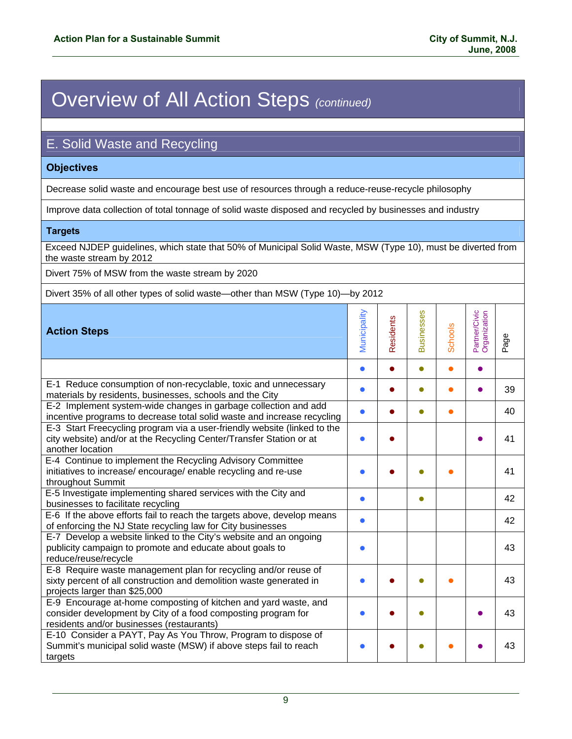### E. Solid Waste and Recycling

#### **Objectives**

Decrease solid waste and encourage best use of resources through a reduce-reuse-recycle philosophy

Improve data collection of total tonnage of solid waste disposed and recycled by businesses and industry

#### **Targets**

Exceed NJDEP guidelines, which state that 50% of Municipal Solid Waste, MSW (Type 10), must be diverted from the waste stream by 2012

Divert 75% of MSW from the waste stream by 2020

Divert 35% of all other types of solid waste—other than MSW (Type 10)—by 2012

| <b>Action Steps</b>                                                                                                                                                           | Municipality | Residents | <b>Businesses</b> | Schools | Partner/Civic<br>Organization | Page |
|-------------------------------------------------------------------------------------------------------------------------------------------------------------------------------|--------------|-----------|-------------------|---------|-------------------------------|------|
|                                                                                                                                                                               |              |           |                   |         |                               |      |
| E-1 Reduce consumption of non-recyclable, toxic and unnecessary<br>materials by residents, businesses, schools and the City                                                   |              |           |                   |         |                               | 39   |
| E-2 Implement system-wide changes in garbage collection and add<br>incentive programs to decrease total solid waste and increase recycling                                    |              |           |                   |         |                               | 40   |
| E-3 Start Freecycling program via a user-friendly website (linked to the<br>city website) and/or at the Recycling Center/Transfer Station or at<br>another location           |              |           |                   |         |                               | 41   |
| E-4 Continue to implement the Recycling Advisory Committee<br>initiatives to increase/ encourage/ enable recycling and re-use<br>throughout Summit                            |              |           |                   |         |                               | 41   |
| E-5 Investigate implementing shared services with the City and<br>businesses to facilitate recycling                                                                          |              |           | Ο                 |         |                               | 42   |
| E-6 If the above efforts fail to reach the targets above, develop means<br>of enforcing the NJ State recycling law for City businesses                                        |              |           |                   |         |                               | 42   |
| E-7 Develop a website linked to the City's website and an ongoing<br>publicity campaign to promote and educate about goals to<br>reduce/reuse/recycle                         |              |           |                   |         |                               | 43   |
| E-8 Require waste management plan for recycling and/or reuse of<br>sixty percent of all construction and demolition waste generated in<br>projects larger than \$25,000       |              |           |                   |         |                               | 43   |
| E-9 Encourage at-home composting of kitchen and yard waste, and<br>consider development by City of a food composting program for<br>residents and/or businesses (restaurants) |              |           |                   |         |                               | 43   |
| E-10 Consider a PAYT, Pay As You Throw, Program to dispose of<br>Summit's municipal solid waste (MSW) if above steps fail to reach<br>targets                                 |              |           |                   |         |                               | 43   |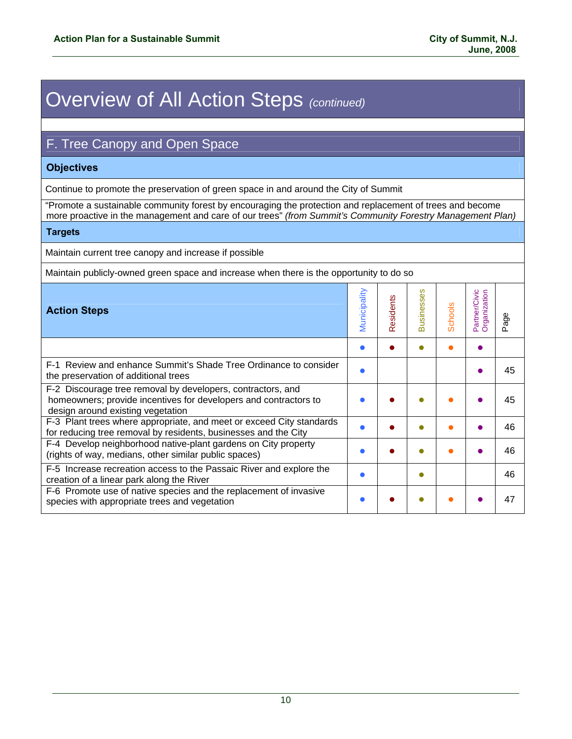### F. Tree Canopy and Open Space

#### **Objectives**

Continue to promote the preservation of green space in and around the City of Summit

"Promote a sustainable community forest by encouraging the protection and replacement of trees and become more proactive in the management and care of our trees" *(from Summit's Community Forestry Management Plan)*

#### **Targets**

Maintain current tree canopy and increase if possible

Maintain publicly-owned green space and increase when there is the opportunity to do so

| <b>Action Steps</b>                                                                                                                                                  | Municipality | esidents<br>Y | 89<br>ō<br>usiness<br>⋒ | Schools | Partner/Civic<br>Organization | Page |
|----------------------------------------------------------------------------------------------------------------------------------------------------------------------|--------------|---------------|-------------------------|---------|-------------------------------|------|
|                                                                                                                                                                      |              |               |                         |         |                               |      |
| F-1 Review and enhance Summit's Shade Tree Ordinance to consider<br>the preservation of additional trees                                                             |              |               |                         |         |                               | 45   |
| F-2 Discourage tree removal by developers, contractors, and<br>homeowners; provide incentives for developers and contractors to<br>design around existing vegetation |              |               |                         |         |                               | 45   |
| F-3 Plant trees where appropriate, and meet or exceed City standards<br>for reducing tree removal by residents, businesses and the City                              |              |               |                         |         |                               | 46   |
| F-4 Develop neighborhood native-plant gardens on City property<br>(rights of way, medians, other similar public spaces)                                              |              |               |                         |         |                               | 46   |
| F-5 Increase recreation access to the Passaic River and explore the<br>creation of a linear park along the River                                                     |              |               |                         |         |                               | 46   |
| F-6 Promote use of native species and the replacement of invasive<br>species with appropriate trees and vegetation                                                   |              |               |                         |         |                               | 47   |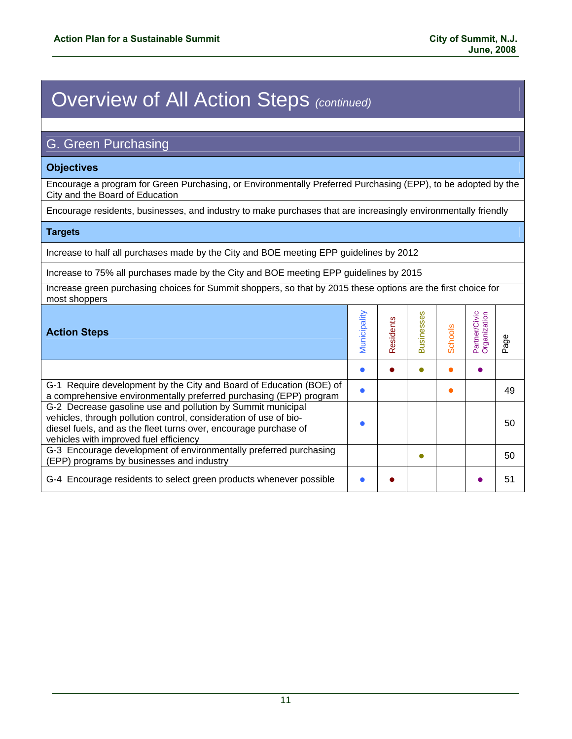### G. Green Purchasing

#### **Objectives**

Encourage a program for Green Purchasing, or Environmentally Preferred Purchasing (EPP), to be adopted by the City and the Board of Education

Encourage residents, businesses, and industry to make purchases that are increasingly environmentally friendly

#### **Targets**

Increase to half all purchases made by the City and BOE meeting EPP guidelines by 2012

Increase to 75% all purchases made by the City and BOE meeting EPP guidelines by 2015

Increase green purchasing choices for Summit shoppers, so that by 2015 these options are the first choice for most shoppers

| <b>Action Steps</b>                                                                                                                                                                                                                            | Municipality | Residents | <b>Ses</b><br>usiness | Schools | Partner/Civic<br>Organization | Page |
|------------------------------------------------------------------------------------------------------------------------------------------------------------------------------------------------------------------------------------------------|--------------|-----------|-----------------------|---------|-------------------------------|------|
|                                                                                                                                                                                                                                                |              |           |                       |         |                               |      |
| G-1 Require development by the City and Board of Education (BOE) of<br>a comprehensive environmentally preferred purchasing (EPP) program                                                                                                      |              |           |                       |         |                               | 49   |
| G-2 Decrease gasoline use and pollution by Summit municipal<br>vehicles, through pollution control, consideration of use of bio-<br>diesel fuels, and as the fleet turns over, encourage purchase of<br>vehicles with improved fuel efficiency |              |           |                       |         |                               | 50   |
| G-3 Encourage development of environmentally preferred purchasing<br>(EPP) programs by businesses and industry                                                                                                                                 |              |           |                       |         |                               | 50   |
| G-4 Encourage residents to select green products whenever possible                                                                                                                                                                             |              |           |                       |         |                               | 51   |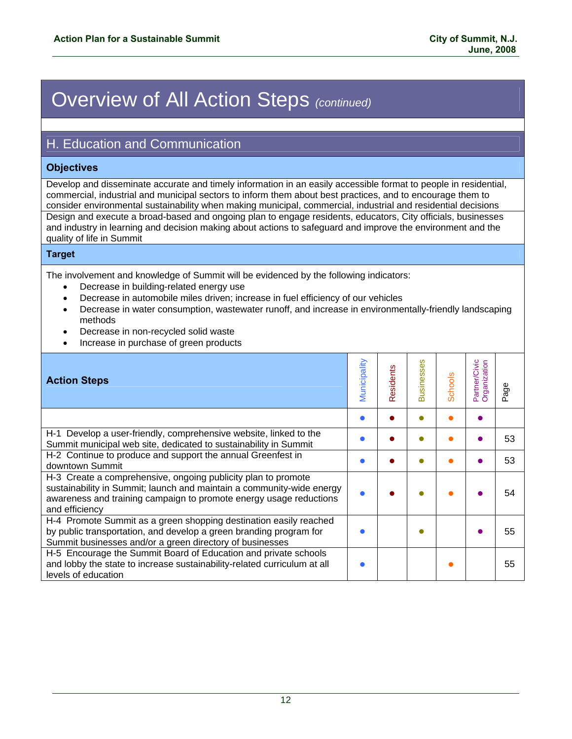### H. Education and Communication

#### **Objectives**

Develop and disseminate accurate and timely information in an easily accessible format to people in residential, commercial, industrial and municipal sectors to inform them about best practices, and to encourage them to consider environmental sustainability when making municipal, commercial, industrial and residential decisions Design and execute a broad-based and ongoing plan to engage residents, educators, City officials, businesses and industry in learning and decision making about actions to safeguard and improve the environment and the quality of life in Summit

#### **Target**

The involvement and knowledge of Summit will be evidenced by the following indicators:

- Decrease in building-related energy use
- Decrease in automobile miles driven; increase in fuel efficiency of our vehicles
- Decrease in water consumption, wastewater runoff, and increase in environmentally-friendly landscaping methods
- Decrease in non-recycled solid waste
- Increase in purchase of green products

| <b>Action Steps</b>                                                                                                                                                                                                            | Municipality | esidents<br>∼ | ဖာ<br>ة<br>ō<br>ဖ<br>ة<br>usine<br>⋒ | Schools | Partner/Civic<br>Organization | age<br>$\mathbf{a}$ |
|--------------------------------------------------------------------------------------------------------------------------------------------------------------------------------------------------------------------------------|--------------|---------------|--------------------------------------|---------|-------------------------------|---------------------|
|                                                                                                                                                                                                                                |              |               |                                      |         |                               |                     |
| H-1 Develop a user-friendly, comprehensive website, linked to the<br>Summit municipal web site, dedicated to sustainability in Summit                                                                                          |              |               |                                      |         |                               | 53                  |
| H-2 Continue to produce and support the annual Greenfest in<br>downtown Summit                                                                                                                                                 |              |               |                                      |         |                               | 53                  |
| H-3 Create a comprehensive, ongoing publicity plan to promote<br>sustainability in Summit; launch and maintain a community-wide energy<br>awareness and training campaign to promote energy usage reductions<br>and efficiency |              |               |                                      |         |                               | 54                  |
| H-4 Promote Summit as a green shopping destination easily reached<br>by public transportation, and develop a green branding program for<br>Summit businesses and/or a green directory of businesses                            |              |               |                                      |         |                               | 55                  |
| H-5 Encourage the Summit Board of Education and private schools<br>and lobby the state to increase sustainability-related curriculum at all<br>levels of education                                                             |              |               |                                      |         |                               | 55                  |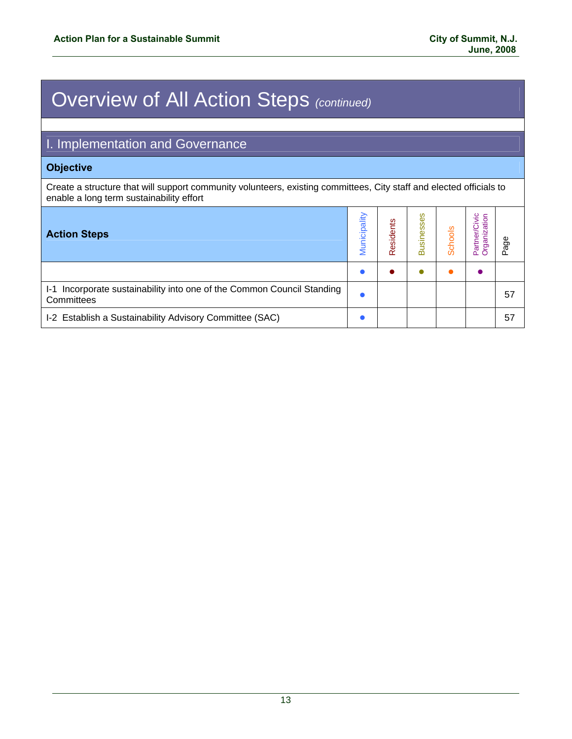### I. Implementation and Governance

#### **Objective**

Create a structure that will support community volunteers, existing committees, City staff and elected officials to enable a long term sustainability effort

| <b>Action Steps</b>                                                                     | Municipality | Residents | ဖ<br>Ф<br>ess<br><u>igi</u><br>⋒ | Schools | Partner/Civic<br>Organization<br>Organiz | Page |
|-----------------------------------------------------------------------------------------|--------------|-----------|----------------------------------|---------|------------------------------------------|------|
|                                                                                         |              |           |                                  |         |                                          |      |
| Incorporate sustainability into one of the Common Council Standing<br>l-1<br>Committees |              |           |                                  |         |                                          | 57   |
| I-2 Establish a Sustainability Advisory Committee (SAC)                                 |              |           |                                  |         |                                          | 57   |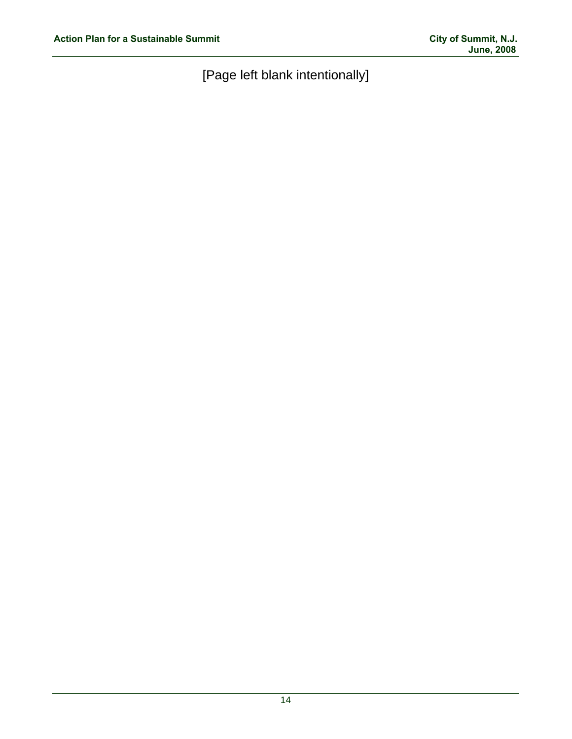[Page left blank intentionally]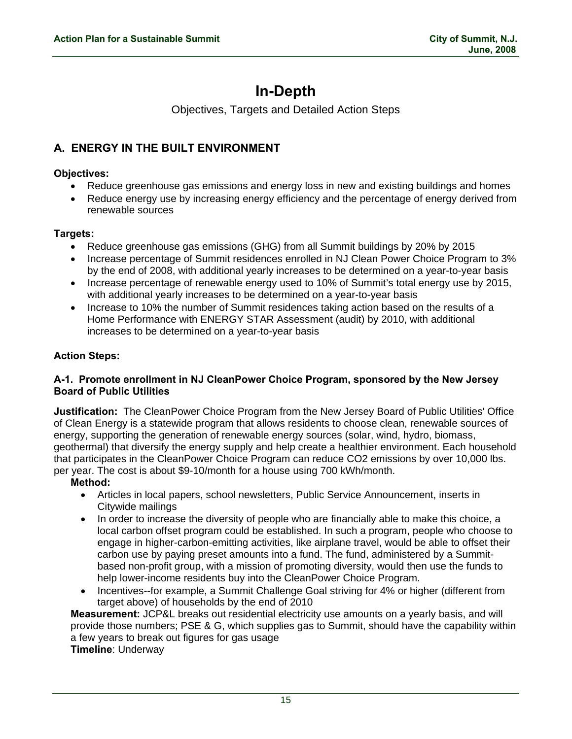# **In-Depth**

Objectives, Targets and Detailed Action Steps

#### **A. ENERGY IN THE BUILT ENVIRONMENT**

#### **Objectives:**

- Reduce greenhouse gas emissions and energy loss in new and existing buildings and homes
- Reduce energy use by increasing energy efficiency and the percentage of energy derived from renewable sources

#### **Targets:**

- Reduce greenhouse gas emissions (GHG) from all Summit buildings by 20% by 2015
- Increase percentage of Summit residences enrolled in NJ Clean Power Choice Program to 3% by the end of 2008, with additional yearly increases to be determined on a year-to-year basis
- Increase percentage of renewable energy used to 10% of Summit's total energy use by 2015, with additional yearly increases to be determined on a year-to-year basis
- Increase to 10% the number of Summit residences taking action based on the results of a Home Performance with ENERGY STAR Assessment (audit) by 2010, with additional increases to be determined on a year-to-year basis

#### **Action Steps:**

#### **A-1. Promote enrollment in NJ CleanPower Choice Program, sponsored by the New Jersey Board of Public Utilities**

**Justification:** The CleanPower Choice Program from the New Jersey Board of Public Utilities' Office of Clean Energy is a statewide program that allows residents to choose clean, renewable sources of energy, supporting the generation of renewable energy sources (solar, wind, hydro, biomass, geothermal) that diversify the energy supply and help create a healthier environment. Each household that participates in the CleanPower Choice Program can reduce CO2 emissions by over 10,000 lbs. per year. The cost is about \$9-10/month for a house using 700 kWh/month.

#### **Method:**

- Articles in local papers, school newsletters, Public Service Announcement, inserts in Citywide mailings
- In order to increase the diversity of people who are financially able to make this choice, a local carbon offset program could be established. In such a program, people who choose to engage in higher-carbon-emitting activities, like airplane travel, would be able to offset their carbon use by paying preset amounts into a fund. The fund, administered by a Summitbased non-profit group, with a mission of promoting diversity, would then use the funds to help lower-income residents buy into the CleanPower Choice Program.
- Incentives--for example, a Summit Challenge Goal striving for 4% or higher (different from target above) of households by the end of 2010

**Measurement:** JCP&L breaks out residential electricity use amounts on a yearly basis, and will provide those numbers; PSE & G, which supplies gas to Summit, should have the capability within a few years to break out figures for gas usage

**Timeline**: Underway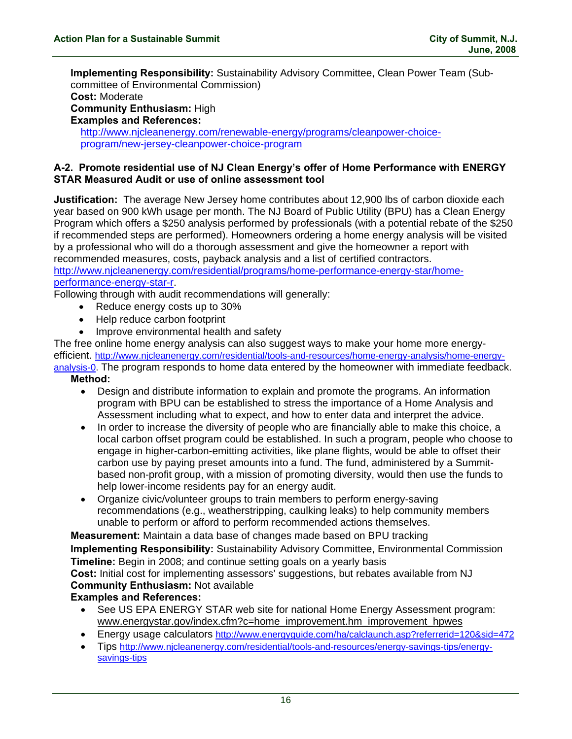**Implementing Responsibility:** Sustainability Advisory Committee, Clean Power Team (Subcommittee of Environmental Commission) **Cost:** Moderate **Community Enthusiasm:** High **Examples and References:**  http://www.njcleanenergy.com/renewable-energy/programs/cleanpower-choice-

**A-2. Promote residential use of NJ Clean Energy's offer of Home Performance with ENERGY STAR Measured Audit or use of online assessment tool** 

**Justification:** The average New Jersey home contributes about 12,900 lbs of carbon dioxide each year based on 900 kWh usage per month. The NJ Board of Public Utility (BPU) has a Clean Energy Program which offers a \$250 analysis performed by professionals (with a potential rebate of the \$250 if recommended steps are performed). Homeowners ordering a home energy analysis will be visited by a professional who will do a thorough assessment and give the homeowner a report with recommended measures, costs, payback analysis and a list of certified contractors. http://www.njcleanenergy.com/residential/programs/home-performance-energy-star/homeperformance-energy-star-r.

Following through with audit recommendations will generally:

program/new-jersey-cleanpower-choice-program

- Reduce energy costs up to 30%
- Help reduce carbon footprint
- Improve environmental health and safety

The free online home energy analysis can also suggest ways to make your home more energyefficient. http://www.njcleanenergy.com/residential/tools-and-resources/home-energy-analysis/home-energyanalysis-0. The program responds to home data entered by the homeowner with immediate feedback. **Method:**

- Design and distribute information to explain and promote the programs. An information program with BPU can be established to stress the importance of a Home Analysis and Assessment including what to expect, and how to enter data and interpret the advice.
- In order to increase the diversity of people who are financially able to make this choice, a local carbon offset program could be established. In such a program, people who choose to engage in higher-carbon-emitting activities, like plane flights, would be able to offset their carbon use by paying preset amounts into a fund. The fund, administered by a Summitbased non-profit group, with a mission of promoting diversity, would then use the funds to help lower-income residents pay for an energy audit.
- Organize civic/volunteer groups to train members to perform energy-saving recommendations (e.g., weatherstripping, caulking leaks) to help community members unable to perform or afford to perform recommended actions themselves.

**Measurement:** Maintain a data base of changes made based on BPU tracking

**Implementing Responsibility:** Sustainability Advisory Committee, Environmental Commission **Timeline:** Begin in 2008; and continue setting goals on a yearly basis

**Cost:** Initial cost for implementing assessors' suggestions, but rebates available from NJ **Community Enthusiasm:** Not available

#### **Examples and References:**

- See US EPA ENERGY STAR web site for national Home Energy Assessment program: www.energystar.gov/index.cfm?c=home\_improvement.hm\_improvement\_hpwes
- Energy usage calculators http://www.energyguide.com/ha/calclaunch.asp?referrerid=120&sid=472
- Tips http://www.njcleanenergy.com/residential/tools-and-resources/energy-savings-tips/energysavings-tips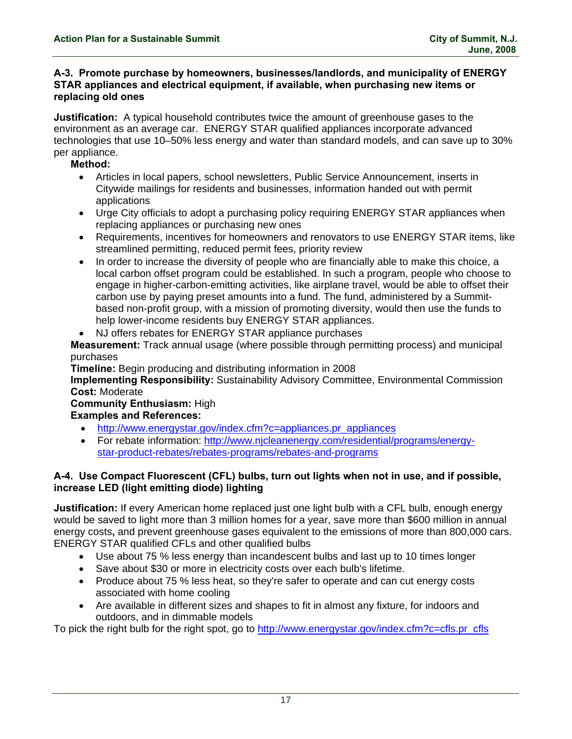#### **A-3. Promote purchase by homeowners, businesses/landlords, and municipality of ENERGY STAR appliances and electrical equipment, if available, when purchasing new items or replacing old ones**

**Justification:** A typical household contributes twice the amount of greenhouse gases to the environment as an average car. ENERGY STAR qualified appliances incorporate advanced technologies that use 10–50% less energy and water than standard models, and can save up to 30% per appliance.

**Method:**

- Articles in local papers, school newsletters, Public Service Announcement, inserts in Citywide mailings for residents and businesses, information handed out with permit applications
- Urge City officials to adopt a purchasing policy requiring ENERGY STAR appliances when replacing appliances or purchasing new ones
- Requirements, incentives for homeowners and renovators to use ENERGY STAR items, like streamlined permitting, reduced permit fees, priority review
- In order to increase the diversity of people who are financially able to make this choice, a local carbon offset program could be established. In such a program, people who choose to engage in higher-carbon-emitting activities, like airplane travel, would be able to offset their carbon use by paying preset amounts into a fund. The fund, administered by a Summitbased non-profit group, with a mission of promoting diversity, would then use the funds to help lower-income residents buy ENERGY STAR appliances.
- NJ offers rebates for ENERGY STAR appliance purchases

**Measurement:** Track annual usage (where possible through permitting process) and municipal purchases

**Timeline:** Begin producing and distributing information in 2008

**Implementing Responsibility:** Sustainability Advisory Committee, Environmental Commission **Cost:** Moderate

### **Community Enthusiasm:** High

**Examples and References:** 

- http://www.energystar.gov/index.cfm?c=appliances.pr\_appliances
- For rebate information: http://www.njcleanenergy.com/residential/programs/energystar-product-rebates/rebates-programs/rebates-and-programs

#### **A-4. Use Compact Fluorescent (CFL) bulbs, turn out lights when not in use, and if possible, increase LED (light emitting diode) lighting**

**Justification:** If every American home replaced just one light bulb with a CFL bulb, enough energy would be saved to light more than 3 million homes for a year, save more than \$600 million in annual energy costs**,** and prevent greenhouse gases equivalent to the emissions of more than 800,000 cars. ENERGY STAR qualified CFLs and other qualified bulbs

- Use about 75 % less energy than incandescent bulbs and last up to 10 times longer
- Save about \$30 or more in electricity costs over each bulb's lifetime.
- Produce about 75 % less heat, so they're safer to operate and can cut energy costs associated with home cooling
- Are available in different sizes and shapes to fit in almost any fixture, for indoors and outdoors, and in dimmable models

To pick the right bulb for the right spot, go to http://www.energystar.gov/index.cfm?c=cfls.pr\_cfls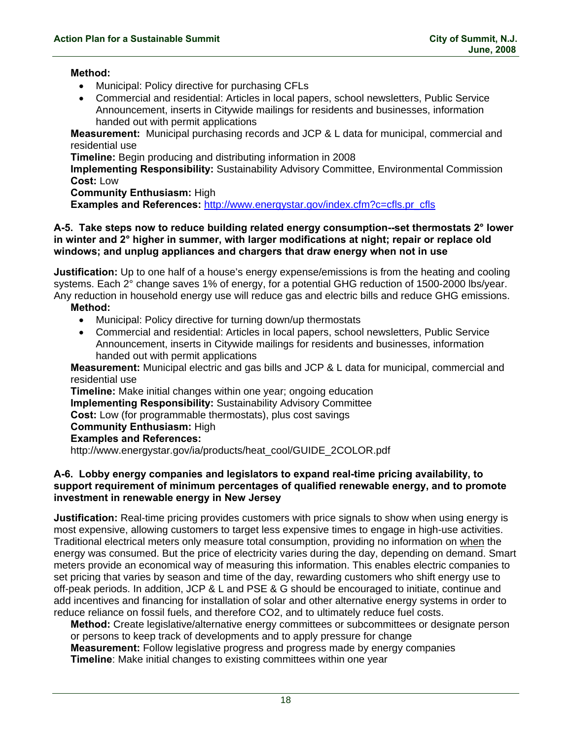#### **Method:**

- Municipal: Policy directive for purchasing CFLs
- Commercial and residential: Articles in local papers, school newsletters, Public Service Announcement, inserts in Citywide mailings for residents and businesses, information handed out with permit applications

**Measurement:** Municipal purchasing records and JCP & L data for municipal, commercial and residential use

**Timeline:** Begin producing and distributing information in 2008

**Implementing Responsibility:** Sustainability Advisory Committee, Environmental Commission **Cost:** Low

**Community Enthusiasm:** High

**Examples and References:** http://www.energystar.gov/index.cfm?c=cfls.pr\_cfls

#### **A-5. Take steps now to reduce building related energy consumption--set thermostats 2° lower in winter and 2° higher in summer, with larger modifications at night; repair or replace old windows; and unplug appliances and chargers that draw energy when not in use**

**Justification:** Up to one half of a house's energy expense/emissions is from the heating and cooling systems. Each 2° change saves 1% of energy, for a potential GHG reduction of 1500-2000 lbs/year. Any reduction in household energy use will reduce gas and electric bills and reduce GHG emissions.

- **Method:**
	- Municipal: Policy directive for turning down/up thermostats
	- Commercial and residential: Articles in local papers, school newsletters, Public Service Announcement, inserts in Citywide mailings for residents and businesses, information handed out with permit applications

**Measurement:** Municipal electric and gas bills and JCP & L data for municipal, commercial and residential use

**Timeline:** Make initial changes within one year; ongoing education **Implementing Responsibility:** Sustainability Advisory Committee **Cost:** Low (for programmable thermostats), plus cost savings **Community Enthusiasm:** High **Examples and References:** 

http://www.energystar.gov/ia/products/heat\_cool/GUIDE\_2COLOR.pdf

#### **A-6. Lobby energy companies and legislators to expand real-time pricing availability, to support requirement of minimum percentages of qualified renewable energy, and to promote investment in renewable energy in New Jersey**

**Justification:** Real-time pricing provides customers with price signals to show when using energy is most expensive, allowing customers to target less expensive times to engage in high-use activities. Traditional electrical meters only measure total consumption, providing no information on when the energy was consumed. But the price of electricity varies during the day, depending on demand. Smart meters provide an economical way of measuring this information. This enables electric companies to set pricing that varies by season and time of the day, rewarding customers who shift energy use to off-peak periods. In addition, JCP & L and PSE & G should be encouraged to initiate, continue and add incentives and financing for installation of solar and other alternative energy systems in order to reduce reliance on fossil fuels, and therefore CO2, and to ultimately reduce fuel costs.

**Method:** Create legislative/alternative energy committees or subcommittees or designate person or persons to keep track of developments and to apply pressure for change **Measurement:** Follow legislative progress and progress made by energy companies

**Timeline**: Make initial changes to existing committees within one year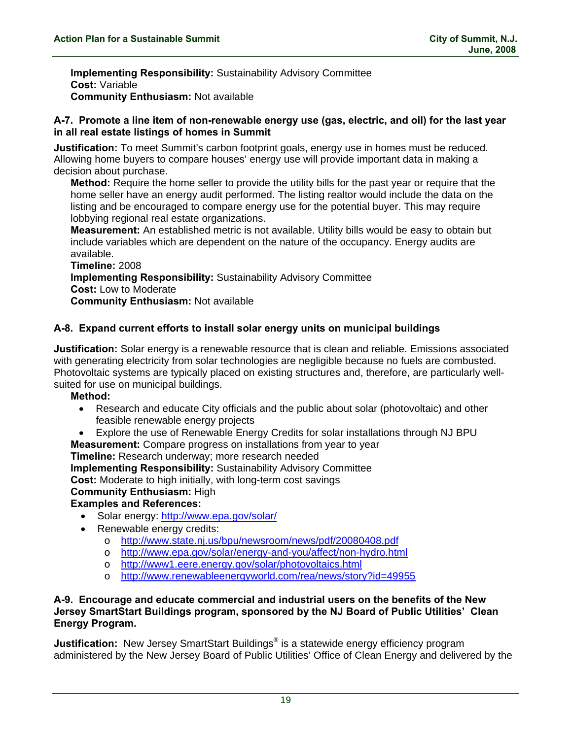**Implementing Responsibility:** Sustainability Advisory Committee **Cost:** Variable **Community Enthusiasm:** Not available

#### **A-7. Promote a line item of non-renewable energy use (gas, electric, and oil) for the last year in all real estate listings of homes in Summit**

**Justification:** To meet Summit's carbon footprint goals, energy use in homes must be reduced. Allowing home buyers to compare houses' energy use will provide important data in making a decision about purchase.

**Method:** Require the home seller to provide the utility bills for the past year or require that the home seller have an energy audit performed. The listing realtor would include the data on the listing and be encouraged to compare energy use for the potential buyer. This may require lobbying regional real estate organizations.

**Measurement:** An established metric is not available. Utility bills would be easy to obtain but include variables which are dependent on the nature of the occupancy. Energy audits are available.

**Timeline:** 2008 **Implementing Responsibility:** Sustainability Advisory Committee **Cost:** Low to Moderate **Community Enthusiasm:** Not available

#### **A-8. Expand current efforts to install solar energy units on municipal buildings**

**Justification:** Solar energy is a renewable resource that is clean and reliable. Emissions associated with generating electricity from solar technologies are negligible because no fuels are combusted. Photovoltaic systems are typically placed on existing structures and, therefore, are particularly wellsuited for use on municipal buildings.

**Method:**

- Research and educate City officials and the public about solar (photovoltaic) and other feasible renewable energy projects
- Explore the use of Renewable Energy Credits for solar installations through NJ BPU

**Measurement:** Compare progress on installations from year to year

**Timeline:** Research underway; more research needed

**Implementing Responsibility:** Sustainability Advisory Committee

**Cost:** Moderate to high initially, with long-term cost savings

**Community Enthusiasm:** High

#### **Examples and References:**

- Solar energy: http://www.epa.gov/solar/
- Renewable energy credits:
	- o http://www.state.nj.us/bpu/newsroom/news/pdf/20080408.pdf
	- o http://www.epa.gov/solar/energy-and-you/affect/non-hydro.html
	- o http://www1.eere.energy.gov/solar/photovoltaics.html
	- o http://www.renewableenergyworld.com/rea/news/story?id=49955

#### **A-9. Encourage and educate commercial and industrial users on the benefits of the New Jersey SmartStart Buildings program, sponsored by the NJ Board of Public Utilities' Clean Energy Program.**

**Justification:** New Jersey SmartStart Buildings<sup>®</sup> is a statewide energy efficiency program administered by the New Jersey Board of Public Utilities' Office of Clean Energy and delivered by the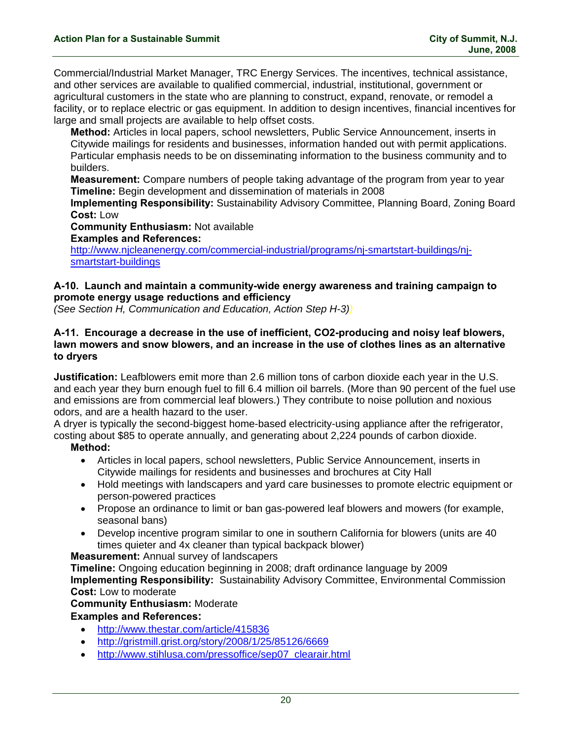Commercial/Industrial Market Manager, TRC Energy Services. The incentives, technical assistance, and other services are available to qualified commercial, industrial, institutional, government or agricultural customers in the state who are planning to construct, expand, renovate, or remodel a facility, or to replace electric or gas equipment. In addition to design incentives, financial incentives for large and small projects are available to help offset costs.

**Method:** Articles in local papers, school newsletters, Public Service Announcement, inserts in Citywide mailings for residents and businesses, information handed out with permit applications. Particular emphasis needs to be on disseminating information to the business community and to builders.

**Measurement:** Compare numbers of people taking advantage of the program from year to year **Timeline:** Begin development and dissemination of materials in 2008

**Implementing Responsibility:** Sustainability Advisory Committee, Planning Board, Zoning Board **Cost:** Low

**Community Enthusiasm:** Not available

**Examples and References:** 

http://www.njcleanenergy.com/commercial-industrial/programs/nj-smartstart-buildings/njsmartstart-buildings

#### **A-10. Launch and maintain a community-wide energy awareness and training campaign to promote energy usage reductions and efficiency**

*(See Section H, Communication and Education, Action Step H-3))*

#### **A-11. Encourage a decrease in the use of inefficient, CO2-producing and noisy leaf blowers, lawn mowers and snow blowers, and an increase in the use of clothes lines as an alternative to dryers**

**Justification:** Leafblowers emit more than 2.6 million tons of carbon dioxide each year in the U.S. and each year they burn enough fuel to fill 6.4 million oil barrels. (More than 90 percent of the fuel use and emissions are from commercial leaf blowers.) They contribute to noise pollution and noxious odors, and are a health hazard to the user.

A dryer is typically the second-biggest home-based electricity-using appliance after the refrigerator, costing about \$85 to operate annually, and generating about 2,224 pounds of carbon dioxide.

**Method:**

- Articles in local papers, school newsletters, Public Service Announcement, inserts in Citywide mailings for residents and businesses and brochures at City Hall
- Hold meetings with landscapers and yard care businesses to promote electric equipment or person-powered practices
- Propose an ordinance to limit or ban gas-powered leaf blowers and mowers (for example, seasonal bans)
- Develop incentive program similar to one in southern California for blowers (units are 40 times quieter and 4x cleaner than typical backpack blower)

**Measurement:** Annual survey of landscapers

**Timeline:** Ongoing education beginning in 2008; draft ordinance language by 2009 **Implementing Responsibility:** Sustainability Advisory Committee, Environmental Commission **Cost:** Low to moderate

#### **Community Enthusiasm:** Moderate

**Examples and References:**

- http://www.thestar.com/article/415836
- http://gristmill.grist.org/story/2008/1/25/85126/6669
- http://www.stihlusa.com/pressoffice/sep07\_clearair.html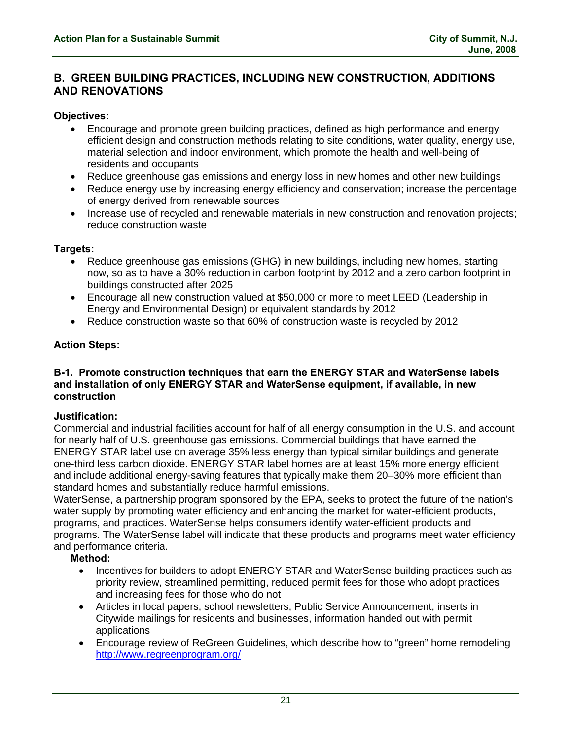#### **B. GREEN BUILDING PRACTICES, INCLUDING NEW CONSTRUCTION, ADDITIONS AND RENOVATIONS**

#### **Objectives:**

- Encourage and promote green building practices, defined as high performance and energy efficient design and construction methods relating to site conditions, water quality, energy use, material selection and indoor environment, which promote the health and well-being of residents and occupants
- Reduce greenhouse gas emissions and energy loss in new homes and other new buildings
- Reduce energy use by increasing energy efficiency and conservation; increase the percentage of energy derived from renewable sources
- Increase use of recycled and renewable materials in new construction and renovation projects; reduce construction waste

#### **Targets:**

- Reduce greenhouse gas emissions (GHG) in new buildings, including new homes, starting now, so as to have a 30% reduction in carbon footprint by 2012 and a zero carbon footprint in buildings constructed after 2025
- Encourage all new construction valued at \$50,000 or more to meet LEED (Leadership in Energy and Environmental Design) or equivalent standards by 2012
- Reduce construction waste so that 60% of construction waste is recycled by 2012

#### **Action Steps:**

#### **B-1. Promote construction techniques that earn the ENERGY STAR and WaterSense labels and installation of only ENERGY STAR and WaterSense equipment, if available, in new construction**

#### **Justification:**

Commercial and industrial facilities account for half of all energy consumption in the U.S. and account for nearly half of U.S. greenhouse gas emissions. Commercial buildings that have earned the ENERGY STAR label use on average 35% less energy than typical similar buildings and generate one-third less carbon dioxide. ENERGY STAR label homes are at least 15% more energy efficient and include additional energy-saving features that typically make them 20–30% more efficient than standard homes and substantially reduce harmful emissions.

WaterSense, a partnership program sponsored by the EPA, seeks to protect the future of the nation's water supply by promoting water efficiency and enhancing the market for water-efficient products, programs, and practices. WaterSense helps consumers identify water-efficient products and programs. The WaterSense label will indicate that these products and programs meet water efficiency and performance criteria.

#### **Method:**

- Incentives for builders to adopt ENERGY STAR and WaterSense building practices such as priority review, streamlined permitting, reduced permit fees for those who adopt practices and increasing fees for those who do not
- Articles in local papers, school newsletters, Public Service Announcement, inserts in Citywide mailings for residents and businesses, information handed out with permit applications
- Encourage review of ReGreen Guidelines, which describe how to "green" home remodeling http://www.regreenprogram.org/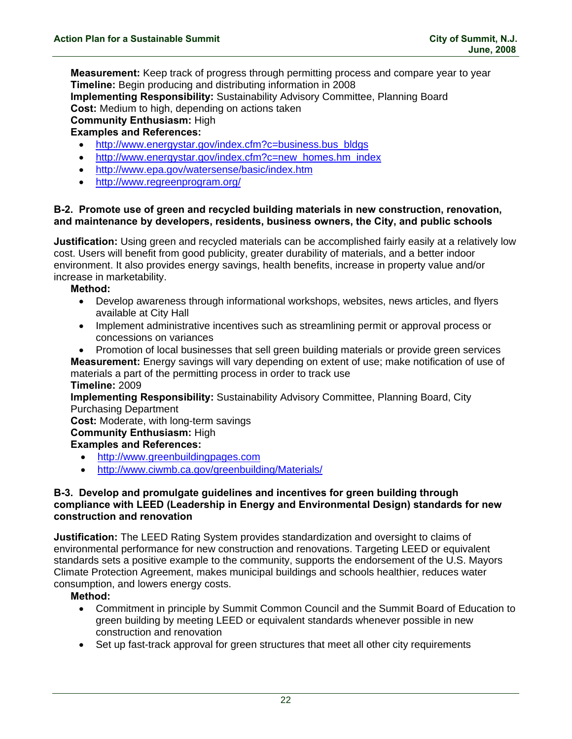**Measurement:** Keep track of progress through permitting process and compare year to year **Timeline:** Begin producing and distributing information in 2008 **Implementing Responsibility:** Sustainability Advisory Committee, Planning Board

**Cost:** Medium to high, depending on actions taken

### **Community Enthusiasm:** High

#### **Examples and References:**

- http://www.energystar.gov/index.cfm?c=business.bus\_bldgs
- http://www.energystar.gov/index.cfm?c=new\_homes.hm\_index
- http://www.epa.gov/watersense/basic/index.htm
- http://www.regreenprogram.org/

#### **B-2. Promote use of green and recycled building materials in new construction, renovation, and maintenance by developers, residents, business owners, the City, and public schools**

**Justification:** Using green and recycled materials can be accomplished fairly easily at a relatively low cost. Users will benefit from good publicity, greater durability of materials, and a better indoor environment. It also provides energy savings, health benefits, increase in property value and/or increase in marketability.

**Method:**

- Develop awareness through informational workshops, websites, news articles, and flyers available at City Hall
- Implement administrative incentives such as streamlining permit or approval process or concessions on variances
- Promotion of local businesses that sell green building materials or provide green services

**Measurement:** Energy savings will vary depending on extent of use; make notification of use of materials a part of the permitting process in order to track use

#### **Timeline:** 2009

**Implementing Responsibility:** Sustainability Advisory Committee, Planning Board, City Purchasing Department

**Cost:** Moderate, with long-term savings

#### **Community Enthusiasm:** High

#### **Examples and References:**

- http://www.greenbuildingpages.com
- http://www.ciwmb.ca.gov/greenbuilding/Materials/

#### **B-3. Develop and promulgate guidelines and incentives for green building through compliance with LEED (Leadership in Energy and Environmental Design) standards for new construction and renovation**

**Justification:** The LEED Rating System provides standardization and oversight to claims of environmental performance for new construction and renovations. Targeting LEED or equivalent standards sets a positive example to the community, supports the endorsement of the U.S. Mayors Climate Protection Agreement, makes municipal buildings and schools healthier, reduces water consumption, and lowers energy costs.

**Method:**

- Commitment in principle by Summit Common Council and the Summit Board of Education to green building by meeting LEED or equivalent standards whenever possible in new construction and renovation
- Set up fast-track approval for green structures that meet all other city requirements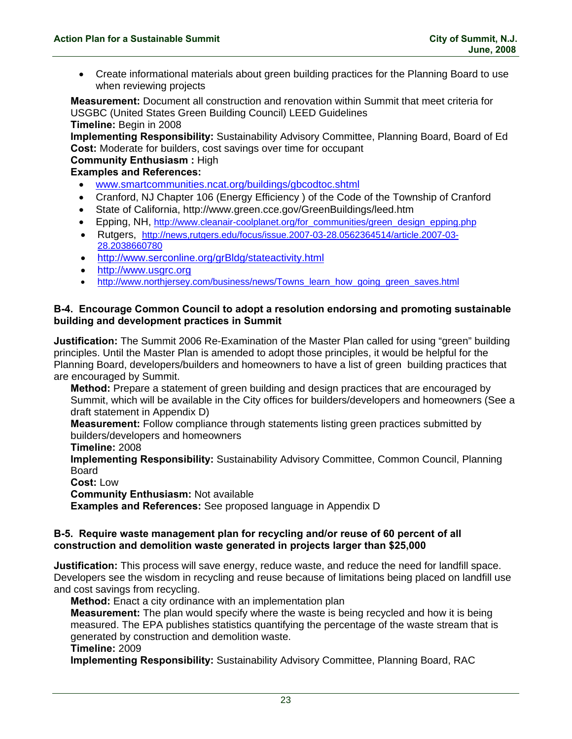• Create informational materials about green building practices for the Planning Board to use when reviewing projects

**Measurement:** Document all construction and renovation within Summit that meet criteria for USGBC (United States Green Building Council) LEED Guidelines **Timeline:** Begin in 2008

**Implementing Responsibility:** Sustainability Advisory Committee, Planning Board, Board of Ed **Cost:** Moderate for builders, cost savings over time for occupant

**Community Enthusiasm :** High

**Examples and References:** 

- www.smartcommunities.ncat.org/buildings/gbcodtoc.shtml
- Cranford, NJ Chapter 106 (Energy Efficiency ) of the Code of the Township of Cranford
- State of California, http://www.green.cce.gov/GreenBuildings/leed.htm
- Epping, NH, http://www.cleanair-coolplanet.org/for\_communities/green\_design\_epping.php
- Rutgers, http://news,rutgers.edu/focus/issue.2007-03-28.0562364514/article.2007-03- 28.2038660780
- http://www.serconline.org/grBldg/stateactivity.html
- http://www.usgrc.org
- http://www.northjersey.com/business/news/Towns\_learn\_how\_going\_green\_saves.html

#### **B-4. Encourage Common Council to adopt a resolution endorsing and promoting sustainable building and development practices in Summit**

**Justification:** The Summit 2006 Re-Examination of the Master Plan called for using "green" building principles. Until the Master Plan is amended to adopt those principles, it would be helpful for the Planning Board, developers/builders and homeowners to have a list of green building practices that are encouraged by Summit.

**Method:** Prepare a statement of green building and design practices that are encouraged by Summit, which will be available in the City offices for builders/developers and homeowners (See a draft statement in Appendix D)

**Measurement:** Follow compliance through statements listing green practices submitted by builders/developers and homeowners

**Timeline:** 2008

**Implementing Responsibility:** Sustainability Advisory Committee, Common Council, Planning Board

**Cost:** Low

**Community Enthusiasm:** Not available

**Examples and References:** See proposed language in Appendix D

#### **B-5. Require waste management plan for recycling and/or reuse of 60 percent of all construction and demolition waste generated in projects larger than \$25,000**

**Justification:** This process will save energy, reduce waste, and reduce the need for landfill space. Developers see the wisdom in recycling and reuse because of limitations being placed on landfill use and cost savings from recycling.

**Method:** Enact a city ordinance with an implementation plan

**Measurement:** The plan would specify where the waste is being recycled and how it is being measured. The EPA publishes statistics quantifying the percentage of the waste stream that is generated by construction and demolition waste.

#### **Timeline:** 2009

**Implementing Responsibility:** Sustainability Advisory Committee, Planning Board, RAC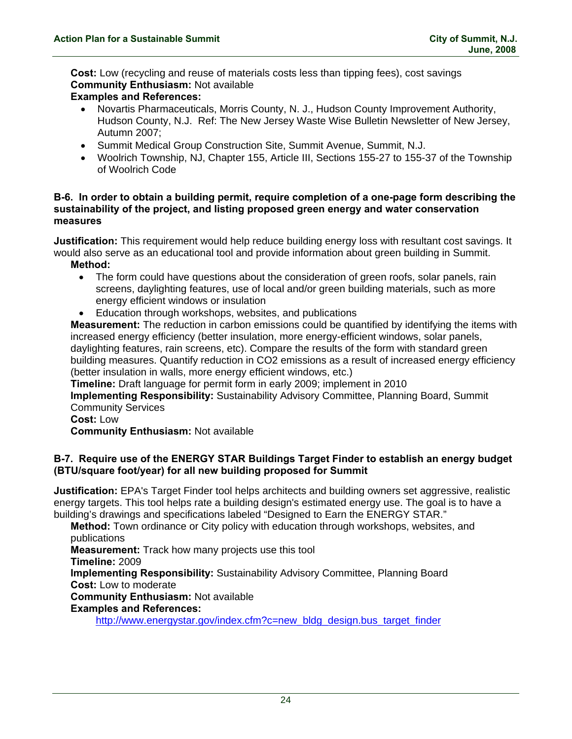**Cost:** Low (recycling and reuse of materials costs less than tipping fees), cost savings **Community Enthusiasm:** Not available

#### **Examples and References:**

- Novartis Pharmaceuticals, Morris County, N. J., Hudson County Improvement Authority, Hudson County, N.J. Ref: The New Jersey Waste Wise Bulletin Newsletter of New Jersey, Autumn 2007;
- Summit Medical Group Construction Site, Summit Avenue, Summit, N.J.
- Woolrich Township, NJ, Chapter 155, Article III, Sections 155-27 to 155-37 of the Township of Woolrich Code

#### **B-6. In order to obtain a building permit, require completion of a one-page form describing the sustainability of the project, and listing proposed green energy and water conservation measures**

**Justification:** This requirement would help reduce building energy loss with resultant cost savings. It would also serve as an educational tool and provide information about green building in Summit.

**Method:**

- The form could have questions about the consideration of green roofs, solar panels, rain screens, daylighting features, use of local and/or green building materials, such as more energy efficient windows or insulation
- Education through workshops, websites, and publications

**Measurement:** The reduction in carbon emissions could be quantified by identifying the items with increased energy efficiency (better insulation, more energy-efficient windows, solar panels, daylighting features, rain screens, etc). Compare the results of the form with standard green building measures. Quantify reduction in CO2 emissions as a result of increased energy efficiency (better insulation in walls, more energy efficient windows, etc.)

**Timeline:** Draft language for permit form in early 2009; implement in 2010

**Implementing Responsibility:** Sustainability Advisory Committee, Planning Board, Summit Community Services

**Cost:** Low

**Community Enthusiasm:** Not available

#### **B-7. Require use of the ENERGY STAR Buildings Target Finder to establish an energy budget (BTU/square foot/year) for all new building proposed for Summit**

**Justification:** EPA's Target Finder tool helps architects and building owners set aggressive, realistic energy targets. This tool helps rate a building design's estimated energy use. The goal is to have a building's drawings and specifications labeled "Designed to Earn the ENERGY STAR."

**Method:** Town ordinance or City policy with education through workshops, websites, and publications

**Measurement:** Track how many projects use this tool

**Timeline:** 2009

**Implementing Responsibility:** Sustainability Advisory Committee, Planning Board **Cost:** Low to moderate

**Community Enthusiasm:** Not available

#### **Examples and References:**

http://www.energystar.gov/index.cfm?c=new\_bldg\_design.bus\_target\_finder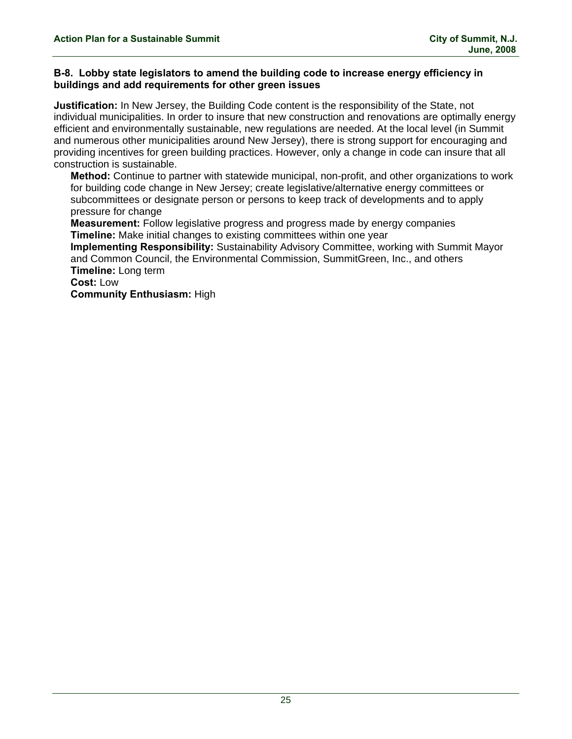#### **B-8. Lobby state legislators to amend the building code to increase energy efficiency in buildings and add requirements for other green issues**

**Justification:** In New Jersey, the Building Code content is the responsibility of the State, not individual municipalities. In order to insure that new construction and renovations are optimally energy efficient and environmentally sustainable, new regulations are needed. At the local level (in Summit and numerous other municipalities around New Jersey), there is strong support for encouraging and providing incentives for green building practices. However, only a change in code can insure that all construction is sustainable.

**Method:** Continue to partner with statewide municipal, non-profit, and other organizations to work for building code change in New Jersey; create legislative/alternative energy committees or subcommittees or designate person or persons to keep track of developments and to apply pressure for change

**Measurement:** Follow legislative progress and progress made by energy companies **Timeline:** Make initial changes to existing committees within one year

**Implementing Responsibility:** Sustainability Advisory Committee, working with Summit Mayor and Common Council, the Environmental Commission, SummitGreen, Inc., and others **Timeline:** Long term

**Cost:** Low

**Community Enthusiasm:** High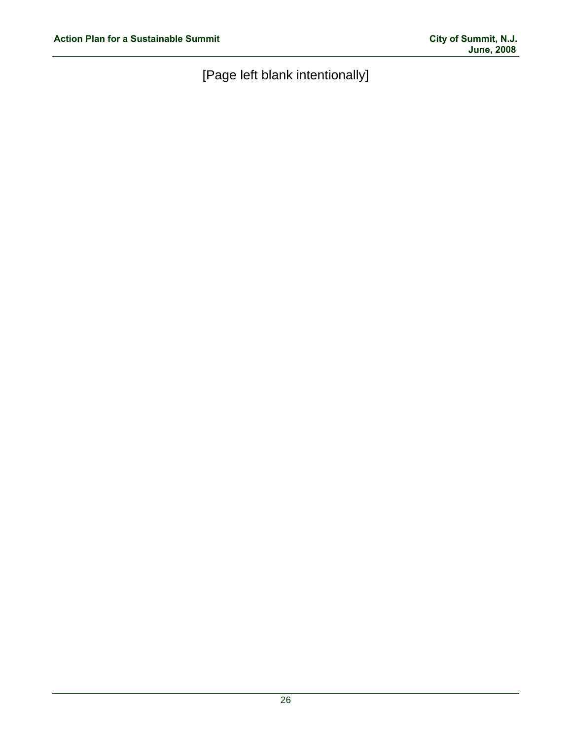[Page left blank intentionally]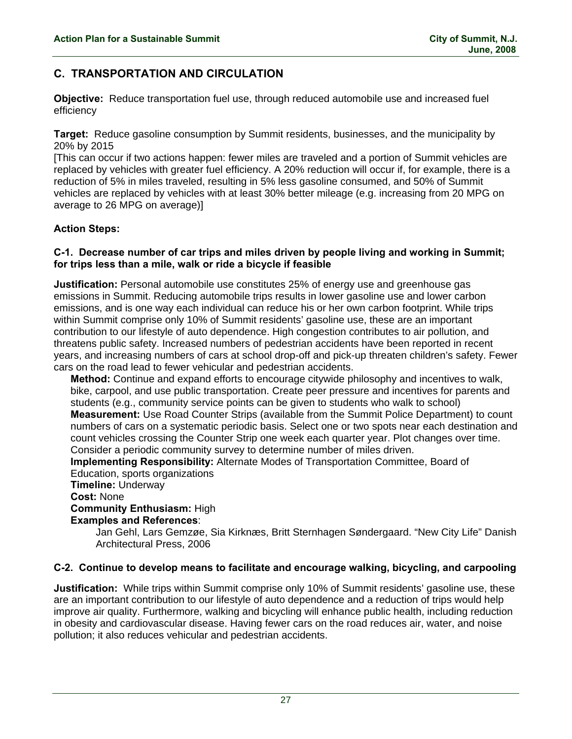#### **C. TRANSPORTATION AND CIRCULATION**

**Objective:** Reduce transportation fuel use, through reduced automobile use and increased fuel efficiency

**Target:** Reduce gasoline consumption by Summit residents, businesses, and the municipality by 20% by 2015

[This can occur if two actions happen: fewer miles are traveled and a portion of Summit vehicles are replaced by vehicles with greater fuel efficiency. A 20% reduction will occur if, for example, there is a reduction of 5% in miles traveled, resulting in 5% less gasoline consumed, and 50% of Summit vehicles are replaced by vehicles with at least 30% better mileage (e.g. increasing from 20 MPG on average to 26 MPG on average)]

#### **Action Steps:**

#### **C-1. Decrease number of car trips and miles driven by people living and working in Summit; for trips less than a mile, walk or ride a bicycle if feasible**

**Justification:** Personal automobile use constitutes 25% of energy use and greenhouse gas emissions in Summit. Reducing automobile trips results in lower gasoline use and lower carbon emissions, and is one way each individual can reduce his or her own carbon footprint. While trips within Summit comprise only 10% of Summit residents' gasoline use, these are an important contribution to our lifestyle of auto dependence. High congestion contributes to air pollution, and threatens public safety. Increased numbers of pedestrian accidents have been reported in recent years, and increasing numbers of cars at school drop-off and pick-up threaten children's safety. Fewer cars on the road lead to fewer vehicular and pedestrian accidents.

**Method:** Continue and expand efforts to encourage citywide philosophy and incentives to walk, bike, carpool, and use public transportation. Create peer pressure and incentives for parents and students (e.g., community service points can be given to students who walk to school) **Measurement:** Use Road Counter Strips (available from the Summit Police Department) to count numbers of cars on a systematic periodic basis. Select one or two spots near each destination and count vehicles crossing the Counter Strip one week each quarter year. Plot changes over time. Consider a periodic community survey to determine number of miles driven.

**Implementing Responsibility:** Alternate Modes of Transportation Committee, Board of Education, sports organizations

**Timeline:** Underway **Cost:** None

#### **Community Enthusiasm:** High

**Examples and References**:

Jan Gehl, Lars Gemzøe, Sia Kirknæs, Britt Sternhagen Søndergaard. "New City Life" Danish Architectural Press, 2006

#### **C-2. Continue to develop means to facilitate and encourage walking, bicycling, and carpooling**

**Justification:** While trips within Summit comprise only 10% of Summit residents' gasoline use, these are an important contribution to our lifestyle of auto dependence and a reduction of trips would help improve air quality. Furthermore, walking and bicycling will enhance public health, including reduction in obesity and cardiovascular disease. Having fewer cars on the road reduces air, water, and noise pollution; it also reduces vehicular and pedestrian accidents.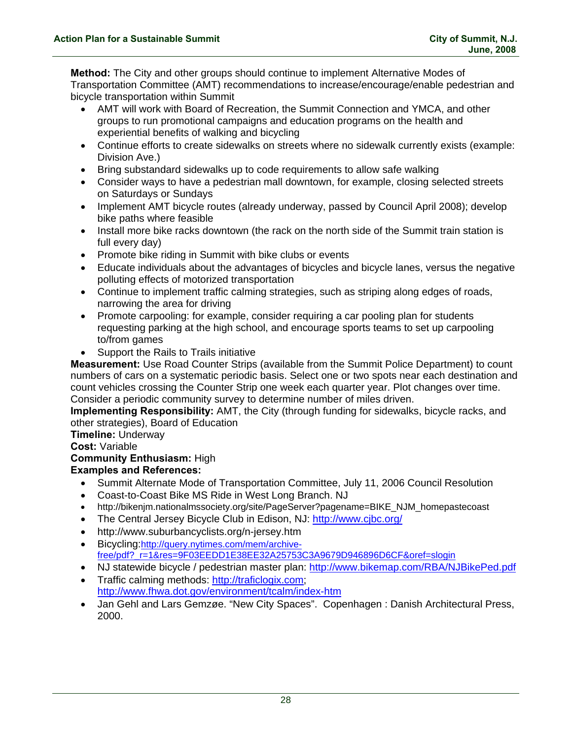**Method:** The City and other groups should continue to implement Alternative Modes of Transportation Committee (AMT) recommendations to increase/encourage/enable pedestrian and bicycle transportation within Summit

- AMT will work with Board of Recreation, the Summit Connection and YMCA, and other groups to run promotional campaigns and education programs on the health and experiential benefits of walking and bicycling
- Continue efforts to create sidewalks on streets where no sidewalk currently exists (example: Division Ave.)
- Bring substandard sidewalks up to code requirements to allow safe walking
- Consider ways to have a pedestrian mall downtown, for example, closing selected streets on Saturdays or Sundays
- Implement AMT bicycle routes (already underway, passed by Council April 2008); develop bike paths where feasible
- Install more bike racks downtown (the rack on the north side of the Summit train station is full every day)
- Promote bike riding in Summit with bike clubs or events
- Educate individuals about the advantages of bicycles and bicycle lanes, versus the negative polluting effects of motorized transportation
- Continue to implement traffic calming strategies, such as striping along edges of roads, narrowing the area for driving
- Promote carpooling: for example, consider requiring a car pooling plan for students requesting parking at the high school, and encourage sports teams to set up carpooling to/from games
- Support the Rails to Trails initiative

**Measurement:** Use Road Counter Strips (available from the Summit Police Department) to count numbers of cars on a systematic periodic basis. Select one or two spots near each destination and count vehicles crossing the Counter Strip one week each quarter year. Plot changes over time. Consider a periodic community survey to determine number of miles driven.

**Implementing Responsibility:** AMT, the City (through funding for sidewalks, bicycle racks, and other strategies), Board of Education

**Timeline:** Underway

**Cost:** Variable

#### **Community Enthusiasm:** High

#### **Examples and References:**

- Summit Alternate Mode of Transportation Committee, July 11, 2006 Council Resolution
- Coast-to-Coast Bike MS Ride in West Long Branch. NJ
- http://bikenjm.nationalmssociety.org/site/PageServer?pagename=BIKE\_NJM\_homepastecoast
- The Central Jersey Bicycle Club in Edison, NJ: http://www.cjbc.org/
- http://www.suburbancyclists.org/n-jersey.htm
- Bicycling:http://query.nytimes.com/mem/archivefree/pdf?\_r=1&res=9F03EEDD1E38EE32A25753C3A9679D946896D6CF&oref=slogin
- NJ statewide bicycle / pedestrian master plan: http://www.bikemap.com/RBA/NJBikePed.pdf
- Traffic calming methods: http://traficlogix.com; http://www.fhwa.dot.gov/environment/tcalm/index-htm
- Jan Gehl and Lars Gemzøe. "New City Spaces". Copenhagen : Danish Architectural Press, 2000.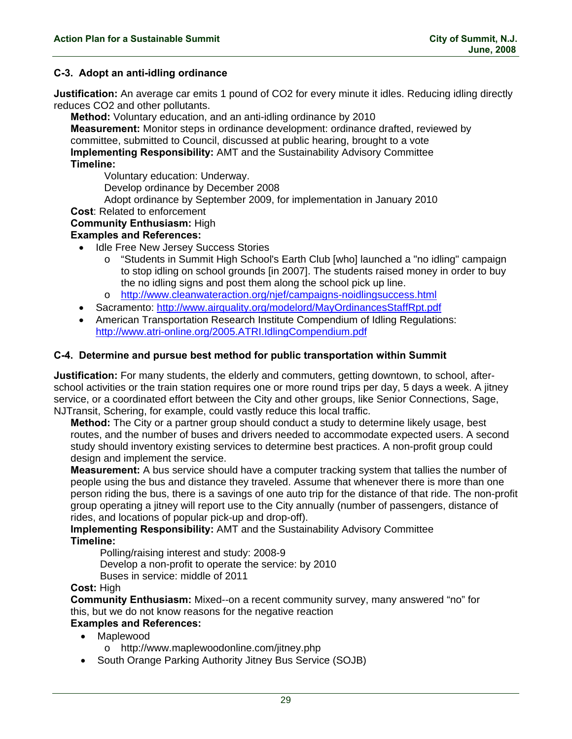#### **C-3. Adopt an anti-idling ordinance**

**Justification:** An average car emits 1 pound of CO2 for every minute it idles. Reducing idling directly reduces CO2 and other pollutants.

**Method:** Voluntary education, and an anti-idling ordinance by 2010 **Measurement:** Monitor steps in ordinance development: ordinance drafted, reviewed by committee, submitted to Council, discussed at public hearing, brought to a vote **Implementing Responsibility:** AMT and the Sustainability Advisory Committee **Timeline:** 

Voluntary education: Underway.

Develop ordinance by December 2008

Adopt ordinance by September 2009, for implementation in January 2010

**Cost**: Related to enforcement

#### **Community Enthusiasm:** High

#### **Examples and References:**

- Idle Free New Jersey Success Stories
	- o "Students in Summit High School's Earth Club [who] launched a "no idling" campaign to stop idling on school grounds [in 2007]. The students raised money in order to buy the no idling signs and post them along the school pick up line.
	- http://www.cleanwateraction.org/njef/campaigns-noidlingsuccess.html
- Sacramento: http://www.airquality.org/modelord/MayOrdinancesStaffRpt.pdf
- American Transportation Research Institute Compendium of Idling Regulations: http://www.atri-online.org/2005.ATRI.IdlingCompendium.pdf

#### **C-4. Determine and pursue best method for public transportation within Summit**

**Justification:** For many students, the elderly and commuters, getting downtown, to school, afterschool activities or the train station requires one or more round trips per day, 5 days a week. A jitney service, or a coordinated effort between the City and other groups, like Senior Connections, Sage, NJTransit, Schering, for example, could vastly reduce this local traffic.

**Method:** The City or a partner group should conduct a study to determine likely usage, best routes, and the number of buses and drivers needed to accommodate expected users. A second study should inventory existing services to determine best practices. A non-profit group could design and implement the service.

**Measurement:** A bus service should have a computer tracking system that tallies the number of people using the bus and distance they traveled. Assume that whenever there is more than one person riding the bus, there is a savings of one auto trip for the distance of that ride. The non-profit group operating a jitney will report use to the City annually (number of passengers, distance of rides, and locations of popular pick-up and drop-off).

**Implementing Responsibility:** AMT and the Sustainability Advisory Committee **Timeline:** 

Polling/raising interest and study: 2008-9

Develop a non-profit to operate the service: by 2010

Buses in service: middle of 2011

#### **Cost:** High

**Community Enthusiasm:** Mixed--on a recent community survey, many answered "no" for this, but we do not know reasons for the negative reaction

#### **Examples and References:**

- Maplewood
	- o http://www.maplewoodonline.com/jitney.php
- South Orange Parking Authority Jitney Bus Service (SOJB)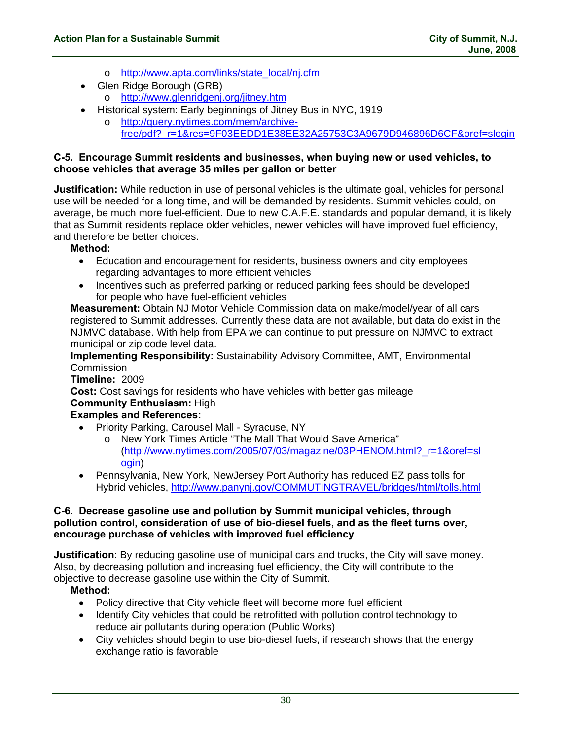- o http://www.apta.com/links/state\_local/nj.cfm
- Glen Ridge Borough (GRB)
	- o http://www.glenridgenj.org/jitney.htm
- Historical system: Early beginnings of Jitney Bus in NYC, 1919
	- o http://query.nytimes.com/mem/archivefree/pdf?\_r=1&res=9F03EEDD1E38EE32A25753C3A9679D946896D6CF&oref=slogin

#### **C-5. Encourage Summit residents and businesses, when buying new or used vehicles, to choose vehicles that average 35 miles per gallon or better**

**Justification:** While reduction in use of personal vehicles is the ultimate goal, vehicles for personal use will be needed for a long time, and will be demanded by residents. Summit vehicles could, on average, be much more fuel-efficient. Due to new C.A.F.E. standards and popular demand, it is likely that as Summit residents replace older vehicles, newer vehicles will have improved fuel efficiency, and therefore be better choices.

**Method:** 

- Education and encouragement for residents, business owners and city employees regarding advantages to more efficient vehicles
- Incentives such as preferred parking or reduced parking fees should be developed for people who have fuel-efficient vehicles

**Measurement:** Obtain NJ Motor Vehicle Commission data on make/model/year of all cars registered to Summit addresses. Currently these data are not available, but data do exist in the NJMVC database. With help from EPA we can continue to put pressure on NJMVC to extract municipal or zip code level data.

**Implementing Responsibility:** Sustainability Advisory Committee, AMT, Environmental **Commission** 

**Timeline:** 2009

**Cost:** Cost savings for residents who have vehicles with better gas mileage **Community Enthusiasm:** High

#### **Examples and References:**

- Priority Parking, Carousel Mall Syracuse, NY
	- o New York Times Article "The Mall That Would Save America" (http://www.nytimes.com/2005/07/03/magazine/03PHENOM.html?\_r=1&oref=sl ogin)
- Pennsylvania, New York, NewJersey Port Authority has reduced EZ pass tolls for Hybrid vehicles, http://www.panynj.gov/COMMUTINGTRAVEL/bridges/html/tolls.html

#### **C-6. Decrease gasoline use and pollution by Summit municipal vehicles, through pollution control, consideration of use of bio-diesel fuels, and as the fleet turns over, encourage purchase of vehicles with improved fuel efficiency**

**Justification**: By reducing gasoline use of municipal cars and trucks, the City will save money. Also, by decreasing pollution and increasing fuel efficiency, the City will contribute to the objective to decrease gasoline use within the City of Summit.

**Method:** 

- Policy directive that City vehicle fleet will become more fuel efficient
- Identify City vehicles that could be retrofitted with pollution control technology to reduce air pollutants during operation (Public Works)
- City vehicles should begin to use bio-diesel fuels, if research shows that the energy exchange ratio is favorable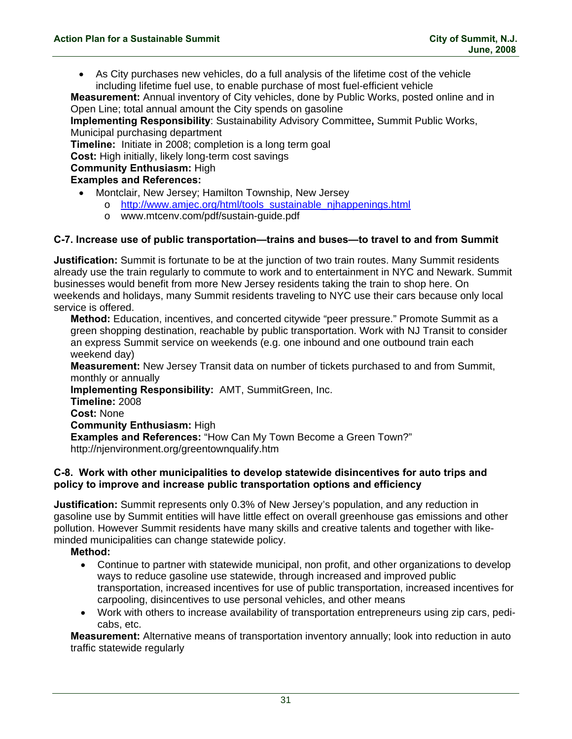• As City purchases new vehicles, do a full analysis of the lifetime cost of the vehicle including lifetime fuel use, to enable purchase of most fuel-efficient vehicle

**Measurement:** Annual inventory of City vehicles, done by Public Works, posted online and in Open Line; total annual amount the City spends on gasoline

**Implementing Responsibility**: Sustainability Advisory Committee**,** Summit Public Works, Municipal purchasing department

**Timeline:** Initiate in 2008; completion is a long term goal

**Cost:** High initially, likely long-term cost savings

**Community Enthusiasm:** High

#### **Examples and References:**

- Montclair, New Jersey; Hamilton Township, New Jersey
	- o http://www.amjec.org/html/tools\_sustainable\_njhappenings.html
	- o www.mtcenv.com/pdf/sustain-guide.pdf

#### **C-7. Increase use of public transportation—trains and buses—to travel to and from Summit**

**Justification:** Summit is fortunate to be at the junction of two train routes. Many Summit residents already use the train regularly to commute to work and to entertainment in NYC and Newark. Summit businesses would benefit from more New Jersey residents taking the train to shop here. On weekends and holidays, many Summit residents traveling to NYC use their cars because only local service is offered.

**Method:** Education, incentives, and concerted citywide "peer pressure." Promote Summit as a green shopping destination, reachable by public transportation. Work with NJ Transit to consider an express Summit service on weekends (e.g. one inbound and one outbound train each weekend day)

**Measurement:** New Jersey Transit data on number of tickets purchased to and from Summit, monthly or annually

**Implementing Responsibility:** AMT, SummitGreen, Inc.

**Timeline:** 2008

**Cost:** None

**Community Enthusiasm:** High

**Examples and References:** "How Can My Town Become a Green Town?" http://njenvironment.org/greentownqualify.htm

#### **C-8. Work with other municipalities to develop statewide disincentives for auto trips and policy to improve and increase public transportation options and efficiency**

**Justification:** Summit represents only 0.3% of New Jersey's population, and any reduction in gasoline use by Summit entities will have little effect on overall greenhouse gas emissions and other pollution. However Summit residents have many skills and creative talents and together with likeminded municipalities can change statewide policy.

**Method:**

- Continue to partner with statewide municipal, non profit, and other organizations to develop ways to reduce gasoline use statewide, through increased and improved public transportation, increased incentives for use of public transportation, increased incentives for carpooling, disincentives to use personal vehicles, and other means
- Work with others to increase availability of transportation entrepreneurs using zip cars, pedicabs, etc.

**Measurement:** Alternative means of transportation inventory annually; look into reduction in auto traffic statewide regularly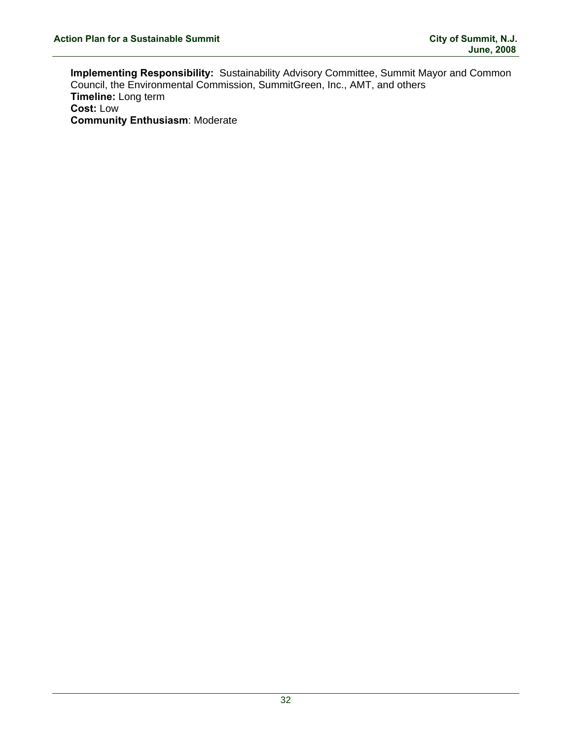**Implementing Responsibility:** Sustainability Advisory Committee, Summit Mayor and Common Council, the Environmental Commission, SummitGreen, Inc., AMT, and others **Timeline:** Long term **Cost:** Low **Community Enthusiasm**: Moderate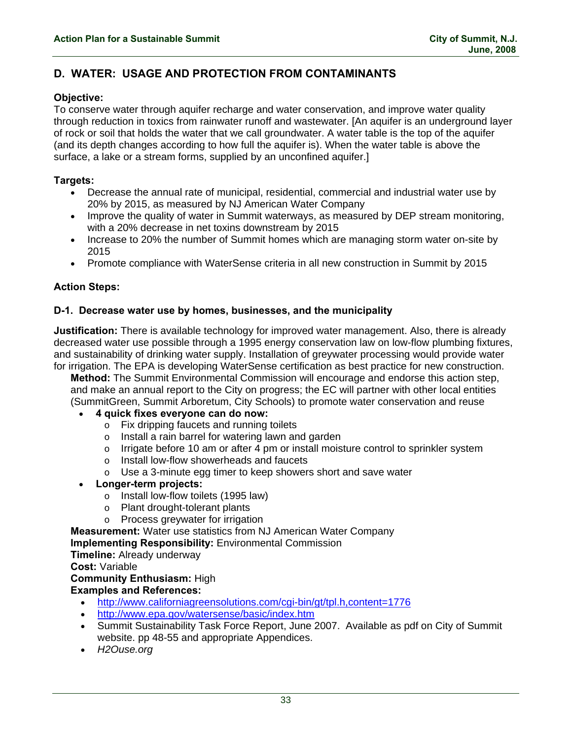#### **D. WATER: USAGE AND PROTECTION FROM CONTAMINANTS**

#### **Objective:**

To conserve water through aquifer recharge and water conservation, and improve water quality through reduction in toxics from rainwater runoff and wastewater. [An aquifer is an underground layer of rock or soil that holds the water that we call groundwater. A water table is the top of the aquifer (and its depth changes according to how full the aquifer is). When the water table is above the surface, a lake or a stream forms, supplied by an unconfined aquifer.]

#### **Targets:**

- Decrease the annual rate of municipal, residential, commercial and industrial water use by 20% by 2015, as measured by NJ American Water Company
- Improve the quality of water in Summit waterways, as measured by DEP stream monitoring, with a 20% decrease in net toxins downstream by 2015
- Increase to 20% the number of Summit homes which are managing storm water on-site by 2015
- Promote compliance with WaterSense criteria in all new construction in Summit by 2015

#### **Action Steps:**

#### **D-1. Decrease water use by homes, businesses, and the municipality**

**Justification:** There is available technology for improved water management. Also, there is already decreased water use possible through a 1995 energy conservation law on low-flow plumbing fixtures, and sustainability of drinking water supply. Installation of greywater processing would provide water for irrigation. The EPA is developing WaterSense certification as best practice for new construction.

**Method:** The Summit Environmental Commission will encourage and endorse this action step, and make an annual report to the City on progress; the EC will partner with other local entities (SummitGreen, Summit Arboretum, City Schools) to promote water conservation and reuse

#### • **4 quick fixes everyone can do now:**

- o Fix dripping faucets and running toilets
- o Install a rain barrel for watering lawn and garden
- $\circ$  Irrigate before 10 am or after 4 pm or install moisture control to sprinkler system
- o Install low-flow showerheads and faucets
- o Use a 3-minute egg timer to keep showers short and save water
- **Longer-term projects:** 
	- o Install low-flow toilets (1995 law)
	- o Plant drought-tolerant plants
	- o Process greywater for irrigation

**Measurement:** Water use statistics from NJ American Water Company

**Implementing Responsibility:** Environmental Commission

**Timeline:** Already underway

**Cost:** Variable

#### **Community Enthusiasm:** High

#### **Examples and References:**

- http://www.californiagreensolutions.com/cgi-bin/gt/tpl.h,content=1776
- http://www.epa.gov/watersense/basic/index.htm
- Summit Sustainability Task Force Report, June 2007. Available as pdf on City of Summit website. pp 48-55 and appropriate Appendices.
- *H2Ouse.org*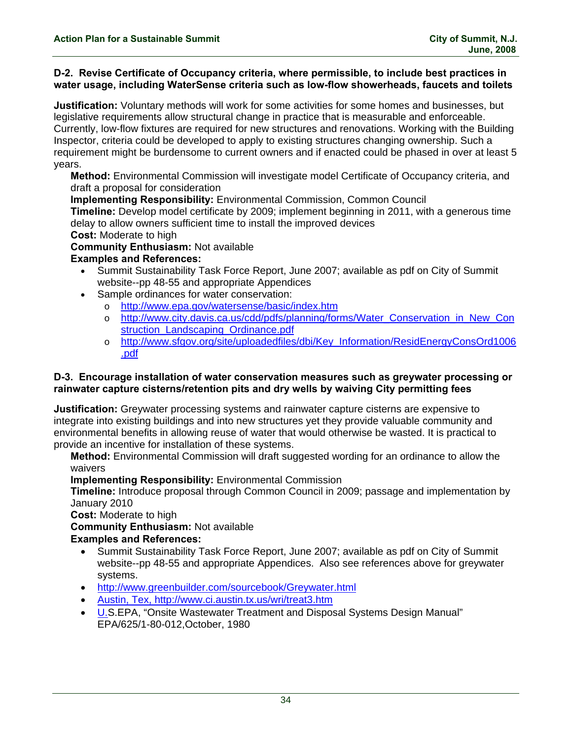#### **D-2. Revise Certificate of Occupancy criteria, where permissible, to include best practices in water usage, including WaterSense criteria such as low-flow showerheads, faucets and toilets**

**Justification:** Voluntary methods will work for some activities for some homes and businesses, but legislative requirements allow structural change in practice that is measurable and enforceable. Currently, low-flow fixtures are required for new structures and renovations. Working with the Building Inspector, criteria could be developed to apply to existing structures changing ownership. Such a requirement might be burdensome to current owners and if enacted could be phased in over at least 5 years.

**Method:** Environmental Commission will investigate model Certificate of Occupancy criteria, and draft a proposal for consideration

**Implementing Responsibility:** Environmental Commission, Common Council

**Timeline:** Develop model certificate by 2009; implement beginning in 2011, with a generous time delay to allow owners sufficient time to install the improved devices

**Cost:** Moderate to high

**Community Enthusiasm:** Not available

#### **Examples and References:**

- Summit Sustainability Task Force Report, June 2007; available as pdf on City of Summit website--pp 48-55 and appropriate Appendices
- Sample ordinances for water conservation:
	- o http://www.epa.gov/watersense/basic/index.htm
	- o http://www.city.davis.ca.us/cdd/pdfs/planning/forms/Water\_Conservation\_in\_New\_Con struction\_Landscaping\_Ordinance.pdf
	- o http://www.sfgov.org/site/uploadedfiles/dbi/Key\_Information/ResidEnergyConsOrd1006 .pdf

#### **D-3. Encourage installation of water conservation measures such as greywater processing or rainwater capture cisterns/retention pits and dry wells by waiving City permitting fees**

**Justification:** Greywater processing systems and rainwater capture cisterns are expensive to integrate into existing buildings and into new structures yet they provide valuable community and environmental benefits in allowing reuse of water that would otherwise be wasted. It is practical to provide an incentive for installation of these systems.

**Method:** Environmental Commission will draft suggested wording for an ordinance to allow the waivers

**Implementing Responsibility:** Environmental Commission

**Timeline:** Introduce proposal through Common Council in 2009; passage and implementation by January 2010

**Cost:** Moderate to high

**Community Enthusiasm:** Not available

#### **Examples and References:**

- Summit Sustainability Task Force Report, June 2007; available as pdf on City of Summit website--pp 48-55 and appropriate Appendices. Also see references above for greywater systems.
- http://www.greenbuilder.com/sourcebook/Greywater.html
- Austin, Tex, http://www.ci.austin.tx.us/wri/treat3.htm
- U.S.EPA, "Onsite Wastewater Treatment and Disposal Systems Design Manual" EPA/625/1-80-012,October, 1980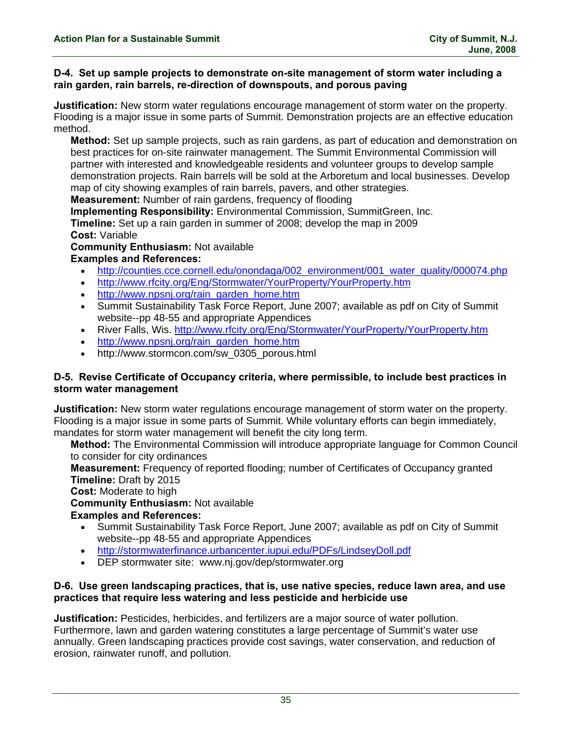#### **D-4. Set up sample projects to demonstrate on-site management of storm water including a rain garden, rain barrels, re-direction of downspouts, and porous paving**

**Justification:** New storm water regulations encourage management of storm water on the property. Flooding is a major issue in some parts of Summit. Demonstration projects are an effective education method.

**Method:** Set up sample projects, such as rain gardens, as part of education and demonstration on best practices for on-site rainwater management. The Summit Environmental Commission will partner with interested and knowledgeable residents and volunteer groups to develop sample demonstration projects. Rain barrels will be sold at the Arboretum and local businesses. Develop map of city showing examples of rain barrels, pavers, and other strategies.

**Measurement:** Number of rain gardens, frequency of flooding

**Implementing Responsibility:** Environmental Commission, SummitGreen, Inc.

**Timeline:** Set up a rain garden in summer of 2008; develop the map in 2009 **Cost:** Variable

**Community Enthusiasm:** Not available

#### **Examples and References:**

- http://counties.cce.cornell.edu/onondaga/002 environment/001 water quality/000074.php
- http://www.rfcity.org/Eng/Stormwater/YourProperty/YourProperty.htm
- http://www.npsnj.org/rain\_garden\_home.htm
- Summit Sustainability Task Force Report, June 2007; available as pdf on City of Summit website--pp 48-55 and appropriate Appendices
- River Falls, Wis. http://www.rfcity.org/Eng/Stormwater/YourProperty/YourProperty.htm
- http://www.npsnj.org/rain\_garden\_home.htm
- http://www.stormcon.com/sw\_0305\_porous.html

#### **D-5. Revise Certificate of Occupancy criteria, where permissible, to include best practices in storm water management**

**Justification:** New storm water regulations encourage management of storm water on the property. Flooding is a major issue in some parts of Summit. While voluntary efforts can begin immediately, mandates for storm water management will benefit the city long term.

**Method:** The Environmental Commission will introduce appropriate language for Common Council to consider for city ordinances

**Measurement:** Frequency of reported flooding; number of Certificates of Occupancy granted **Timeline:** Draft by 2015

**Cost:** Moderate to high

**Community Enthusiasm:** Not available

#### **Examples and References:**

- Summit Sustainability Task Force Report, June 2007; available as pdf on City of Summit website--pp 48-55 and appropriate Appendices
- http://stormwaterfinance.urbancenter.iupui.edu/PDFs/LindseyDoll.pdf
- DEP stormwater site: www.nj.gov/dep/stormwater.org

#### **D-6. Use green landscaping practices, that is, use native species, reduce lawn area, and use practices that require less watering and less pesticide and herbicide use**

**Justification:** Pesticides, herbicides, and fertilizers are a major source of water pollution. Furthermore, lawn and garden watering constitutes a large percentage of Summit's water use annually. Green landscaping practices provide cost savings, water conservation, and reduction of erosion, rainwater runoff, and pollution.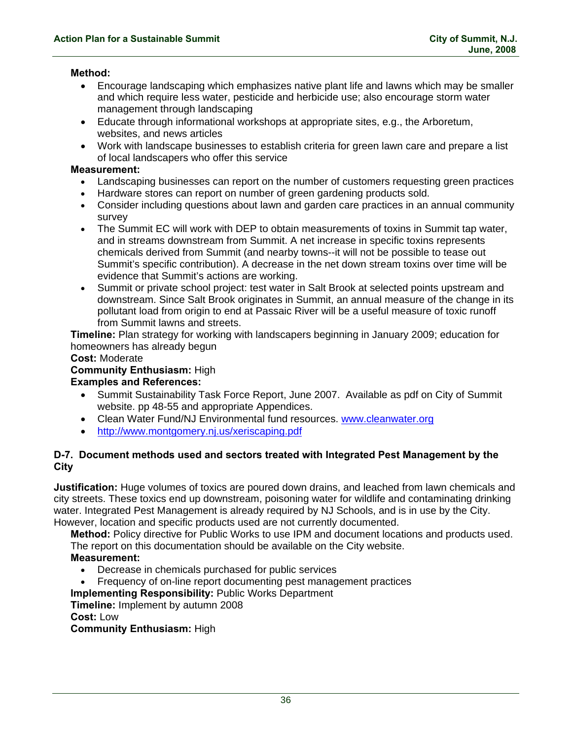#### **Method:**

- Encourage landscaping which emphasizes native plant life and lawns which may be smaller and which require less water, pesticide and herbicide use; also encourage storm water management through landscaping
- Educate through informational workshops at appropriate sites, e.g., the Arboretum, websites, and news articles
- Work with landscape businesses to establish criteria for green lawn care and prepare a list of local landscapers who offer this service

#### **Measurement:**

- Landscaping businesses can report on the number of customers requesting green practices
- Hardware stores can report on number of green gardening products sold.
- Consider including questions about lawn and garden care practices in an annual community survey
- The Summit EC will work with DEP to obtain measurements of toxins in Summit tap water, and in streams downstream from Summit. A net increase in specific toxins represents chemicals derived from Summit (and nearby towns--it will not be possible to tease out Summit's specific contribution). A decrease in the net down stream toxins over time will be evidence that Summit's actions are working.
- Summit or private school project: test water in Salt Brook at selected points upstream and downstream. Since Salt Brook originates in Summit, an annual measure of the change in its pollutant load from origin to end at Passaic River will be a useful measure of toxic runoff from Summit lawns and streets.

**Timeline:** Plan strategy for working with landscapers beginning in January 2009; education for homeowners has already begun

#### **Cost:** Moderate

#### **Community Enthusiasm:** High

#### **Examples and References:**

- Summit Sustainability Task Force Report, June 2007. Available as pdf on City of Summit website. pp 48-55 and appropriate Appendices.
- Clean Water Fund/NJ Environmental fund resources. www.cleanwater.org
- http://www.montgomery.nj.us/xeriscaping.pdf

#### **D-7. Document methods used and sectors treated with Integrated Pest Management by the City**

**Justification:** Huge volumes of toxics are poured down drains, and leached from lawn chemicals and city streets. These toxics end up downstream, poisoning water for wildlife and contaminating drinking water. Integrated Pest Management is already required by NJ Schools, and is in use by the City. However, location and specific products used are not currently documented.

**Method:** Policy directive for Public Works to use IPM and document locations and products used. The report on this documentation should be available on the City website.

#### **Measurement:**

- Decrease in chemicals purchased for public services
- Frequency of on-line report documenting pest management practices

#### **Implementing Responsibility:** Public Works Department

**Timeline:** Implement by autumn 2008

**Cost:** Low

**Community Enthusiasm:** High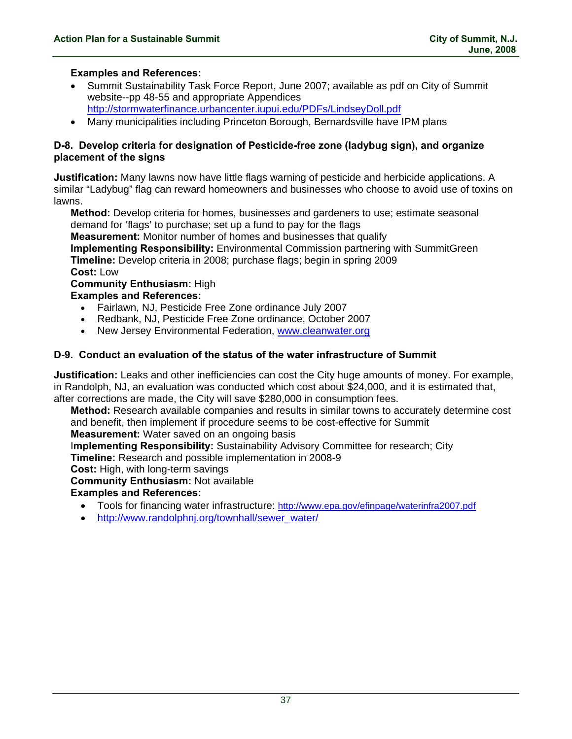#### **Examples and References:**

- Summit Sustainability Task Force Report, June 2007; available as pdf on City of Summit website--pp 48-55 and appropriate Appendices http://stormwaterfinance.urbancenter.iupui.edu/PDFs/LindseyDoll.pdf
- Many municipalities including Princeton Borough, Bernardsville have IPM plans

#### **D-8. Develop criteria for designation of Pesticide-free zone (ladybug sign), and organize placement of the signs**

**Justification:** Many lawns now have little flags warning of pesticide and herbicide applications. A similar "Ladybug" flag can reward homeowners and businesses who choose to avoid use of toxins on lawns.

**Method:** Develop criteria for homes, businesses and gardeners to use; estimate seasonal demand for 'flags' to purchase; set up a fund to pay for the flags

**Measurement:** Monitor number of homes and businesses that qualify

**Implementing Responsibility:** Environmental Commission partnering with SummitGreen **Timeline:** Develop criteria in 2008; purchase flags; begin in spring 2009

**Cost:** Low

#### **Community Enthusiasm:** High

#### **Examples and References:**

- Fairlawn, NJ, Pesticide Free Zone ordinance July 2007
- Redbank, NJ, Pesticide Free Zone ordinance, October 2007
- New Jersey Environmental Federation, www.cleanwater.org

#### **D-9. Conduct an evaluation of the status of the water infrastructure of Summit**

**Justification:** Leaks and other inefficiencies can cost the City huge amounts of money. For example, in Randolph, NJ, an evaluation was conducted which cost about \$24,000, and it is estimated that, after corrections are made, the City will save \$280,000 in consumption fees.

**Method:** Research available companies and results in similar towns to accurately determine cost and benefit, then implement if procedure seems to be cost-effective for Summit

**Measurement:** Water saved on an ongoing basis

I**mplementing Responsibility:** Sustainability Advisory Committee for research; City

**Timeline:** Research and possible implementation in 2008-9

**Cost:** High, with long-term savings

**Community Enthusiasm:** Not available

#### **Examples and References:**

- Tools for financing water infrastructure: http://www.epa.gov/efinpage/waterinfra2007.pdf
- http://www.randolphni.org/townhall/sewer\_water/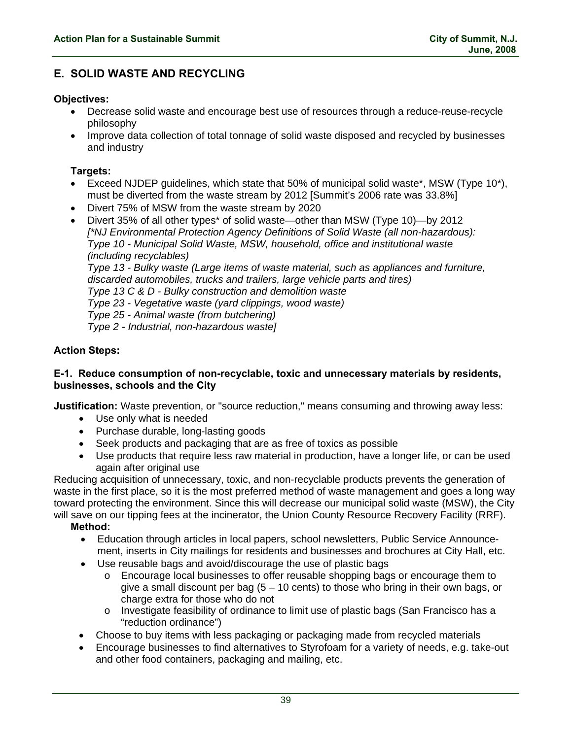## **E. SOLID WASTE AND RECYCLING**

#### **Objectives:**

- Decrease solid waste and encourage best use of resources through a reduce-reuse-recycle philosophy
- Improve data collection of total tonnage of solid waste disposed and recycled by businesses and industry

#### **Targets:**

- Exceed NJDEP guidelines, which state that 50% of municipal solid waste\*, MSW (Type 10\*), must be diverted from the waste stream by 2012 [Summit's 2006 rate was 33.8%]
- Divert 75% of MSW from the waste stream by 2020
- Divert 35% of all other types\* of solid waste—other than MSW (Type 10)—by 2012 *[\*NJ Environmental Protection Agency Definitions of Solid Waste (all non-hazardous): Type 10 - Municipal Solid Waste, MSW, household, office and institutional waste (including recyclables)*

*Type 13 - Bulky waste (Large items of waste material, such as appliances and furniture, discarded automobiles, trucks and trailers, large vehicle parts and tires)* 

*Type 13 C & D - Bulky construction and demolition waste* 

*Type 23 - Vegetative waste (yard clippings, wood waste)* 

*Type 25 - Animal waste (from butchering)* 

*Type 2 - Industrial, non-hazardous waste]* 

#### **Action Steps:**

#### **E-1. Reduce consumption of non-recyclable, toxic and unnecessary materials by residents, businesses, schools and the City**

**Justification:** Waste prevention, or "source reduction," means consuming and throwing away less:

- Use only what is needed
- Purchase durable, long-lasting goods
- Seek products and packaging that are as free of toxics as possible
- Use products that require less raw material in production, have a longer life, or can be used again after original use

Reducing acquisition of unnecessary, toxic, and non-recyclable products prevents the generation of waste in the first place, so it is the most preferred method of waste management and goes a long way toward protecting the environment. Since this will decrease our municipal solid waste (MSW), the City will save on our tipping fees at the incinerator, the Union County Resource Recovery Facility (RRF).

#### **Method:**

- Education through articles in local papers, school newsletters, Public Service Announcement, inserts in City mailings for residents and businesses and brochures at City Hall, etc.
- Use reusable bags and avoid/discourage the use of plastic bags
	- o Encourage local businesses to offer reusable shopping bags or encourage them to give a small discount per bag  $(5 - 10 \text{ cents})$  to those who bring in their own bags, or charge extra for those who do not
	- o Investigate feasibility of ordinance to limit use of plastic bags (San Francisco has a "reduction ordinance")
- Choose to buy items with less packaging or packaging made from recycled materials
- Encourage businesses to find alternatives to Styrofoam for a variety of needs, e.g. take-out and other food containers, packaging and mailing, etc.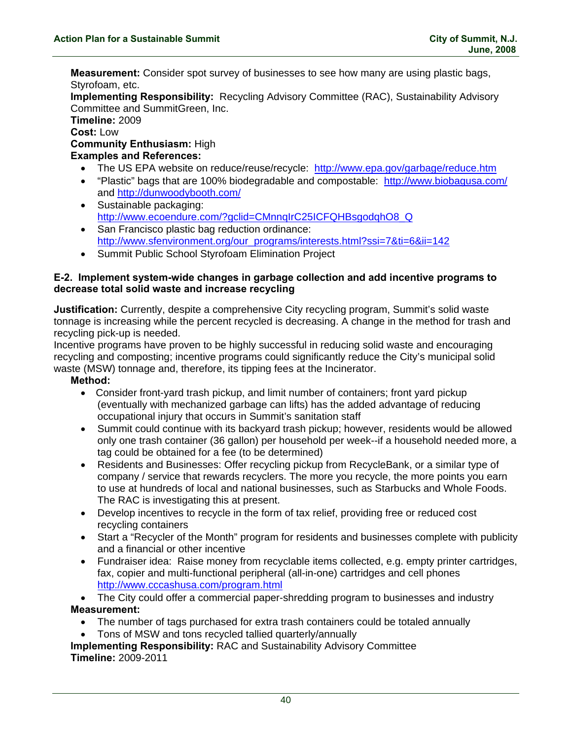**Measurement:** Consider spot survey of businesses to see how many are using plastic bags, Styrofoam, etc.

**Implementing Responsibility:** Recycling Advisory Committee (RAC), Sustainability Advisory Committee and SummitGreen, Inc.

**Timeline:** 2009 **Cost:** Low

**Community Enthusiasm:** High

- **Examples and References:**
	- The US EPA website on reduce/reuse/recycle: http://www.epa.gov/garbage/reduce.htm
	- "Plastic" bags that are 100% biodegradable and compostable: http://www.biobagusa.com/ and http://dunwoodybooth.com/
	- Sustainable packaging: http://www.ecoendure.com/?gclid=CMnngIrC25ICFQHBsgodghO8\_Q
	- San Francisco plastic bag reduction ordinance: http://www.sfenvironment.org/our\_programs/interests.html?ssi=7&ti=6&ii=142
	- Summit Public School Styrofoam Elimination Project

#### **E-2. Implement system-wide changes in garbage collection and add incentive programs to decrease total solid waste and increase recycling**

**Justification:** Currently, despite a comprehensive City recycling program, Summit's solid waste tonnage is increasing while the percent recycled is decreasing. A change in the method for trash and recycling pick-up is needed.

Incentive programs have proven to be highly successful in reducing solid waste and encouraging recycling and composting; incentive programs could significantly reduce the City's municipal solid waste (MSW) tonnage and, therefore, its tipping fees at the Incinerator.

**Method:**

- Consider front-yard trash pickup, and limit number of containers; front yard pickup (eventually with mechanized garbage can lifts) has the added advantage of reducing occupational injury that occurs in Summit's sanitation staff
- Summit could continue with its backyard trash pickup; however, residents would be allowed only one trash container (36 gallon) per household per week--if a household needed more, a tag could be obtained for a fee (to be determined)
- Residents and Businesses: Offer recycling pickup from RecycleBank, or a similar type of company / service that rewards recyclers. The more you recycle, the more points you earn to use at hundreds of local and national businesses, such as Starbucks and Whole Foods. The RAC is investigating this at present.
- Develop incentives to recycle in the form of tax relief, providing free or reduced cost recycling containers
- Start a "Recycler of the Month" program for residents and businesses complete with publicity and a financial or other incentive
- Fundraiser idea: Raise money from recyclable items collected, e.g. empty printer cartridges, fax, copier and multi-functional peripheral (all-in-one) cartridges and cell phones http://www.cccashusa.com/program.html
- The City could offer a commercial paper-shredding program to businesses and industry **Measurement:** 
	- The number of tags purchased for extra trash containers could be totaled annually
	- Tons of MSW and tons recycled tallied quarterly/annually

**Implementing Responsibility:** RAC and Sustainability Advisory Committee **Timeline:** 2009-2011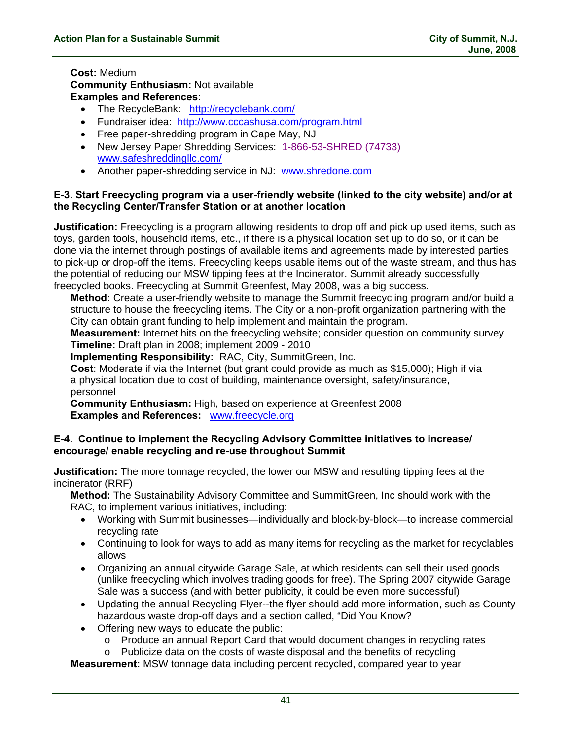#### **Cost:** Medium **Community Enthusiasm:** Not available **Examples and References**:

- The RecycleBank: http://recyclebank.com/
- Fundraiser idea: http://www.cccashusa.com/program.html
- Free paper-shredding program in Cape May, NJ
- New Jersey Paper Shredding Services: 1-866-53-SHRED (74733) www.safeshreddingllc.com/
- Another paper-shredding service in NJ: www.shredone.com

#### **E-3. Start Freecycling program via a user-friendly website (linked to the city website) and/or at the Recycling Center/Transfer Station or at another location**

**Justification:** Freecycling is a program allowing residents to drop off and pick up used items, such as toys, garden tools, household items, etc., if there is a physical location set up to do so, or it can be done via the internet through postings of available items and agreements made by interested parties to pick-up or drop-off the items. Freecycling keeps usable items out of the waste stream, and thus has the potential of reducing our MSW tipping fees at the Incinerator. Summit already successfully freecycled books. Freecycling at Summit Greenfest, May 2008, was a big success.

**Method:** Create a user-friendly website to manage the Summit freecycling program and/or build a structure to house the freecycling items. The City or a non-profit organization partnering with the City can obtain grant funding to help implement and maintain the program.

**Measurement:** Internet hits on the freecycling website; consider question on community survey **Timeline:** Draft plan in 2008; implement 2009 - 2010

**Implementing Responsibility:** RAC, City, SummitGreen, Inc.

**Cost**: Moderate if via the Internet (but grant could provide as much as \$15,000); High if via a physical location due to cost of building, maintenance oversight, safety/insurance, personnel

**Community Enthusiasm:** High, based on experience at Greenfest 2008 **Examples and References:** www.freecycle.org

#### **E-4. Continue to implement the Recycling Advisory Committee initiatives to increase/ encourage/ enable recycling and re-use throughout Summit**

**Justification:** The more tonnage recycled, the lower our MSW and resulting tipping fees at the incinerator (RRF)

**Method:** The Sustainability Advisory Committee and SummitGreen, Inc should work with the RAC, to implement various initiatives, including:

- Working with Summit businesses—individually and block-by-block—to increase commercial recycling rate
- Continuing to look for ways to add as many items for recycling as the market for recyclables allows
- Organizing an annual citywide Garage Sale, at which residents can sell their used goods (unlike freecycling which involves trading goods for free). The Spring 2007 citywide Garage Sale was a success (and with better publicity, it could be even more successful)
- Updating the annual Recycling Flyer--the flyer should add more information, such as County hazardous waste drop-off days and a section called, "Did You Know?
- Offering new ways to educate the public:
	- o Produce an annual Report Card that would document changes in recycling rates
	- o Publicize data on the costs of waste disposal and the benefits of recycling

**Measurement:** MSW tonnage data including percent recycled, compared year to year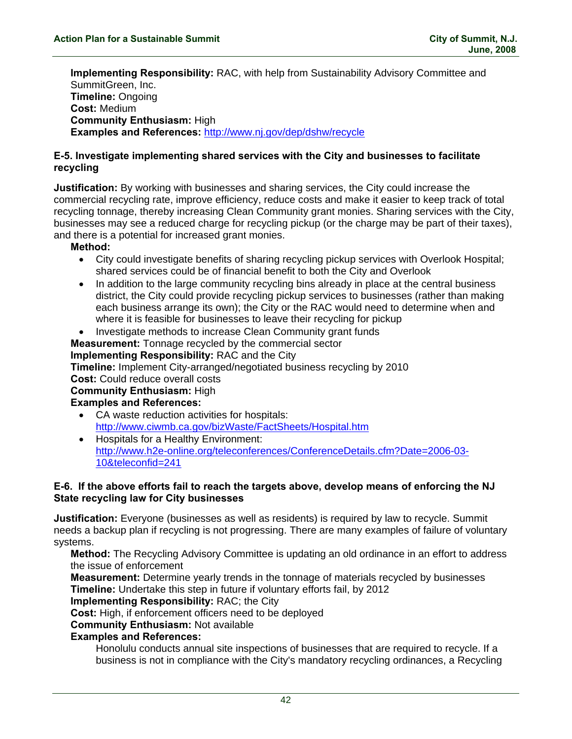**Implementing Responsibility:** RAC, with help from Sustainability Advisory Committee and SummitGreen, Inc. **Timeline:** Ongoing **Cost:** Medium **Community Enthusiasm:** High **Examples and References:** http://www.nj.gov/dep/dshw/recycle

#### **E-5. Investigate implementing shared services with the City and businesses to facilitate recycling**

**Justification:** By working with businesses and sharing services, the City could increase the commercial recycling rate, improve efficiency, reduce costs and make it easier to keep track of total recycling tonnage, thereby increasing Clean Community grant monies. Sharing services with the City, businesses may see a reduced charge for recycling pickup (or the charge may be part of their taxes), and there is a potential for increased grant monies.

**Method:**

- City could investigate benefits of sharing recycling pickup services with Overlook Hospital; shared services could be of financial benefit to both the City and Overlook
- In addition to the large community recycling bins already in place at the central business district, the City could provide recycling pickup services to businesses (rather than making each business arrange its own); the City or the RAC would need to determine when and where it is feasible for businesses to leave their recycling for pickup

• Investigate methods to increase Clean Community grant funds **Measurement:** Tonnage recycled by the commercial sector **Implementing Responsibility:** RAC and the City **Timeline:** Implement City-arranged/negotiated business recycling by 2010 **Cost:** Could reduce overall costs **Community Enthusiasm:** High **Examples and References:** 

- CA waste reduction activities for hospitals: http://www.ciwmb.ca.gov/bizWaste/FactSheets/Hospital.htm
- Hospitals for a Healthy Environment: http://www.h2e-online.org/teleconferences/ConferenceDetails.cfm?Date=2006-03- 10&teleconfid=241

#### **E-6. If the above efforts fail to reach the targets above, develop means of enforcing the NJ State recycling law for City businesses**

**Justification:** Everyone (businesses as well as residents) is required by law to recycle. Summit needs a backup plan if recycling is not progressing. There are many examples of failure of voluntary systems.

**Method:** The Recycling Advisory Committee is updating an old ordinance in an effort to address the issue of enforcement

**Measurement:** Determine yearly trends in the tonnage of materials recycled by businesses **Timeline:** Undertake this step in future if voluntary efforts fail, by 2012

**Implementing Responsibility:** RAC; the City

**Cost:** High, if enforcement officers need to be deployed

**Community Enthusiasm:** Not available

### **Examples and References:**

Honolulu conducts annual site inspections of businesses that are required to recycle. If a business is not in compliance with the City's mandatory recycling ordinances, a Recycling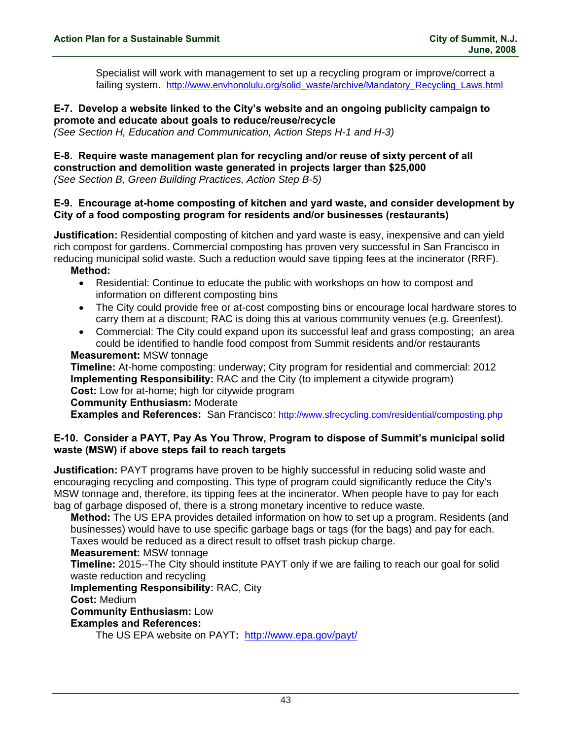Specialist will work with management to set up a recycling program or improve/correct a failing system. http://www.envhonolulu.org/solid\_waste/archive/Mandatory\_Recycling\_Laws.html

## **E-7. Develop a website linked to the City's website and an ongoing publicity campaign to promote and educate about goals to reduce/reuse/recycle**

*(See Section H, Education and Communication, Action Steps H-1 and H-3)*

#### **E-8. Require waste management plan for recycling and/or reuse of sixty percent of all construction and demolition waste generated in projects larger than \$25,000**  *(See Section B, Green Building Practices, Action Step B-5)*

#### **E-9. Encourage at-home composting of kitchen and yard waste, and consider development by City of a food composting program for residents and/or businesses (restaurants)**

**Justification:** Residential composting of kitchen and yard waste is easy, inexpensive and can yield rich compost for gardens. Commercial composting has proven very successful in San Francisco in reducing municipal solid waste. Such a reduction would save tipping fees at the incinerator (RRF).

**Method:**

- Residential: Continue to educate the public with workshops on how to compost and information on different composting bins
- The City could provide free or at-cost composting bins or encourage local hardware stores to carry them at a discount; RAC is doing this at various community venues (e.g. Greenfest).
- Commercial: The City could expand upon its successful leaf and grass composting; an area could be identified to handle food compost from Summit residents and/or restaurants

**Measurement:** MSW tonnage

**Timeline:** At-home composting: underway; City program for residential and commercial: 2012 **Implementing Responsibility:** RAC and the City (to implement a citywide program) **Cost:** Low for at-home; high for citywide program

**Community Enthusiasm:** Moderate

**Examples and References:** San Francisco: http://www.sfrecycling.com/residential/composting.php

#### **E-10. Consider a PAYT, Pay As You Throw, Program to dispose of Summit's municipal solid waste (MSW) if above steps fail to reach targets**

**Justification:** PAYT programs have proven to be highly successful in reducing solid waste and encouraging recycling and composting. This type of program could significantly reduce the City's MSW tonnage and, therefore, its tipping fees at the incinerator. When people have to pay for each bag of garbage disposed of, there is a strong monetary incentive to reduce waste.

**Method:** The US EPA provides detailed information on how to set up a program. Residents (and businesses) would have to use specific garbage bags or tags (for the bags) and pay for each. Taxes would be reduced as a direct result to offset trash pickup charge.

**Measurement:** MSW tonnage

**Timeline:** 2015--The City should institute PAYT only if we are failing to reach our goal for solid waste reduction and recycling

**Implementing Responsibility:** RAC, City

**Cost:** Medium

**Community Enthusiasm:** Low

#### **Examples and References:**

The US EPA website on PAYT**:** http://www.epa.gov/payt/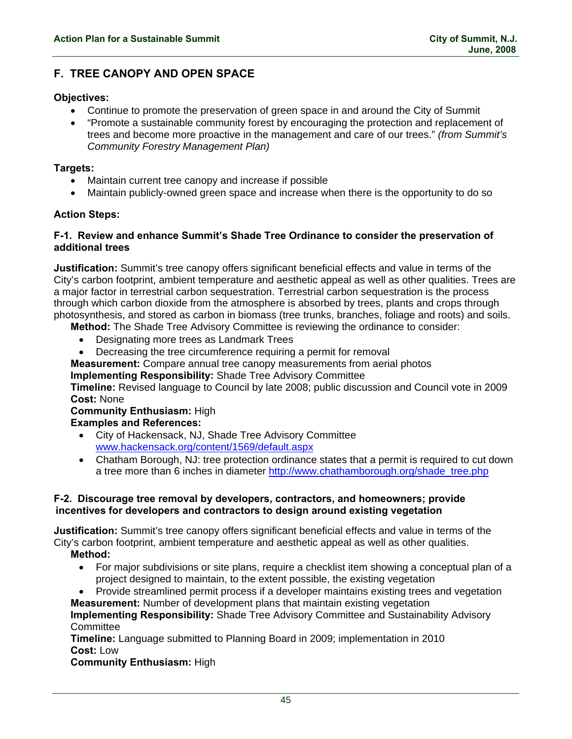## **F. TREE CANOPY AND OPEN SPACE**

#### **Objectives:**

- Continue to promote the preservation of green space in and around the City of Summit
- "Promote a sustainable community forest by encouraging the protection and replacement of trees and become more proactive in the management and care of our trees." *(from Summit's Community Forestry Management Plan)*

#### **Targets:**

- Maintain current tree canopy and increase if possible
- Maintain publicly-owned green space and increase when there is the opportunity to do so

#### **Action Steps:**

#### **F-1. Review and enhance Summit's Shade Tree Ordinance to consider the preservation of additional trees**

**Justification:** Summit's tree canopy offers significant beneficial effects and value in terms of the City's carbon footprint, ambient temperature and aesthetic appeal as well as other qualities. Trees are a major factor in terrestrial carbon sequestration. Terrestrial carbon sequestration is the process through which carbon dioxide from the atmosphere is absorbed by trees, plants and crops through photosynthesis, and stored as carbon in biomass (tree trunks, branches, foliage and roots) and soils.

**Method:** The Shade Tree Advisory Committee is reviewing the ordinance to consider:

- Designating more trees as Landmark Trees
- Decreasing the tree circumference requiring a permit for removal
- **Measurement:** Compare annual tree canopy measurements from aerial photos

**Implementing Responsibility:** Shade Tree Advisory Committee

**Timeline:** Revised language to Council by late 2008; public discussion and Council vote in 2009 **Cost:** None

#### **Community Enthusiasm:** High

#### **Examples and References:**

- City of Hackensack, NJ, Shade Tree Advisory Committee www.hackensack.org/content/1569/default.aspx
- Chatham Borough, NJ: tree protection ordinance states that a permit is required to cut down a tree more than 6 inches in diameter http://www.chathamborough.org/shade\_tree.php

#### **F-2. Discourage tree removal by developers, contractors, and homeowners; provide incentives for developers and contractors to design around existing vegetation**

**Justification:** Summit's tree canopy offers significant beneficial effects and value in terms of the City's carbon footprint, ambient temperature and aesthetic appeal as well as other qualities.

- **Method:** 
	- For major subdivisions or site plans, require a checklist item showing a conceptual plan of a project designed to maintain, to the extent possible, the existing vegetation
- Provide streamlined permit process if a developer maintains existing trees and vegetation **Measurement:** Number of development plans that maintain existing vegetation

**Implementing Responsibility:** Shade Tree Advisory Committee and Sustainability Advisory **Committee** 

**Timeline:** Language submitted to Planning Board in 2009; implementation in 2010 **Cost:** Low

**Community Enthusiasm:** High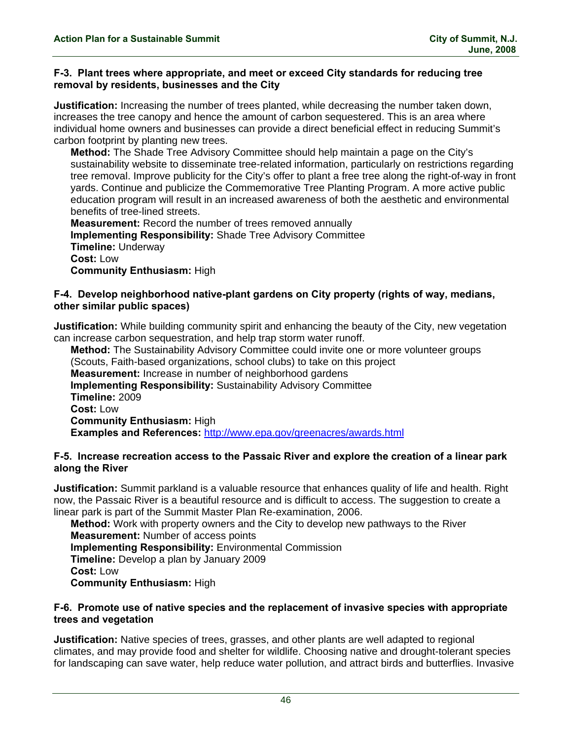#### **F-3. Plant trees where appropriate, and meet or exceed City standards for reducing tree removal by residents, businesses and the City**

**Justification:** Increasing the number of trees planted, while decreasing the number taken down, increases the tree canopy and hence the amount of carbon sequestered. This is an area where individual home owners and businesses can provide a direct beneficial effect in reducing Summit's carbon footprint by planting new trees.

**Method:** The Shade Tree Advisory Committee should help maintain a page on the City's sustainability website to disseminate tree-related information, particularly on restrictions regarding tree removal. Improve publicity for the City's offer to plant a free tree along the right-of-way in front yards. Continue and publicize the Commemorative Tree Planting Program. A more active public education program will result in an increased awareness of both the aesthetic and environmental benefits of tree-lined streets.

**Measurement:** Record the number of trees removed annually **Implementing Responsibility:** Shade Tree Advisory Committee **Timeline:** Underway **Cost:** Low **Community Enthusiasm:** High

#### **F-4. Develop neighborhood native-plant gardens on City property (rights of way, medians, other similar public spaces)**

**Justification:** While building community spirit and enhancing the beauty of the City, new vegetation can increase carbon sequestration, and help trap storm water runoff.

**Method:** The Sustainability Advisory Committee could invite one or more volunteer groups (Scouts, Faith-based organizations, school clubs) to take on this project **Measurement:** Increase in number of neighborhood gardens **Implementing Responsibility:** Sustainability Advisory Committee **Timeline:** 2009 **Cost:** Low **Community Enthusiasm:** High **Examples and References:** http://www.epa.gov/greenacres/awards.html

#### **F-5. Increase recreation access to the Passaic River and explore the creation of a linear park along the River**

**Justification:** Summit parkland is a valuable resource that enhances quality of life and health. Right now, the Passaic River is a beautiful resource and is difficult to access. The suggestion to create a linear park is part of the Summit Master Plan Re-examination, 2006.

**Method:** Work with property owners and the City to develop new pathways to the River **Measurement:** Number of access points **Implementing Responsibility:** Environmental Commission **Timeline:** Develop a plan by January 2009 **Cost:** Low **Community Enthusiasm:** High

#### **F-6. Promote use of native species and the replacement of invasive species with appropriate trees and vegetation**

**Justification:** Native species of trees, grasses, and other plants are well adapted to regional climates, and may provide food and shelter for wildlife. Choosing native and drought-tolerant species for landscaping can save water, help reduce water pollution, and attract birds and butterflies. Invasive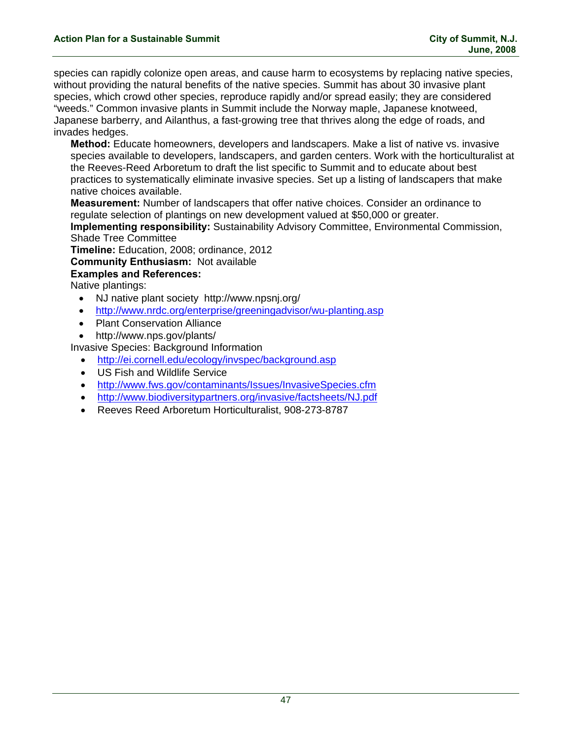species can rapidly colonize open areas, and cause harm to ecosystems by replacing native species, without providing the natural benefits of the native species. Summit has about 30 invasive plant species, which crowd other species, reproduce rapidly and/or spread easily; they are considered "weeds." Common invasive plants in Summit include the Norway maple, Japanese knotweed, Japanese barberry, and Ailanthus, a fast-growing tree that thrives along the edge of roads, and invades hedges.

**Method:** Educate homeowners, developers and landscapers. Make a list of native vs. invasive species available to developers, landscapers, and garden centers. Work with the horticulturalist at the Reeves-Reed Arboretum to draft the list specific to Summit and to educate about best practices to systematically eliminate invasive species. Set up a listing of landscapers that make native choices available.

**Measurement:** Number of landscapers that offer native choices. Consider an ordinance to regulate selection of plantings on new development valued at \$50,000 or greater.

**Implementing responsibility:** Sustainability Advisory Committee, Environmental Commission, Shade Tree Committee

**Timeline:** Education, 2008; ordinance, 2012

**Community Enthusiasm:** Not available

#### **Examples and References:**

Native plantings:

- NJ native plant society http://www.npsnj.org/
- http://www.nrdc.org/enterprise/greeningadvisor/wu-planting.asp
- Plant Conservation Alliance
- http://www.nps.gov/plants/

Invasive Species: Background Information

- http://ei.cornell.edu/ecology/invspec/background.asp
- US Fish and Wildlife Service
- http://www.fws.gov/contaminants/Issues/InvasiveSpecies.cfm
- http://www.biodiversitypartners.org/invasive/factsheets/NJ.pdf
- Reeves Reed Arboretum Horticulturalist, 908-273-8787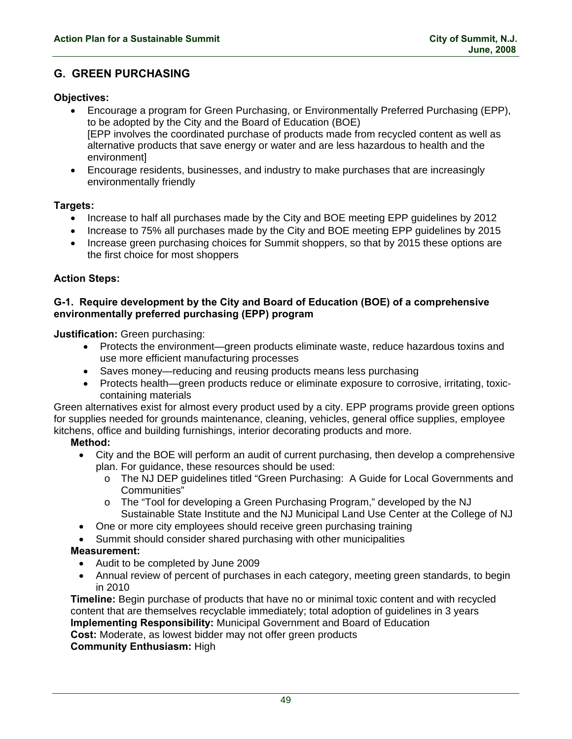## **G. GREEN PURCHASING**

#### **Objectives:**

- Encourage a program for Green Purchasing, or Environmentally Preferred Purchasing (EPP), to be adopted by the City and the Board of Education (BOE) [EPP involves the coordinated purchase of products made from recycled content as well as alternative products that save energy or water and are less hazardous to health and the environment]
- Encourage residents, businesses, and industry to make purchases that are increasingly environmentally friendly

#### **Targets:**

- Increase to half all purchases made by the City and BOE meeting EPP guidelines by 2012
- Increase to 75% all purchases made by the City and BOE meeting EPP guidelines by 2015
- Increase green purchasing choices for Summit shoppers, so that by 2015 these options are the first choice for most shoppers

#### **Action Steps:**

#### **G-1. Require development by the City and Board of Education (BOE) of a comprehensive environmentally preferred purchasing (EPP) program**

**Justification:** Green purchasing:

- Protects the environment—green products eliminate waste, reduce hazardous toxins and use more efficient manufacturing processes
- Saves money—reducing and reusing products means less purchasing
- Protects health—green products reduce or eliminate exposure to corrosive, irritating, toxiccontaining materials

Green alternatives exist for almost every product used by a city. EPP programs provide green options for supplies needed for grounds maintenance, cleaning, vehicles, general office supplies, employee kitchens, office and building furnishings, interior decorating products and more.

#### **Method:**

- City and the BOE will perform an audit of current purchasing, then develop a comprehensive plan. For guidance, these resources should be used:
	- o The NJ DEP guidelines titled "Green Purchasing: A Guide for Local Governments and Communities"
	- o The "Tool for developing a Green Purchasing Program," developed by the NJ Sustainable State Institute and the NJ Municipal Land Use Center at the College of NJ
- One or more city employees should receive green purchasing training
- Summit should consider shared purchasing with other municipalities

#### **Measurement:**

- Audit to be completed by June 2009
- Annual review of percent of purchases in each category, meeting green standards, to begin in 2010

**Timeline:** Begin purchase of products that have no or minimal toxic content and with recycled content that are themselves recyclable immediately; total adoption of guidelines in 3 years **Implementing Responsibility:** Municipal Government and Board of Education **Cost:** Moderate, as lowest bidder may not offer green products

**Community Enthusiasm:** High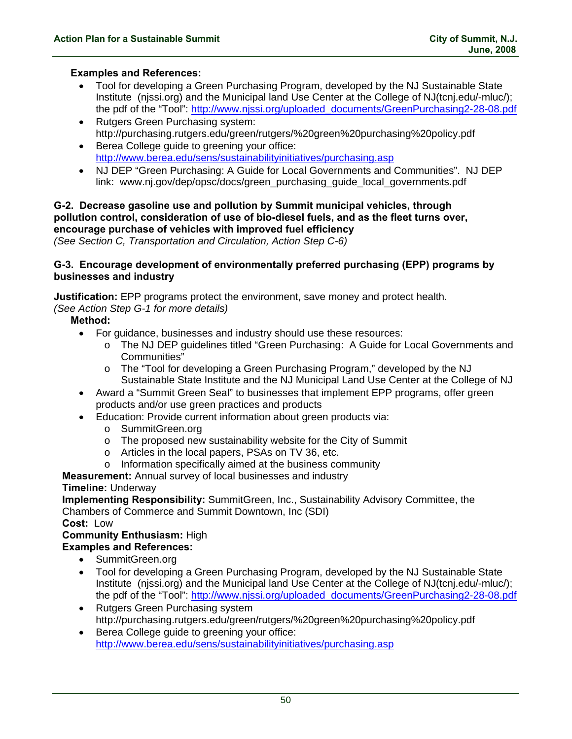#### **Examples and References:**

- Tool for developing a Green Purchasing Program, developed by the NJ Sustainable State Institute (njssi.org) and the Municipal land Use Center at the College of NJ(tcnj.edu/-mluc/); the pdf of the "Tool": http://www.njssi.org/uploaded\_documents/GreenPurchasing2-28-08.pdf
- Rutgers Green Purchasing system: http://purchasing.rutgers.edu/green/rutgers/%20green%20purchasing%20policy.pdf
- Berea College guide to greening your office: http://www.berea.edu/sens/sustainabilityinitiatives/purchasing.asp
- NJ DEP "Green Purchasing: A Guide for Local Governments and Communities". NJ DEP link: www.nj.gov/dep/opsc/docs/green\_purchasing\_guide\_local\_governments.pdf

#### **G-2. Decrease gasoline use and pollution by Summit municipal vehicles, through pollution control, consideration of use of bio-diesel fuels, and as the fleet turns over, encourage purchase of vehicles with improved fuel efficiency**

*(See Section C, Transportation and Circulation, Action Step C-6)* 

#### **G-3. Encourage development of environmentally preferred purchasing (EPP) programs by businesses and industry**

**Justification:** EPP programs protect the environment, save money and protect health. *(See Action Step G-1 for more details)* 

**Method:** 

- For guidance, businesses and industry should use these resources:
	- o The NJ DEP guidelines titled "Green Purchasing: A Guide for Local Governments and Communities"
	- o The "Tool for developing a Green Purchasing Program," developed by the NJ Sustainable State Institute and the NJ Municipal Land Use Center at the College of NJ
- Award a "Summit Green Seal" to businesses that implement EPP programs, offer green products and/or use green practices and products
- Education: Provide current information about green products via:
	- o SummitGreen.org
	- o The proposed new sustainability website for the City of Summit
	- o Articles in the local papers, PSAs on TV 36, etc.
	- o Information specifically aimed at the business community

**Measurement:** Annual survey of local businesses and industry

#### **Timeline:** Underway

**Implementing Responsibility:** SummitGreen, Inc., Sustainability Advisory Committee, the Chambers of Commerce and Summit Downtown, Inc (SDI)

**Cost:** Low

# **Community Enthusiasm:** High

## **Examples and References:**

- SummitGreen.org
- Tool for developing a Green Purchasing Program, developed by the NJ Sustainable State Institute (njssi.org) and the Municipal land Use Center at the College of NJ(tcnj.edu/-mluc/); the pdf of the "Tool": http://www.njssi.org/uploaded\_documents/GreenPurchasing2-28-08.pdf
- Rutgers Green Purchasing system http://purchasing.rutgers.edu/green/rutgers/%20green%20purchasing%20policy.pdf
- Berea College guide to greening your office: http://www.berea.edu/sens/sustainabilityinitiatives/purchasing.asp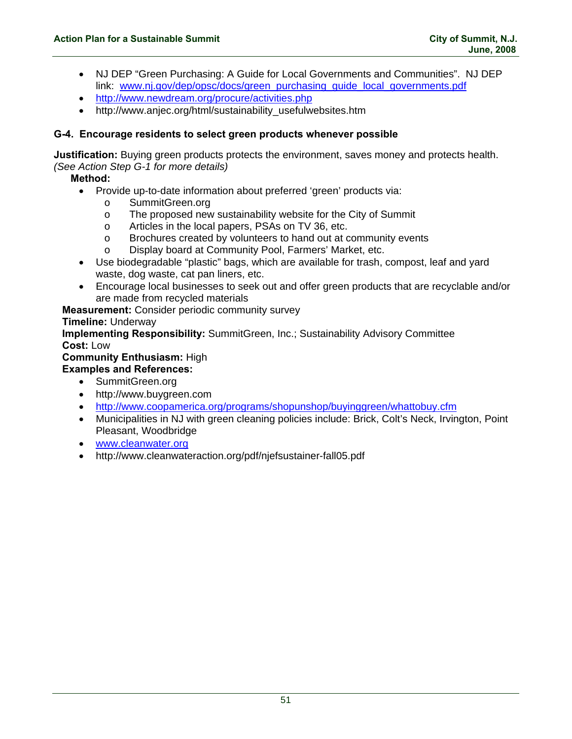- NJ DEP "Green Purchasing: A Guide for Local Governments and Communities". NJ DEP link: www.nj.gov/dep/opsc/docs/green\_purchasing\_guide\_local\_governments.pdf
- http://www.newdream.org/procure/activities.php
- http://www.anjec.org/html/sustainability\_usefulwebsites.htm

#### **G-4. Encourage residents to select green products whenever possible**

**Justification:** Buying green products protects the environment, saves money and protects health. *(See Action Step G-1 for more details)* 

#### **Method:**

- Provide up-to-date information about preferred 'green' products via:
	- o SummitGreen.org
	- o The proposed new sustainability website for the City of Summit
	- o Articles in the local papers, PSAs on TV 36, etc.
	- o Brochures created by volunteers to hand out at community events
	- o Display board at Community Pool, Farmers' Market, etc.
- Use biodegradable "plastic" bags, which are available for trash, compost, leaf and yard waste, dog waste, cat pan liners, etc.
- Encourage local businesses to seek out and offer green products that are recyclable and/or are made from recycled materials

**Measurement:** Consider periodic community survey

#### **Timeline:** Underway

**Implementing Responsibility:** SummitGreen, Inc.; Sustainability Advisory Committee **Cost:** Low

#### **Community Enthusiasm:** High

**Examples and References:**

- SummitGreen.org
- http://www.buygreen.com
- http://www.coopamerica.org/programs/shopunshop/buyinggreen/whattobuy.cfm
- Municipalities in NJ with green cleaning policies include: Brick, Colt's Neck, Irvington, Point Pleasant, Woodbridge
- www.cleanwater.org
- http://www.cleanwateraction.org/pdf/njefsustainer-fall05.pdf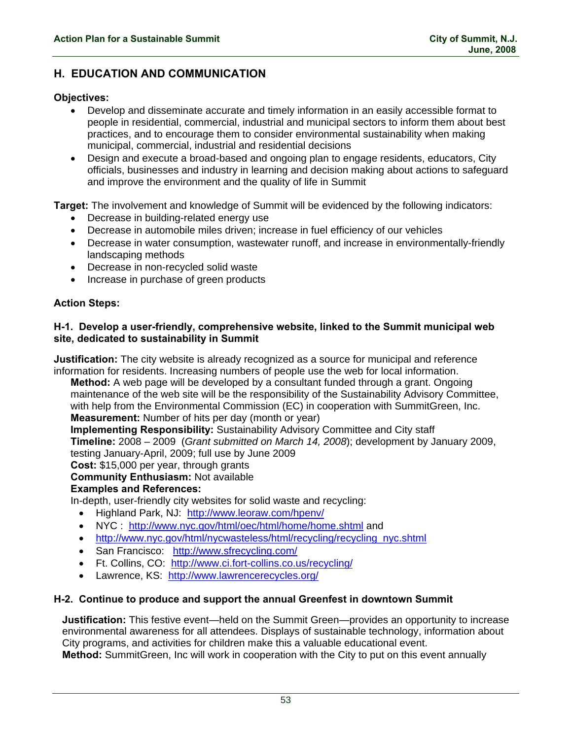## **H. EDUCATION AND COMMUNICATION**

#### **Objectives:**

- Develop and disseminate accurate and timely information in an easily accessible format to people in residential, commercial, industrial and municipal sectors to inform them about best practices, and to encourage them to consider environmental sustainability when making municipal, commercial, industrial and residential decisions
- Design and execute a broad-based and ongoing plan to engage residents, educators, City officials, businesses and industry in learning and decision making about actions to safeguard and improve the environment and the quality of life in Summit

**Target:** The involvement and knowledge of Summit will be evidenced by the following indicators:

- Decrease in building-related energy use
- Decrease in automobile miles driven; increase in fuel efficiency of our vehicles
- Decrease in water consumption, wastewater runoff, and increase in environmentally-friendly landscaping methods
- Decrease in non-recycled solid waste
- Increase in purchase of green products

#### **Action Steps:**

#### **H-1. Develop a user-friendly, comprehensive website, linked to the Summit municipal web site, dedicated to sustainability in Summit**

**Justification:** The city website is already recognized as a source for municipal and reference information for residents. Increasing numbers of people use the web for local information.

**Method:** A web page will be developed by a consultant funded through a grant. Ongoing maintenance of the web site will be the responsibility of the Sustainability Advisory Committee, with help from the Environmental Commission (EC) in cooperation with SummitGreen, Inc. **Measurement:** Number of hits per day (month or year)

**Implementing Responsibility:** Sustainability Advisory Committee and City staff

**Timeline:** 2008 – 2009 (*Grant submitted on March 14, 2008*); development by January 2009,

testing January-April, 2009; full use by June 2009

**Cost:** \$15,000 per year, through grants

## **Community Enthusiasm:** Not available

#### **Examples and References:**

In-depth, user-friendly city websites for solid waste and recycling:

- Highland Park, NJ: http://www.leoraw.com/hpenv/
- NYC : http://www.nyc.gov/html/oec/html/home/home.shtml and
- http://www.nyc.gov/html/nycwasteless/html/recycling/recycling\_nyc.shtml
- San Francisco: http://www.sfrecycling.com/
- Ft. Collins, CO: http://www.ci.fort-collins.co.us/recycling/
- Lawrence, KS: http://www.lawrencerecycles.org/

#### **H-2. Continue to produce and support the annual Greenfest in downtown Summit**

**Justification:** This festive event—held on the Summit Green—provides an opportunity to increase environmental awareness for all attendees. Displays of sustainable technology, information about City programs, and activities for children make this a valuable educational event. **Method:** SummitGreen, Inc will work in cooperation with the City to put on this event annually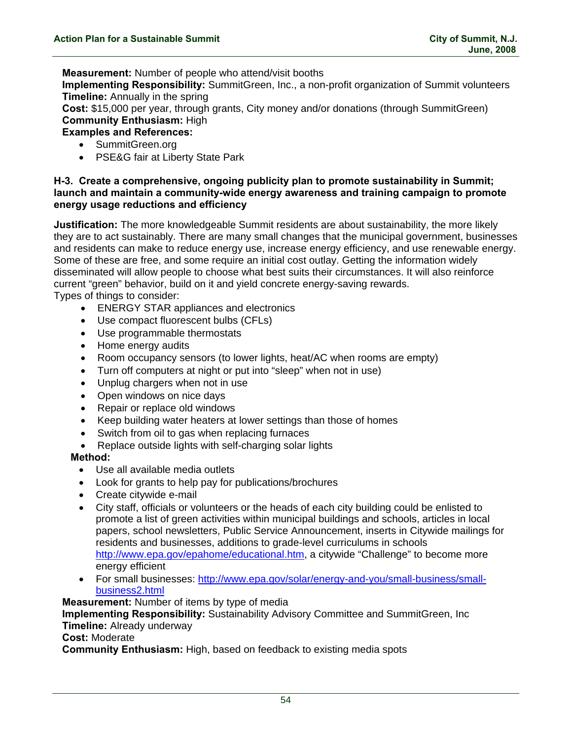**Measurement:** Number of people who attend/visit booths

**Implementing Responsibility:** SummitGreen, Inc., a non-profit organization of Summit volunteers **Timeline:** Annually in the spring

**Cost:** \$15,000 per year, through grants, City money and/or donations (through SummitGreen) **Community Enthusiasm:** High

#### **Examples and References:**

- SummitGreen.org
- PSE&G fair at Liberty State Park

#### **H-3. Create a comprehensive, ongoing publicity plan to promote sustainability in Summit; launch and maintain a community-wide energy awareness and training campaign to promote energy usage reductions and efficiency**

**Justification:** The more knowledgeable Summit residents are about sustainability, the more likely they are to act sustainably. There are many small changes that the municipal government, businesses and residents can make to reduce energy use, increase energy efficiency, and use renewable energy. Some of these are free, and some require an initial cost outlay. Getting the information widely disseminated will allow people to choose what best suits their circumstances. It will also reinforce current "green" behavior, build on it and yield concrete energy-saving rewards. Types of things to consider:

- ENERGY STAR appliances and electronics
- Use compact fluorescent bulbs (CFLs)
- Use programmable thermostats
- Home energy audits
- Room occupancy sensors (to lower lights, heat/AC when rooms are empty)
- Turn off computers at night or put into "sleep" when not in use)
- Unplug chargers when not in use
- Open windows on nice days
- Repair or replace old windows
- Keep building water heaters at lower settings than those of homes
- Switch from oil to gas when replacing furnaces
- Replace outside lights with self-charging solar lights

#### **Method:**

- Use all available media outlets
- Look for grants to help pay for publications/brochures
- Create citywide e-mail
- City staff, officials or volunteers or the heads of each city building could be enlisted to promote a list of green activities within municipal buildings and schools, articles in local papers, school newsletters, Public Service Announcement, inserts in Citywide mailings for residents and businesses, additions to grade-level curriculums in schools http://www.epa.gov/epahome/educational.htm, a citywide "Challenge" to become more energy efficient
- For small businesses: http://www.epa.gov/solar/energy-and-you/small-business/smallbusiness2.html

**Measurement:** Number of items by type of media

**Implementing Responsibility:** Sustainability Advisory Committee and SummitGreen, Inc **Timeline:** Already underway

**Cost:** Moderate

**Community Enthusiasm:** High, based on feedback to existing media spots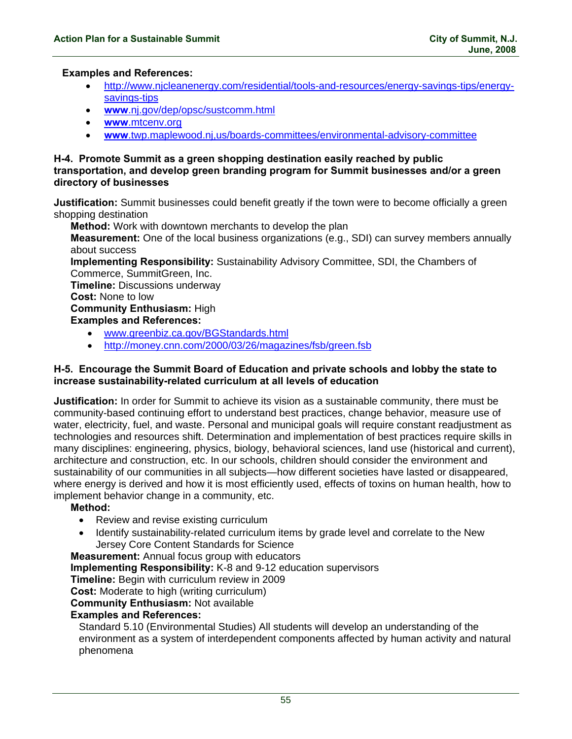#### **Examples and References:**

- http://www.njcleanenergy.com/residential/tools-and-resources/energy-savings-tips/energysavings-tips
- **www**.nj.gov/dep/opsc/sustcomm.html
- **www**.mtcenv.org
- **www**.twp.maplewood.nj,us/boards-committees/environmental-advisory-committee

#### **H-4. Promote Summit as a green shopping destination easily reached by public transportation, and develop green branding program for Summit businesses and/or a green directory of businesses**

**Justification:** Summit businesses could benefit greatly if the town were to become officially a green shopping destination

**Method:** Work with downtown merchants to develop the plan **Measurement:** One of the local business organizations (e.g., SDI) can survey members annually about success **Implementing Responsibility:** Sustainability Advisory Committee, SDI, the Chambers of Commerce, SummitGreen, Inc. **Timeline:** Discussions underway **Cost:** None to low **Community Enthusiasm:** High **Examples and References:** 

- www.greenbiz.ca.gov/BGStandards.html
- http://money.cnn.com/2000/03/26/magazines/fsb/green.fsb

#### **H-5. Encourage the Summit Board of Education and private schools and lobby the state to increase sustainability-related curriculum at all levels of education**

**Justification:** In order for Summit to achieve its vision as a sustainable community, there must be community-based continuing effort to understand best practices, change behavior, measure use of water, electricity, fuel, and waste. Personal and municipal goals will require constant readjustment as technologies and resources shift. Determination and implementation of best practices require skills in many disciplines: engineering, physics, biology, behavioral sciences, land use (historical and current), architecture and construction, etc. In our schools, children should consider the environment and sustainability of our communities in all subjects—how different societies have lasted or disappeared, where energy is derived and how it is most efficiently used, effects of toxins on human health, how to implement behavior change in a community, etc.

#### **Method:**

- Review and revise existing curriculum
- Identify sustainability-related curriculum items by grade level and correlate to the New Jersey Core Content Standards for Science

**Measurement:** Annual focus group with educators

**Implementing Responsibility:** K-8 and 9-12 education supervisors

**Timeline:** Begin with curriculum review in 2009

**Cost:** Moderate to high (writing curriculum)

**Community Enthusiasm:** Not available

#### **Examples and References:**

Standard 5.10 (Environmental Studies) All students will develop an understanding of the environment as a system of interdependent components affected by human activity and natural phenomena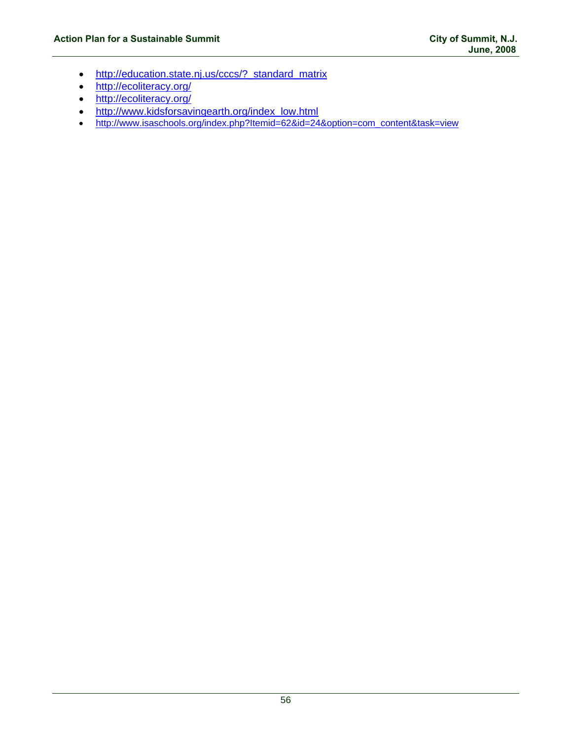- http://education.state.nj.us/cccs/?\_standard\_matrix
- http://ecoliteracy.org/
- http://ecoliteracy.org/
- http://www.kidsforsavingearth.org/index\_low.html
- http://www.isaschools.org/index.php?Itemid=62&id=24&option=com\_content&task=view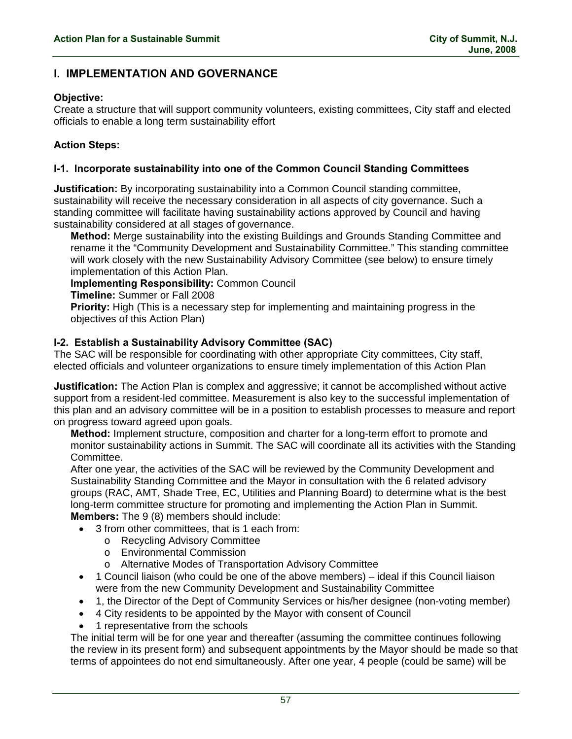## **I. IMPLEMENTATION AND GOVERNANCE**

#### **Objective:**

Create a structure that will support community volunteers, existing committees, City staff and elected officials to enable a long term sustainability effort

#### **Action Steps:**

#### **I-1. Incorporate sustainability into one of the Common Council Standing Committees**

**Justification:** By incorporating sustainability into a Common Council standing committee, sustainability will receive the necessary consideration in all aspects of city governance. Such a standing committee will facilitate having sustainability actions approved by Council and having sustainability considered at all stages of governance.

**Method:** Merge sustainability into the existing Buildings and Grounds Standing Committee and rename it the "Community Development and Sustainability Committee." This standing committee will work closely with the new Sustainability Advisory Committee (see below) to ensure timely implementation of this Action Plan.

**Implementing Responsibility:** Common Council

**Timeline:** Summer or Fall 2008

**Priority:** High (This is a necessary step for implementing and maintaining progress in the objectives of this Action Plan)

#### **I-2. Establish a Sustainability Advisory Committee (SAC)**

The SAC will be responsible for coordinating with other appropriate City committees, City staff, elected officials and volunteer organizations to ensure timely implementation of this Action Plan

**Justification:** The Action Plan is complex and aggressive; it cannot be accomplished without active support from a resident-led committee. Measurement is also key to the successful implementation of this plan and an advisory committee will be in a position to establish processes to measure and report on progress toward agreed upon goals.

**Method:** Implement structure, composition and charter for a long-term effort to promote and monitor sustainability actions in Summit. The SAC will coordinate all its activities with the Standing Committee.

After one year, the activities of the SAC will be reviewed by the Community Development and Sustainability Standing Committee and the Mayor in consultation with the 6 related advisory groups (RAC, AMT, Shade Tree, EC, Utilities and Planning Board) to determine what is the best long-term committee structure for promoting and implementing the Action Plan in Summit. **Members:** The 9 (8) members should include:

- 3 from other committees, that is 1 each from:
	- o Recycling Advisory Committee
	- o Environmental Commission
	- o Alternative Modes of Transportation Advisory Committee
- 1 Council liaison (who could be one of the above members) ideal if this Council liaison were from the new Community Development and Sustainability Committee
- 1, the Director of the Dept of Community Services or his/her designee (non-voting member)
- 4 City residents to be appointed by the Mayor with consent of Council
- 1 representative from the schools

The initial term will be for one year and thereafter (assuming the committee continues following the review in its present form) and subsequent appointments by the Mayor should be made so that terms of appointees do not end simultaneously. After one year, 4 people (could be same) will be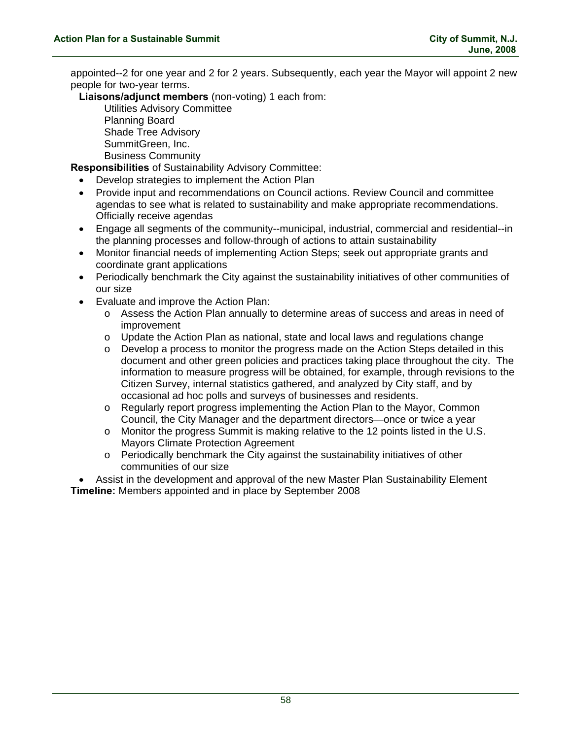appointed--2 for one year and 2 for 2 years. Subsequently, each year the Mayor will appoint 2 new people for two-year terms.

**Liaisons/adjunct members** (non-voting) 1 each from:

Utilities Advisory Committee Planning Board Shade Tree Advisory SummitGreen, Inc. Business Community

**Responsibilities** of Sustainability Advisory Committee:

- Develop strategies to implement the Action Plan
- Provide input and recommendations on Council actions. Review Council and committee agendas to see what is related to sustainability and make appropriate recommendations. Officially receive agendas
- Engage all segments of the community--municipal, industrial, commercial and residential--in the planning processes and follow-through of actions to attain sustainability
- Monitor financial needs of implementing Action Steps; seek out appropriate grants and coordinate grant applications
- Periodically benchmark the City against the sustainability initiatives of other communities of our size
- Evaluate and improve the Action Plan:
	- o Assess the Action Plan annually to determine areas of success and areas in need of improvement
	- o Update the Action Plan as national, state and local laws and regulations change
	- o Develop a process to monitor the progress made on the Action Steps detailed in this document and other green policies and practices taking place throughout the city. The information to measure progress will be obtained, for example, through revisions to the Citizen Survey, internal statistics gathered, and analyzed by City staff, and by occasional ad hoc polls and surveys of businesses and residents.
	- o Regularly report progress implementing the Action Plan to the Mayor, Common Council, the City Manager and the department directors—once or twice a year
	- o Monitor the progress Summit is making relative to the 12 points listed in the U.S. Mayors Climate Protection Agreement
	- $\circ$  Periodically benchmark the City against the sustainability initiatives of other communities of our size

• Assist in the development and approval of the new Master Plan Sustainability Element **Timeline:** Members appointed and in place by September 2008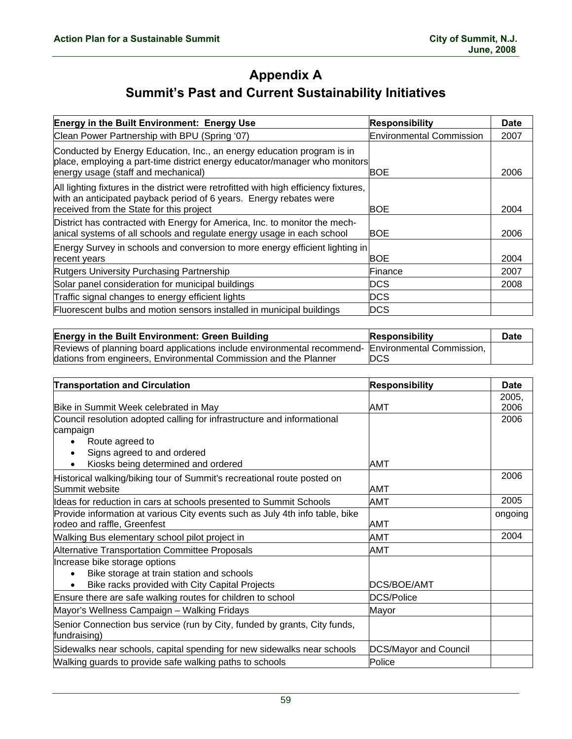# **Appendix A**

# **Summit's Past and Current Sustainability Initiatives**

| <b>Energy in the Built Environment: Energy Use</b>                                                                                                                                                      | <b>Responsibility</b>           | <b>Date</b> |
|---------------------------------------------------------------------------------------------------------------------------------------------------------------------------------------------------------|---------------------------------|-------------|
| Clean Power Partnership with BPU (Spring '07)                                                                                                                                                           | <b>Environmental Commission</b> | 2007        |
| Conducted by Energy Education, Inc., an energy education program is in<br>place, employing a part-time district energy educator/manager who monitors<br>energy usage (staff and mechanical)             | BOE                             | 2006        |
| All lighting fixtures in the district were retrofitted with high efficiency fixtures,<br>with an anticipated payback period of 6 years. Energy rebates were<br>received from the State for this project | <b>BOE</b>                      | 2004        |
| District has contracted with Energy for America, Inc. to monitor the mech-<br>anical systems of all schools and regulate energy usage in each school                                                    | <b>BOE</b>                      | 2006        |
| Energy Survey in schools and conversion to more energy efficient lighting in<br>recent years                                                                                                            | BOE                             | 2004        |
| Rutgers University Purchasing Partnership                                                                                                                                                               | Finance                         | 2007        |
| Solar panel consideration for municipal buildings                                                                                                                                                       | <b>DCS</b>                      | 2008        |
| Traffic signal changes to energy efficient lights                                                                                                                                                       | <b>DCS</b>                      |             |
| Fluorescent bulbs and motion sensors installed in municipal buildings                                                                                                                                   | <b>DCS</b>                      |             |

| <b>Energy in the Built Environment: Green Building</b>                                            | <b>Responsibility</b> | <b>Date</b> |
|---------------------------------------------------------------------------------------------------|-----------------------|-------------|
| Reviews of planning board applications include environmental recommend- Environmental Commission, |                       |             |
| dations from engineers, Environmental Commission and the Planner                                  | <b>IDCS</b>           |             |

| <b>Transportation and Circulation</b>                                                            | <b>Responsibility</b> | <b>Date</b> |  |  |
|--------------------------------------------------------------------------------------------------|-----------------------|-------------|--|--|
|                                                                                                  |                       | 2005,       |  |  |
| Bike in Summit Week celebrated in May                                                            | AMT                   | 2006        |  |  |
| Council resolution adopted calling for infrastructure and informational                          |                       | 2006        |  |  |
| campaign                                                                                         |                       |             |  |  |
| Route agreed to                                                                                  |                       |             |  |  |
| Signs agreed to and ordered                                                                      |                       |             |  |  |
| Kiosks being determined and ordered                                                              | AMT                   |             |  |  |
| Historical walking/biking tour of Summit's recreational route posted on                          |                       | 2006        |  |  |
| Summit website                                                                                   | AMT                   |             |  |  |
| Ideas for reduction in cars at schools presented to Summit Schools                               | <b>AMT</b>            | 2005        |  |  |
| Provide information at various City events such as July 4th info table, bike                     |                       | ongoing     |  |  |
| rodeo and raffle, Greenfest                                                                      | AMT                   |             |  |  |
| Walking Bus elementary school pilot project in                                                   | AMT                   | 2004        |  |  |
| Alternative Transportation Committee Proposals                                                   | AMT                   |             |  |  |
| Increase bike storage options                                                                    |                       |             |  |  |
| Bike storage at train station and schools                                                        |                       |             |  |  |
| Bike racks provided with City Capital Projects                                                   | DCS/BOE/AMT           |             |  |  |
| Ensure there are safe walking routes for children to school                                      | DCS/Police            |             |  |  |
| Mayor's Wellness Campaign - Walking Fridays                                                      | Mayor                 |             |  |  |
| Senior Connection bus service (run by City, funded by grants, City funds,                        |                       |             |  |  |
| fundraising)                                                                                     |                       |             |  |  |
| Sidewalks near schools, capital spending for new sidewalks near schools<br>DCS/Mayor and Council |                       |             |  |  |
| Walking guards to provide safe walking paths to schools                                          | Police                |             |  |  |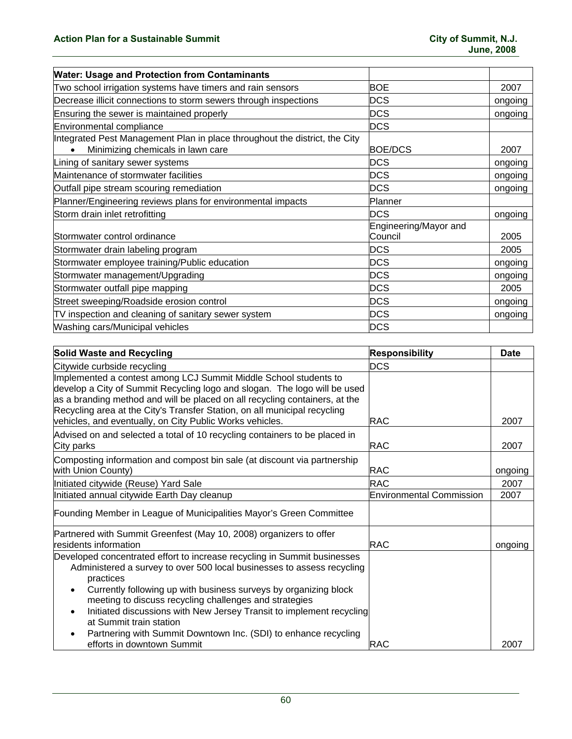| <b>Water: Usage and Protection from Contaminants</b>                                                            |                                  |         |
|-----------------------------------------------------------------------------------------------------------------|----------------------------------|---------|
| Two school irrigation systems have timers and rain sensors                                                      | <b>BOE</b>                       | 2007    |
| Decrease illicit connections to storm sewers through inspections                                                | <b>DCS</b>                       | ongoing |
| Ensuring the sewer is maintained properly                                                                       | <b>DCS</b>                       | ongoing |
| Environmental compliance                                                                                        | <b>DCS</b>                       |         |
| Integrated Pest Management Plan in place throughout the district, the City<br>Minimizing chemicals in lawn care | <b>BOE/DCS</b>                   | 2007    |
| Lining of sanitary sewer systems                                                                                | <b>DCS</b>                       | ongoing |
| Maintenance of stormwater facilities                                                                            | <b>DCS</b>                       | ongoing |
| Outfall pipe stream scouring remediation                                                                        | <b>DCS</b>                       | ongoing |
| Planner/Engineering reviews plans for environmental impacts                                                     | Planner                          |         |
| Storm drain inlet retrofitting                                                                                  | <b>DCS</b>                       | ongoing |
| Stormwater control ordinance                                                                                    | Engineering/Mayor and<br>Council | 2005    |
| Stormwater drain labeling program                                                                               | <b>DCS</b>                       | 2005    |
| Stormwater employee training/Public education                                                                   | <b>DCS</b>                       | ongoing |
| Stormwater management/Upgrading                                                                                 | <b>DCS</b>                       | ongoing |
| Stormwater outfall pipe mapping                                                                                 | <b>DCS</b>                       | 2005    |
| Street sweeping/Roadside erosion control                                                                        | <b>DCS</b>                       | ongoing |
| TV inspection and cleaning of sanitary sewer system                                                             | <b>DCS</b>                       | ongoing |
| Washing cars/Municipal vehicles                                                                                 | <b>DCS</b>                       |         |

| <b>Responsibility</b>                                                | <b>Date</b> |
|----------------------------------------------------------------------|-------------|
| <b>DCS</b>                                                           |             |
| RAC                                                                  | 2007        |
| <b>RAC</b>                                                           | 2007        |
| <b>RAC</b>                                                           | ongoing     |
| <b>RAC</b>                                                           | 2007        |
| <b>Environmental Commission</b>                                      | 2007        |
|                                                                      |             |
| RAC                                                                  | ongoing     |
| Initiated discussions with New Jersey Transit to implement recycling | 2007        |
|                                                                      | <b>RAC</b>  |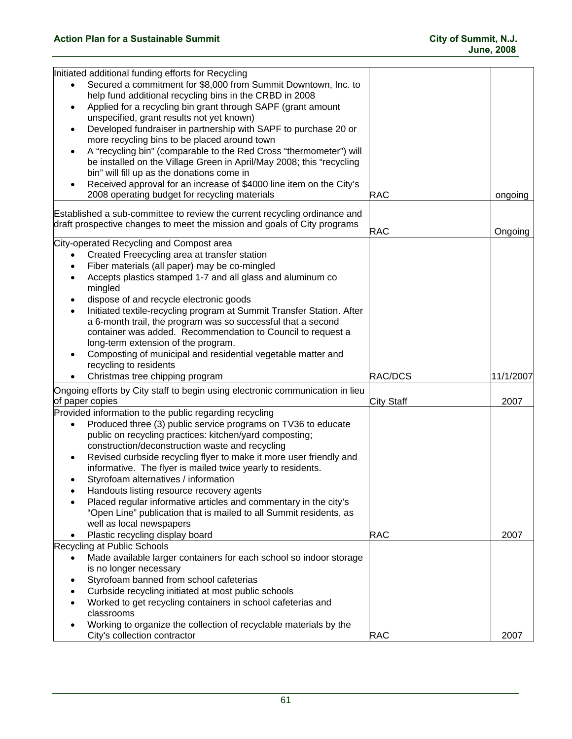| Initiated additional funding efforts for Recycling<br>Secured a commitment for \$8,000 from Summit Downtown, Inc. to<br>$\bullet$<br>help fund additional recycling bins in the CRBD in 2008<br>Applied for a recycling bin grant through SAPF (grant amount<br>$\bullet$<br>unspecified, grant results not yet known)<br>Developed fundraiser in partnership with SAPF to purchase 20 or<br>$\bullet$<br>more recycling bins to be placed around town<br>A "recycling bin" (comparable to the Red Cross "thermometer") will<br>$\bullet$<br>be installed on the Village Green in April/May 2008; this "recycling<br>bin" will fill up as the donations come in<br>Received approval for an increase of \$4000 line item on the City's<br>$\bullet$<br>2008 operating budget for recycling materials<br><b>RAC</b><br>Established a sub-committee to review the current recycling ordinance and<br>draft prospective changes to meet the mission and goals of City programs<br><b>RAC</b><br>City-operated Recycling and Compost area<br>Created Freecycling area at transfer station<br>$\bullet$<br>Fiber materials (all paper) may be co-mingled<br>$\bullet$<br>Accepts plastics stamped 1-7 and all glass and aluminum co<br>$\bullet$<br>mingled<br>dispose of and recycle electronic goods<br>$\bullet$<br>Initiated textile-recycling program at Summit Transfer Station. After<br>$\bullet$<br>a 6-month trail, the program was so successful that a second<br>container was added. Recommendation to Council to request a<br>long-term extension of the program.<br>Composting of municipal and residential vegetable matter and<br>$\bullet$<br>recycling to residents<br>Christmas tree chipping program<br>RAC/DCS<br>$\bullet$<br>Ongoing efforts by City staff to begin using electronic communication in lieu<br><b>City Staff</b><br>of paper copies<br>Provided information to the public regarding recycling<br>Produced three (3) public service programs on TV36 to educate<br>$\bullet$<br>public on recycling practices: kitchen/yard composting;<br>construction/deconstruction waste and recycling<br>Revised curbside recycling flyer to make it more user friendly and<br>$\bullet$<br>informative. The flyer is mailed twice yearly to residents.<br>Styrofoam alternatives / information<br>Handouts listing resource recovery agents<br>٠<br>Placed regular informative articles and commentary in the city's<br>"Open Line" publication that is mailed to all Summit residents, as<br>well as local newspapers<br>Plastic recycling display board<br><b>RAC</b><br>Recycling at Public Schools<br>Made available larger containers for each school so indoor storage<br>is no longer necessary<br>Styrofoam banned from school cafeterias |                                                     |           |
|--------------------------------------------------------------------------------------------------------------------------------------------------------------------------------------------------------------------------------------------------------------------------------------------------------------------------------------------------------------------------------------------------------------------------------------------------------------------------------------------------------------------------------------------------------------------------------------------------------------------------------------------------------------------------------------------------------------------------------------------------------------------------------------------------------------------------------------------------------------------------------------------------------------------------------------------------------------------------------------------------------------------------------------------------------------------------------------------------------------------------------------------------------------------------------------------------------------------------------------------------------------------------------------------------------------------------------------------------------------------------------------------------------------------------------------------------------------------------------------------------------------------------------------------------------------------------------------------------------------------------------------------------------------------------------------------------------------------------------------------------------------------------------------------------------------------------------------------------------------------------------------------------------------------------------------------------------------------------------------------------------------------------------------------------------------------------------------------------------------------------------------------------------------------------------------------------------------------------------------------------------------------------------------------------------------------------------------------------------------------------------------------------------------------------------------------------------------------------------------------------------------------------------------------------------------------------------------------------------------------------------------------------------------------------------------------------------------------------------------------------------------------------|-----------------------------------------------------|-----------|
|                                                                                                                                                                                                                                                                                                                                                                                                                                                                                                                                                                                                                                                                                                                                                                                                                                                                                                                                                                                                                                                                                                                                                                                                                                                                                                                                                                                                                                                                                                                                                                                                                                                                                                                                                                                                                                                                                                                                                                                                                                                                                                                                                                                                                                                                                                                                                                                                                                                                                                                                                                                                                                                                                                                                                                          |                                                     | ongoing   |
|                                                                                                                                                                                                                                                                                                                                                                                                                                                                                                                                                                                                                                                                                                                                                                                                                                                                                                                                                                                                                                                                                                                                                                                                                                                                                                                                                                                                                                                                                                                                                                                                                                                                                                                                                                                                                                                                                                                                                                                                                                                                                                                                                                                                                                                                                                                                                                                                                                                                                                                                                                                                                                                                                                                                                                          |                                                     | Ongoing   |
|                                                                                                                                                                                                                                                                                                                                                                                                                                                                                                                                                                                                                                                                                                                                                                                                                                                                                                                                                                                                                                                                                                                                                                                                                                                                                                                                                                                                                                                                                                                                                                                                                                                                                                                                                                                                                                                                                                                                                                                                                                                                                                                                                                                                                                                                                                                                                                                                                                                                                                                                                                                                                                                                                                                                                                          |                                                     |           |
|                                                                                                                                                                                                                                                                                                                                                                                                                                                                                                                                                                                                                                                                                                                                                                                                                                                                                                                                                                                                                                                                                                                                                                                                                                                                                                                                                                                                                                                                                                                                                                                                                                                                                                                                                                                                                                                                                                                                                                                                                                                                                                                                                                                                                                                                                                                                                                                                                                                                                                                                                                                                                                                                                                                                                                          |                                                     | 11/1/2007 |
|                                                                                                                                                                                                                                                                                                                                                                                                                                                                                                                                                                                                                                                                                                                                                                                                                                                                                                                                                                                                                                                                                                                                                                                                                                                                                                                                                                                                                                                                                                                                                                                                                                                                                                                                                                                                                                                                                                                                                                                                                                                                                                                                                                                                                                                                                                                                                                                                                                                                                                                                                                                                                                                                                                                                                                          |                                                     | 2007      |
|                                                                                                                                                                                                                                                                                                                                                                                                                                                                                                                                                                                                                                                                                                                                                                                                                                                                                                                                                                                                                                                                                                                                                                                                                                                                                                                                                                                                                                                                                                                                                                                                                                                                                                                                                                                                                                                                                                                                                                                                                                                                                                                                                                                                                                                                                                                                                                                                                                                                                                                                                                                                                                                                                                                                                                          |                                                     |           |
|                                                                                                                                                                                                                                                                                                                                                                                                                                                                                                                                                                                                                                                                                                                                                                                                                                                                                                                                                                                                                                                                                                                                                                                                                                                                                                                                                                                                                                                                                                                                                                                                                                                                                                                                                                                                                                                                                                                                                                                                                                                                                                                                                                                                                                                                                                                                                                                                                                                                                                                                                                                                                                                                                                                                                                          |                                                     | 2007      |
| Worked to get recycling containers in school cafeterias and<br>classrooms<br>Working to organize the collection of recyclable materials by the<br>City's collection contractor<br><b>RAC</b>                                                                                                                                                                                                                                                                                                                                                                                                                                                                                                                                                                                                                                                                                                                                                                                                                                                                                                                                                                                                                                                                                                                                                                                                                                                                                                                                                                                                                                                                                                                                                                                                                                                                                                                                                                                                                                                                                                                                                                                                                                                                                                                                                                                                                                                                                                                                                                                                                                                                                                                                                                             | Curbside recycling initiated at most public schools | 2007      |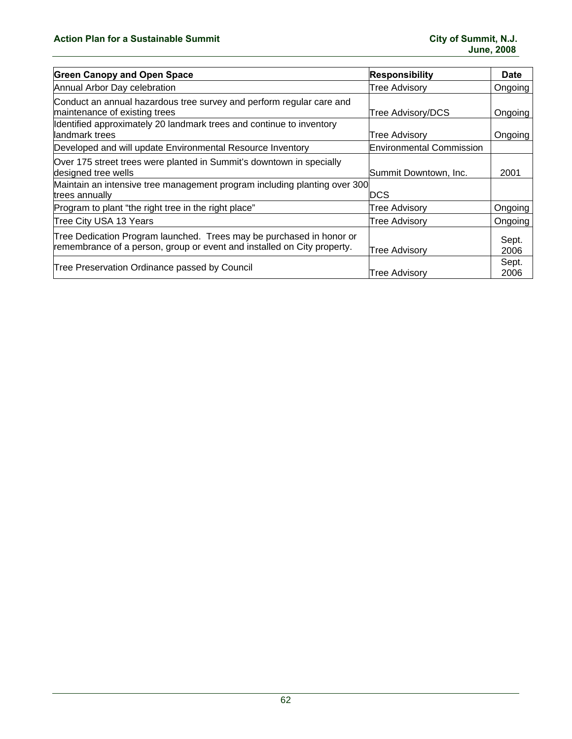| <b>Green Canopy and Open Space</b>                                                                                                              | <b>Responsibility</b>           | <b>Date</b>   |
|-------------------------------------------------------------------------------------------------------------------------------------------------|---------------------------------|---------------|
| Annual Arbor Day celebration                                                                                                                    | Tree Advisory                   | Ongoing       |
| Conduct an annual hazardous tree survey and perform regular care and<br>maintenance of existing trees                                           | Tree Advisory/DCS               | Ongoing       |
| Identified approximately 20 landmark trees and continue to inventory<br>landmark trees                                                          | <b>Tree Advisory</b>            | Ongoing       |
| Developed and will update Environmental Resource Inventory                                                                                      | <b>Environmental Commission</b> |               |
| Over 175 street trees were planted in Summit's downtown in specially<br>designed tree wells                                                     | Summit Downtown, Inc.           | 2001          |
| Maintain an intensive tree management program including planting over 300<br>trees annually                                                     | DCS                             |               |
| Program to plant "the right tree in the right place"                                                                                            | Tree Advisory                   | Ongoing       |
| Tree City USA 13 Years                                                                                                                          | Tree Advisory                   | Ongoing       |
| Tree Dedication Program launched. Trees may be purchased in honor or<br>remembrance of a person, group or event and installed on City property. | Tree Advisory                   | Sept.<br>2006 |
| Tree Preservation Ordinance passed by Council                                                                                                   | Tree Advisory                   | Sept.<br>2006 |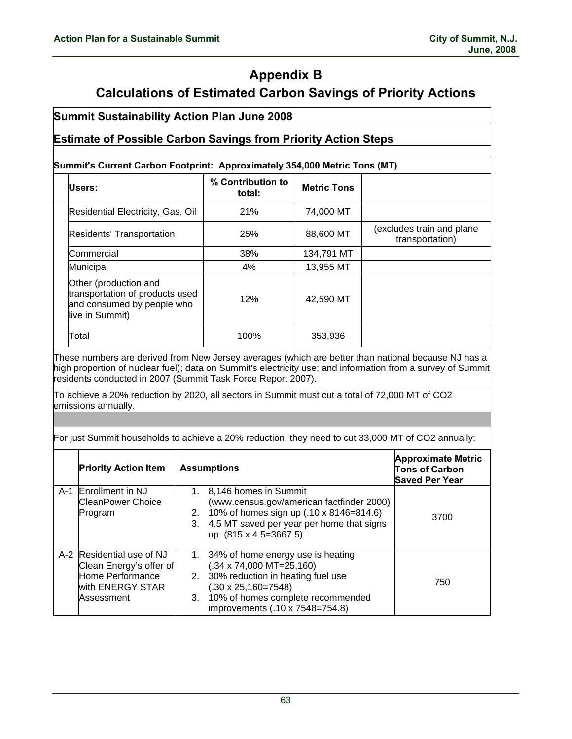# **Appendix B**

## **Calculations of Estimated Carbon Savings of Priority Actions**

#### **Summit Sustainability Action Plan June 2008**

## **Estimate of Possible Carbon Savings from Priority Action Steps**

#### **Summit's Current Carbon Footprint: Approximately 354,000 Metric Tons (MT)**

| Users:                                                                                                    | % Contribution to<br>total: | <b>Metric Tons</b> |                                              |
|-----------------------------------------------------------------------------------------------------------|-----------------------------|--------------------|----------------------------------------------|
| Residential Electricity, Gas, Oil                                                                         | 21%                         | 74,000 MT          |                                              |
| Residents' Transportation                                                                                 | 25%                         | 88,600 MT          | (excludes train and plane<br>transportation) |
| Commercial                                                                                                | 38%                         | 134,791 MT         |                                              |
| Municipal                                                                                                 | 4%                          | 13,955 MT          |                                              |
| Other (production and<br>transportation of products used<br>and consumed by people who<br>live in Summit) | 12%                         | 42,590 MT          |                                              |
| Total                                                                                                     | 100%                        | 353,936            |                                              |

These numbers are derived from New Jersey averages (which are better than national because NJ has a high proportion of nuclear fuel); data on Summit's electricity use; and information from a survey of Summit residents conducted in 2007 (Summit Task Force Report 2007).

To achieve a 20% reduction by 2020, all sectors in Summit must cut a total of 72,000 MT of CO2 emissions annually.

For just Summit households to achieve a 20% reduction, they need to cut 33,000 MT of CO2 annually:

| <b>Priority Action Item</b>                                                                                | <b>Assumptions</b>                                                                                                                                                                                                                       | <b>Approximate Metric</b><br><b>Tons of Carbon</b><br><b>Saved Per Year</b> |
|------------------------------------------------------------------------------------------------------------|------------------------------------------------------------------------------------------------------------------------------------------------------------------------------------------------------------------------------------------|-----------------------------------------------------------------------------|
| A-1 Enrollment in NJ<br>CleanPower Choice<br>Program                                                       | 8,146 homes in Summit<br>1.<br>(www.census.gov/american factfinder 2000)<br>10% of homes sign up (.10 x 8146=814.6)<br>2.<br>4.5 MT saved per year per home that signs<br>3.<br>up (815 x 4.5=3667.5)                                    | 3700                                                                        |
| A-2 Residential use of NJ<br>Clean Energy's offer of<br>Home Performance<br>with ENERGY STAR<br>Assessment | 1. 34% of home energy use is heating<br>$(.34 \times 74,000 \text{ MT} = 25,160)$<br>2. 30% reduction in heating fuel use<br>$(.30 \times 25, 160 = 7548)$<br>10% of homes complete recommended<br>3.<br>improvements (.10 x 7548=754.8) | 750                                                                         |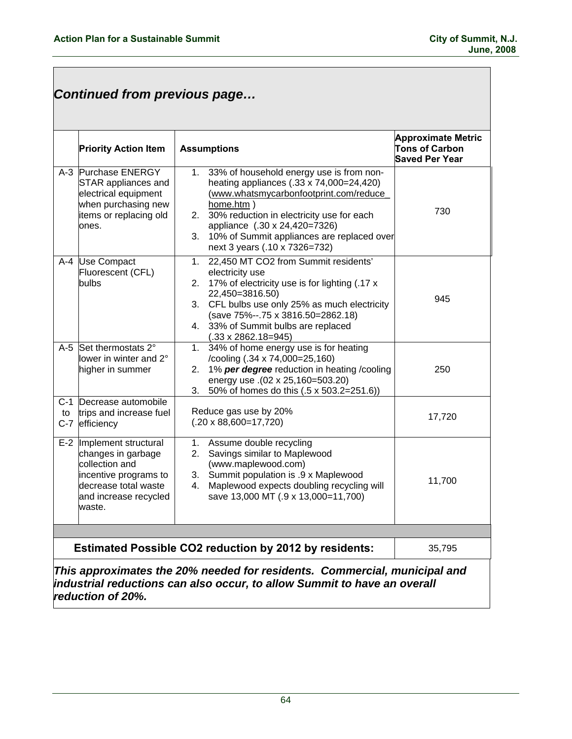# *Continued from previous page…*

|                      | <b>Priority Action Item</b>                                                                                                                           | <b>Assumptions</b>                                                                                                                                                                                                                                                                                                                | <b>Approximate Metric</b><br><b>Tons of Carbon</b><br><b>Saved Per Year</b> |  |  |  |
|----------------------|-------------------------------------------------------------------------------------------------------------------------------------------------------|-----------------------------------------------------------------------------------------------------------------------------------------------------------------------------------------------------------------------------------------------------------------------------------------------------------------------------------|-----------------------------------------------------------------------------|--|--|--|
| $A-3$                | <b>Purchase ENERGY</b><br>STAR appliances and<br>electrical equipment<br>when purchasing new<br>items or replacing old<br>ones.                       | 33% of household energy use is from non-<br>1.<br>heating appliances $(.33 \times 74,000=24,420)$<br>(www.whatsmycarbonfootprint.com/reduce<br>home.htm)<br>30% reduction in electricity use for each<br>2.<br>appliance (.30 x 24,420=7326)<br>10% of Summit appliances are replaced over<br>3.<br>next 3 years (.10 x 7326=732) | 730                                                                         |  |  |  |
|                      | A-4 Use Compact<br>Fluorescent (CFL)<br>bulbs                                                                                                         | 22,450 MT CO2 from Summit residents'<br>1.<br>electricity use<br>2. 17% of electricity use is for lighting (.17 x<br>22,450=3816.50)<br>CFL bulbs use only 25% as much electricity<br>3.<br>(save 75%--.75 x 3816.50=2862.18)<br>4. 33% of Summit bulbs are replaced<br>$(.33 \times 2862.18=945)$                                | 945                                                                         |  |  |  |
| A-5                  | Set thermostats 2°<br>lower in winter and 2°<br>higher in summer                                                                                      | 34% of home energy use is for heating<br>1.<br>/cooling (.34 x 74,000=25,160)<br>1% per degree reduction in heating /cooling<br>2.<br>energy use .(02 x 25,160=503.20)<br>50% of homes do this (.5 x 503.2=251.6))<br>3.                                                                                                          | 250                                                                         |  |  |  |
| $C-1$<br>to<br>$C-7$ | Decrease automobile<br>trips and increase fuel<br>efficiency                                                                                          | Reduce gas use by 20%<br>$(.20 \times 88,600=17,720)$                                                                                                                                                                                                                                                                             | 17,720                                                                      |  |  |  |
| $E-2$                | Implement structural<br>changes in garbage<br>collection and<br>incentive programs to<br>decrease total waste<br>and increase recycled<br>waste.      | 1.<br>Assume double recycling<br>Savings similar to Maplewood<br>2.<br>(www.maplewood.com)<br>3. Summit population is .9 x Maplewood<br>Maplewood expects doubling recycling will<br>4.<br>save 13,000 MT (.9 x 13,000=11,700)                                                                                                    | 11,700                                                                      |  |  |  |
|                      |                                                                                                                                                       |                                                                                                                                                                                                                                                                                                                                   |                                                                             |  |  |  |
|                      |                                                                                                                                                       | <b>Estimated Possible CO2 reduction by 2012 by residents:</b>                                                                                                                                                                                                                                                                     | 35,795                                                                      |  |  |  |
|                      | This approximates the 20% needed for residents. Commercial, municipal and<br>industrial reductions can also occur, to allow Summit to have an overall |                                                                                                                                                                                                                                                                                                                                   |                                                                             |  |  |  |

*reduction of 20%.*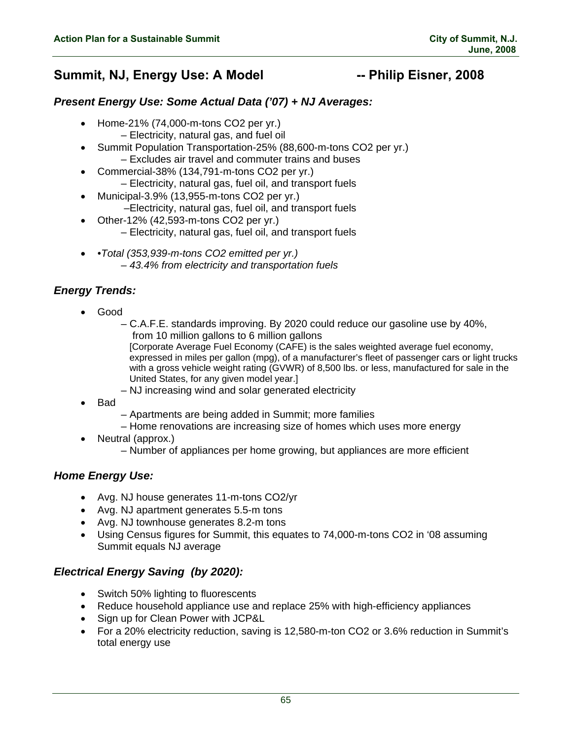## **Summit, NJ, Energy Use: A Model 4.1 Contrary 1000 Features 1000 Features 1008**

## *Present Energy Use: Some Actual Data ('07) + NJ Averages:*

- Home-21% (74,000-m-tons CO2 per yr.) – Electricity, natural gas, and fuel oil
- Summit Population Transportation-25% (88,600-m-tons CO2 per yr.) – Excludes air travel and commuter trains and buses
- Commercial-38% (134,791-m-tons CO2 per yr.) – Electricity, natural gas, fuel oil, and transport fuels
- Municipal-3.9% (13,955-m-tons CO2 per yr.) –Electricity, natural gas, fuel oil, and transport fuels
- Other-12% (42,593-m-tons CO2 per yr.) – Electricity, natural gas, fuel oil, and transport fuels
- *•Total (353,939-m-tons CO2 emitted per yr.) – 43.4% from electricity and transportation fuels*

## *Energy Trends:*

- Good
	- C.A.F.E. standards improving. By 2020 could reduce our gasoline use by 40%, from 10 million gallons to 6 million gallons [Corporate Average Fuel Economy (CAFE) is the sales weighted average fuel economy, expressed in miles per gallon (mpg), of a manufacturer's fleet of passenger cars or light trucks with a gross vehicle weight rating (GVWR) of 8,500 lbs. or less, manufactured for sale in the United States, for any given model year.]
	- NJ increasing wind and solar generated electricity
- Bad
	- Apartments are being added in Summit; more families
	- Home renovations are increasing size of homes which uses more energy
- Neutral (approx.)
	- Number of appliances per home growing, but appliances are more efficient

## *Home Energy Use:*

- Avg. NJ house generates 11-m-tons CO2/yr
- Avg. NJ apartment generates 5.5-m tons
- Avg. NJ townhouse generates 8.2-m tons
- Using Census figures for Summit, this equates to 74,000-m-tons CO2 in '08 assuming Summit equals NJ average

## *Electrical Energy Saving (by 2020):*

- Switch 50% lighting to fluorescents
- Reduce household appliance use and replace 25% with high-efficiency appliances
- Sign up for Clean Power with JCP&L
- For a 20% electricity reduction, saving is 12,580-m-ton CO2 or 3.6% reduction in Summit's total energy use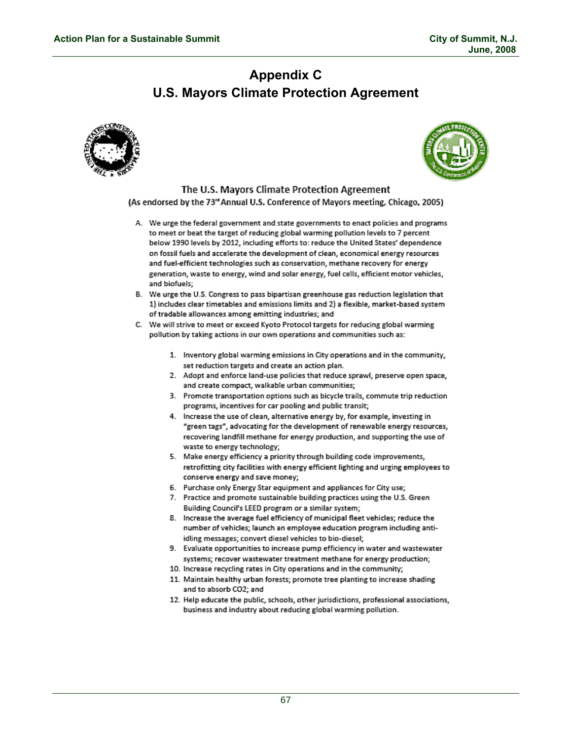# **Appendix C U.S. Mayors Climate Protection Agreement**





#### The U.S. Mayors Climate Protection Agreement

(As endorsed by the 73<sup>\*</sup> Annual U.S. Conference of Mayors meeting, Chicago, 2005)

- A. We urge the federal government and state governments to enact policies and programs to meet or beat the target of reducing global warming pollution levels to 7 percent below 1990 levels by 2012, including efforts to: reduce the United States' dependence on fossil fuels and accelerate the development of clean, economical energy resources and fuel-efficient technologies such as conservation, methane recovery for energy generation, waste to energy, wind and solar energy, fuel cells, efficient motor vehicles, and biofuels;
- B. We urge the U.S. Congress to pass bipartisan greenhouse gas reduction legislation that 1) includes clear timetables and emissions limits and 2) a flexible, market-based system of tradable allowances among emitting industries; and
- C. We will strive to meet or exceed Kyoto Protocol targets for reducing global warming pollution by taking actions in our own operations and communities such as:
	- 1. Inventory global warming emissions in City operations and in the community, set reduction targets and create an action plan.
	- 2. Adopt and enforce land-use policies that reduce sprawl, preserve open space, and create compact, walkable urban communities;
	- 3. Promote transportation options such as bicycle trails, commute trip reduction programs, incentives for car pooling and public transit;
	- 4. Increase the use of clean, alternative energy by, for example, investing in "green tags", advocating for the development of renewable energy resources, recovering landfill methane for energy production, and supporting the use of waste to energy technology;
	- 5. Make energy efficiency a priority through building code improvements, retrofitting city facilities with energy efficient lighting and urging employees to conserve energy and save money;
	- 6. Purchase only Energy Star equipment and appliances for City use;
	- 7. Practice and promote sustainable building practices using the U.S. Green Building Council's LEED program or a similar system;
	- 8. Increase the average fuel efficiency of municipal fleet vehicles; reduce the number of vehicles; launch an employee education program including antiidling messages; convert diesel vehicles to bio-diesel;
	- 9. Evaluate opportunities to increase pump efficiency in water and wastewater systems; recover wastewater treatment methane for energy production;
	- 10. Increase recycling rates in City operations and in the community;
	- 11. Maintain healthy urban forests; promote tree planting to increase shading and to absorb CO2; and
	- 12. Help educate the public, schools, other jurisdictions, professional associations, business and industry about reducing global warming pollution.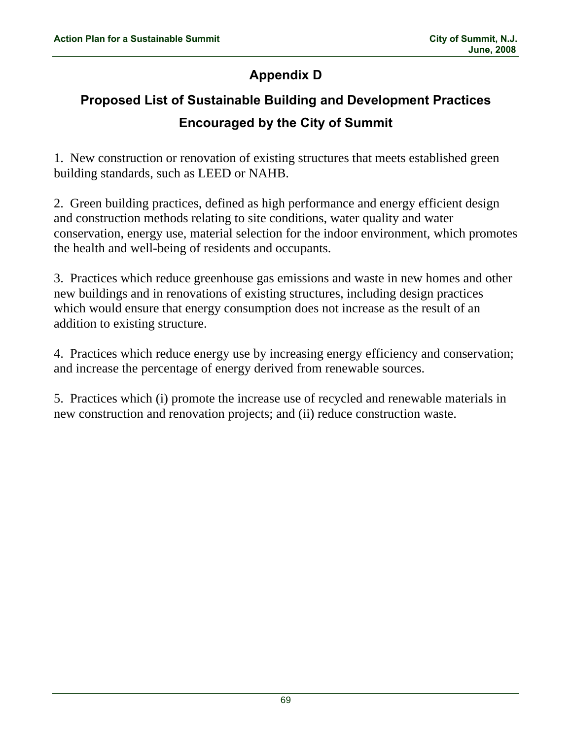# **Appendix D**

# **Proposed List of Sustainable Building and Development Practices Encouraged by the City of Summit**

1. New construction or renovation of existing structures that meets established green building standards, such as LEED or NAHB.

2. Green building practices, defined as high performance and energy efficient design and construction methods relating to site conditions, water quality and water conservation, energy use, material selection for the indoor environment, which promotes the health and well-being of residents and occupants.

3. Practices which reduce greenhouse gas emissions and waste in new homes and other new buildings and in renovations of existing structures, including design practices which would ensure that energy consumption does not increase as the result of an addition to existing structure.

4. Practices which reduce energy use by increasing energy efficiency and conservation; and increase the percentage of energy derived from renewable sources.

5. Practices which (i) promote the increase use of recycled and renewable materials in new construction and renovation projects; and (ii) reduce construction waste.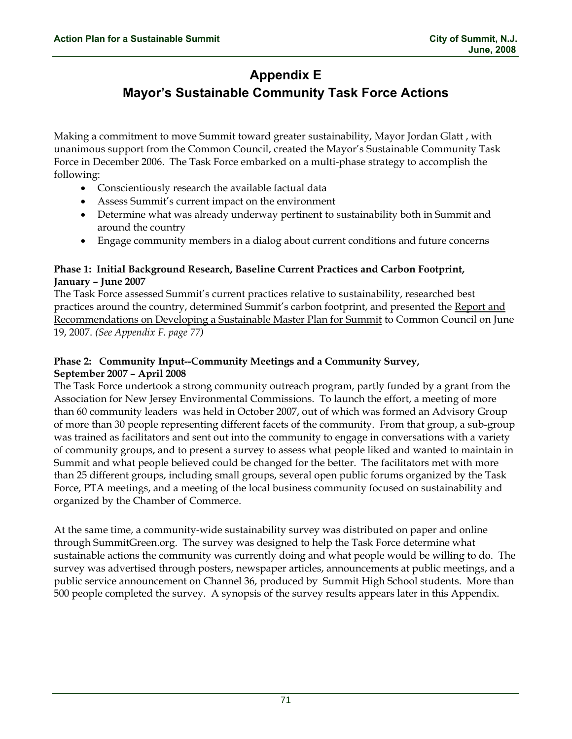# **Appendix E**

# **Mayor's Sustainable Community Task Force Actions**

Making a commitment to move Summit toward greater sustainability, Mayor Jordan Glatt , with unanimous support from the Common Council, created the Mayor's Sustainable Community Task Force in December 2006. The Task Force embarked on a multi-phase strategy to accomplish the following:

- Conscientiously research the available factual data
- Assess Summit's current impact on the environment
- Determine what was already underway pertinent to sustainability both in Summit and around the country
- Engage community members in a dialog about current conditions and future concerns

#### **Phase 1: Initial Background Research, Baseline Current Practices and Carbon Footprint, January – June 2007**

The Task Force assessed Summit's current practices relative to sustainability, researched best practices around the country, determined Summit's carbon footprint, and presented the Report and Recommendations on Developing a Sustainable Master Plan for Summit to Common Council on June 19, 2007. *(See Appendix F. page 77)*

#### **Phase 2: Community Input--Community Meetings and a Community Survey, September 2007 – April 2008**

The Task Force undertook a strong community outreach program, partly funded by a grant from the Association for New Jersey Environmental Commissions.To launch the effort, a meeting of more than 60 community leaders was held in October 2007, out of which was formed an Advisory Group of more than 30 people representing different facets of the community. From that group, a sub-group was trained as facilitators and sent out into the community to engage in conversations with a variety of community groups, and to present a survey to assess what people liked and wanted to maintain in Summit and what people believed could be changed for the better. The facilitators met with more than 25 different groups, including small groups, several open public forums organized by the Task Force, PTA meetings, and a meeting of the local business community focused on sustainability and organized by the Chamber of Commerce.

At the same time, a community-wide sustainability survey was distributed on paper and online through SummitGreen.org. The survey was designed to help the Task Force determine what sustainable actions the community was currently doing and what people would be willing to do. The survey was advertised through posters, newspaper articles, announcements at public meetings, and a public service announcement on Channel 36, produced by Summit High School students. More than 500 people completed the survey. A synopsis of the survey results appears later in this Appendix.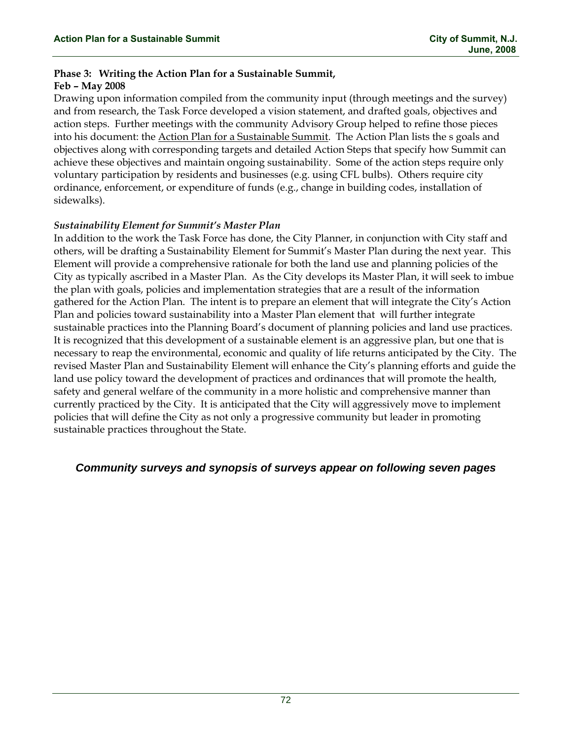## **Phase 3: Writing the Action Plan for a Sustainable Summit,**

#### **Feb – May 2008**

Drawing upon information compiled from the community input (through meetings and the survey) and from research, the Task Force developed a vision statement, and drafted goals, objectives and action steps. Further meetings with the community Advisory Group helped to refine those pieces into his document: the Action Plan for a Sustainable Summit. The Action Plan lists the s goals and objectives along with corresponding targets and detailed Action Steps that specify how Summit can achieve these objectives and maintain ongoing sustainability. Some of the action steps require only voluntary participation by residents and businesses (e.g. using CFL bulbs). Others require city ordinance, enforcement, or expenditure of funds (e.g., change in building codes, installation of sidewalks).

#### *Sustainability Element for Summit's Master Plan*

In addition to the work the Task Force has done, the City Planner, in conjunction with City staff and others, will be drafting a Sustainability Element for Summit's Master Plan during the next year. This Element will provide a comprehensive rationale for both the land use and planning policies of the City as typically ascribed in a Master Plan. As the City develops its Master Plan, it will seek to imbue the plan with goals, policies and implementation strategies that are a result of the information gathered for the Action Plan. The intent is to prepare an element that will integrate the City's Action Plan and policies toward sustainability into a Master Plan element that will further integrate sustainable practices into the Planning Board's document of planning policies and land use practices. It is recognized that this development of a sustainable element is an aggressive plan, but one that is necessary to reap the environmental, economic and quality of life returns anticipated by the City. The revised Master Plan and Sustainability Element will enhance the City's planning efforts and guide the land use policy toward the development of practices and ordinances that will promote the health, safety and general welfare of the community in a more holistic and comprehensive manner than currently practiced by the City. It is anticipated that the City will aggressively move to implement policies that will define the City as not only a progressive community but leader in promoting sustainable practices throughout the State.

## *Community surveys and synopsis of surveys appear on following seven pages*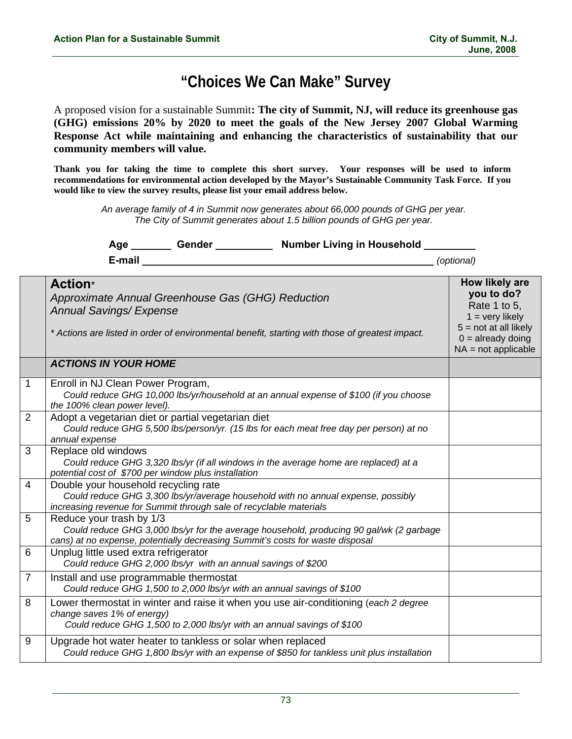# **"Choices We Can Make" Survey**

A proposed vision for a sustainable Summit**: The city of Summit, NJ, will reduce its greenhouse gas (GHG) emissions 20% by 2020 to meet the goals of the New Jersey 2007 Global Warming Response Act while maintaining and enhancing the characteristics of sustainability that our community members will value.** 

**Thank you for taking the time to complete this short survey. Your responses will be used to inform recommendations for environmental action developed by the Mayor's Sustainable Community Task Force. If you would like to view the survey results, please list your email address below.** 

> *An average family of 4 in Summit now generates about 66,000 pounds of GHG per year. The City of Summit generates about 1.5 billion pounds of GHG per year.*

| αe | Gender |
|----|--------|

**Age \_\_\_\_\_\_\_ Gender \_\_\_\_\_\_\_\_\_\_ Number Living in Household \_\_\_\_\_\_\_\_\_** 

|                | $\mathbf{A}$ $\mathbf{y}$ $\mathbf{c}$ and $\mathbf{c}$ and $\mathbf{c}$ is the set of $\mathbf{c}$ is the set of $\mathbf{a}$                                                                           |                                                                                                                                                     |
|----------------|----------------------------------------------------------------------------------------------------------------------------------------------------------------------------------------------------------|-----------------------------------------------------------------------------------------------------------------------------------------------------|
|                | <b>E-mail E-mail</b>                                                                                                                                                                                     | (optional)                                                                                                                                          |
|                | <b>Action*</b><br>Approximate Annual Greenhouse Gas (GHG) Reduction<br><b>Annual Savings/ Expense</b><br>* Actions are listed in order of environmental benefit, starting with those of greatest impact. | How likely are<br>you to do?<br>Rate 1 to 5,<br>$1 = \text{very likely}$<br>$5 = not at all likely$<br>$0 =$ already doing<br>$NA = not applicable$ |
|                | <b>ACTIONS IN YOUR HOME</b>                                                                                                                                                                              |                                                                                                                                                     |
| 1              | Enroll in NJ Clean Power Program,<br>Could reduce GHG 10,000 lbs/yr/household at an annual expense of \$100 (if you choose<br>the 100% clean power level).                                               |                                                                                                                                                     |
| $\overline{2}$ | Adopt a vegetarian diet or partial vegetarian diet<br>Could reduce GHG 5,500 lbs/person/yr. (15 lbs for each meat free day per person) at no<br>annual expense                                           |                                                                                                                                                     |
| 3              | Replace old windows<br>Could reduce GHG 3,320 lbs/yr (if all windows in the average home are replaced) at a<br>potential cost of \$700 per window plus installation                                      |                                                                                                                                                     |
| 4              | Double your household recycling rate<br>Could reduce GHG 3,300 lbs/yr/average household with no annual expense, possibly<br>increasing revenue for Summit through sale of recyclable materials           |                                                                                                                                                     |
| 5              | Reduce your trash by 1/3<br>Could reduce GHG 3,000 lbs/yr for the average household, producing 90 gal/wk (2 garbage<br>cans) at no expense, potentially decreasing Summit's costs for waste disposal     |                                                                                                                                                     |
| $\overline{6}$ | Unplug little used extra refrigerator<br>Could reduce GHG 2,000 lbs/yr with an annual savings of \$200                                                                                                   |                                                                                                                                                     |
| $\overline{7}$ | Install and use programmable thermostat<br>Could reduce GHG 1,500 to 2,000 lbs/yr with an annual savings of \$100                                                                                        |                                                                                                                                                     |
| 8              | Lower thermostat in winter and raise it when you use air-conditioning (each 2 degree<br>change saves 1% of energy)                                                                                       |                                                                                                                                                     |

 *Could reduce GHG 1,500 to 2,000 lbs/yr with an annual savings of \$100*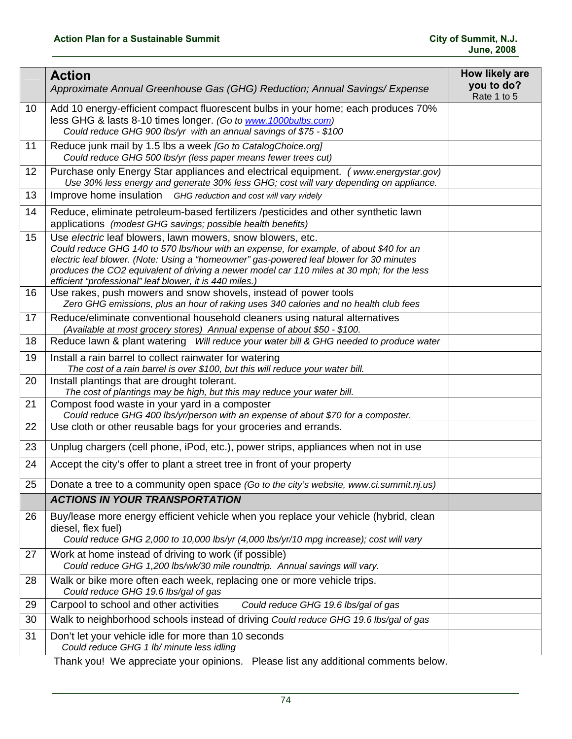|    | <b>Action</b><br>Approximate Annual Greenhouse Gas (GHG) Reduction; Annual Savings/ Expense                                                                                                                                                                                                                                                                                                               | How likely are<br>you to do?<br>Rate 1 to 5 |
|----|-----------------------------------------------------------------------------------------------------------------------------------------------------------------------------------------------------------------------------------------------------------------------------------------------------------------------------------------------------------------------------------------------------------|---------------------------------------------|
| 10 | Add 10 energy-efficient compact fluorescent bulbs in your home; each produces 70%<br>less GHG & lasts 8-10 times longer. (Go to www.1000bulbs.com)<br>Could reduce GHG 900 lbs/yr with an annual savings of \$75 - \$100                                                                                                                                                                                  |                                             |
| 11 | Reduce junk mail by 1.5 lbs a week [Go to CatalogChoice.org]<br>Could reduce GHG 500 lbs/yr (less paper means fewer trees cut)                                                                                                                                                                                                                                                                            |                                             |
| 12 | Purchase only Energy Star appliances and electrical equipment. (www.energystar.gov)<br>Use 30% less energy and generate 30% less GHG; cost will vary depending on appliance.                                                                                                                                                                                                                              |                                             |
| 13 | Improve home insulation GHG reduction and cost will vary widely                                                                                                                                                                                                                                                                                                                                           |                                             |
| 14 | Reduce, eliminate petroleum-based fertilizers /pesticides and other synthetic lawn<br>applications (modest GHG savings; possible health benefits)                                                                                                                                                                                                                                                         |                                             |
| 15 | Use electric leaf blowers, lawn mowers, snow blowers, etc.<br>Could reduce GHG 140 to 570 lbs/hour with an expense, for example, of about \$40 for an<br>electric leaf blower. (Note: Using a "homeowner" gas-powered leaf blower for 30 minutes<br>produces the CO2 equivalent of driving a newer model car 110 miles at 30 mph; for the less<br>efficient "professional" leaf blower, it is 440 miles.) |                                             |
| 16 | Use rakes, push mowers and snow shovels, instead of power tools<br>Zero GHG emissions, plus an hour of raking uses 340 calories and no health club fees                                                                                                                                                                                                                                                   |                                             |
| 17 | Reduce/eliminate conventional household cleaners using natural alternatives<br>(Available at most grocery stores) Annual expense of about \$50 - \$100.                                                                                                                                                                                                                                                   |                                             |
| 18 | Reduce lawn & plant watering  Will reduce your water bill & GHG needed to produce water                                                                                                                                                                                                                                                                                                                   |                                             |
| 19 | Install a rain barrel to collect rainwater for watering<br>The cost of a rain barrel is over \$100, but this will reduce your water bill.                                                                                                                                                                                                                                                                 |                                             |
| 20 | Install plantings that are drought tolerant.<br>The cost of plantings may be high, but this may reduce your water bill.                                                                                                                                                                                                                                                                                   |                                             |
| 21 | Compost food waste in your yard in a composter<br>Could reduce GHG 400 lbs/yr/person with an expense of about \$70 for a composter.                                                                                                                                                                                                                                                                       |                                             |
| 22 | Use cloth or other reusable bags for your groceries and errands.                                                                                                                                                                                                                                                                                                                                          |                                             |
| 23 | Unplug chargers (cell phone, iPod, etc.), power strips, appliances when not in use                                                                                                                                                                                                                                                                                                                        |                                             |
| 24 | Accept the city's offer to plant a street tree in front of your property                                                                                                                                                                                                                                                                                                                                  |                                             |
| 25 | Donate a tree to a community open space (Go to the city's website, www.ci.summit.nj.us)                                                                                                                                                                                                                                                                                                                   |                                             |
|    | <b>ACTIONS IN YOUR TRANSPORTATION</b>                                                                                                                                                                                                                                                                                                                                                                     |                                             |
| 26 | Buy/lease more energy efficient vehicle when you replace your vehicle (hybrid, clean<br>diesel, flex fuel)<br>Could reduce GHG 2,000 to 10,000 lbs/yr (4,000 lbs/yr/10 mpg increase); cost will vary                                                                                                                                                                                                      |                                             |
| 27 | Work at home instead of driving to work (if possible)<br>Could reduce GHG 1,200 lbs/wk/30 mile roundtrip. Annual savings will vary.                                                                                                                                                                                                                                                                       |                                             |
| 28 | Walk or bike more often each week, replacing one or more vehicle trips.<br>Could reduce GHG 19.6 lbs/gal of gas                                                                                                                                                                                                                                                                                           |                                             |
| 29 | Carpool to school and other activities<br>Could reduce GHG 19.6 lbs/gal of gas                                                                                                                                                                                                                                                                                                                            |                                             |
| 30 | Walk to neighborhood schools instead of driving Could reduce GHG 19.6 lbs/gal of gas                                                                                                                                                                                                                                                                                                                      |                                             |
| 31 | Don't let your vehicle idle for more than 10 seconds<br>Could reduce GHG 1 lb/ minute less idling                                                                                                                                                                                                                                                                                                         |                                             |

Thank you! We appreciate your opinions. Please list any additional comments below.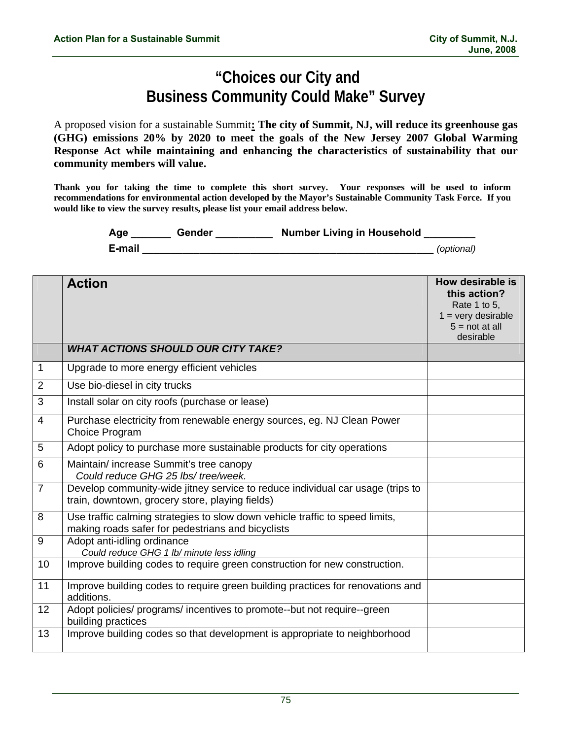# **"Choices our City and Business Community Could Make" Survey**

A proposed vision for a sustainable Summit**: The city of Summit, NJ, will reduce its greenhouse gas (GHG) emissions 20% by 2020 to meet the goals of the New Jersey 2007 Global Warming Response Act while maintaining and enhancing the characteristics of sustainability that our community members will value.** 

**Thank you for taking the time to complete this short survey. Your responses will be used to inform recommendations for environmental action developed by the Mayor's Sustainable Community Task Force. If you would like to view the survey results, please list your email address below.** 

| Age    | Gender | <b>Number Living in Household</b> |            |
|--------|--------|-----------------------------------|------------|
| E-mail |        |                                   | (optional) |

|                | <b>Action</b>                                                                                                                     | How desirable is<br>this action?<br>Rate 1 to 5,<br>$1 = \text{very desirable}$<br>$5 = not at all$<br>desirable |
|----------------|-----------------------------------------------------------------------------------------------------------------------------------|------------------------------------------------------------------------------------------------------------------|
|                | <b>WHAT ACTIONS SHOULD OUR CITY TAKE?</b>                                                                                         |                                                                                                                  |
| $\mathbf{1}$   | Upgrade to more energy efficient vehicles                                                                                         |                                                                                                                  |
| $\overline{2}$ | Use bio-diesel in city trucks                                                                                                     |                                                                                                                  |
| 3              | Install solar on city roofs (purchase or lease)                                                                                   |                                                                                                                  |
| 4              | Purchase electricity from renewable energy sources, eg. NJ Clean Power<br>Choice Program                                          |                                                                                                                  |
| 5              | Adopt policy to purchase more sustainable products for city operations                                                            |                                                                                                                  |
| 6              | Maintain/ increase Summit's tree canopy<br>Could reduce GHG 25 lbs/ tree/week.                                                    |                                                                                                                  |
| $\overline{7}$ | Develop community-wide jitney service to reduce individual car usage (trips to<br>train, downtown, grocery store, playing fields) |                                                                                                                  |
| 8              | Use traffic calming strategies to slow down vehicle traffic to speed limits,<br>making roads safer for pedestrians and bicyclists |                                                                                                                  |
| 9              | Adopt anti-idling ordinance<br>Could reduce GHG 1 lb/ minute less idling                                                          |                                                                                                                  |
| 10             | Improve building codes to require green construction for new construction.                                                        |                                                                                                                  |
| 11             | Improve building codes to require green building practices for renovations and<br>additions.                                      |                                                                                                                  |
| 12             | Adopt policies/ programs/ incentives to promote--but not require--green<br>building practices                                     |                                                                                                                  |
| 13             | Improve building codes so that development is appropriate to neighborhood                                                         |                                                                                                                  |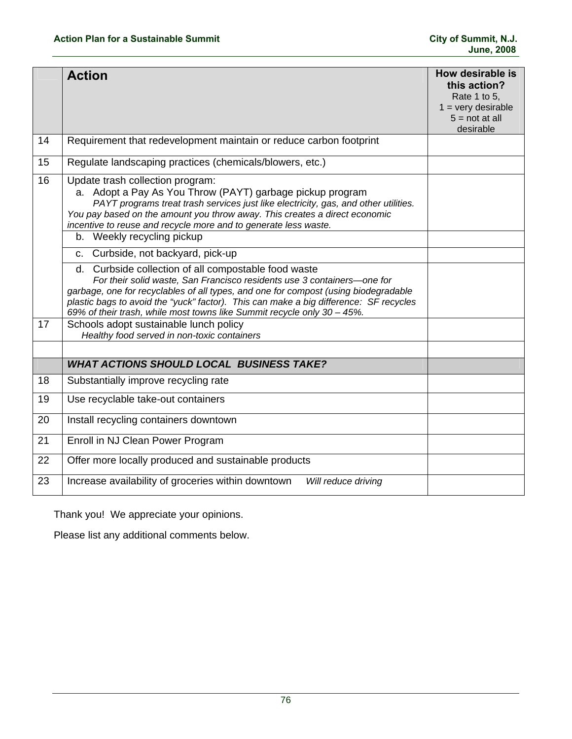|    | <b>Action</b>                                                                                                                                                                                                                                                                                                                                                                              | How desirable is<br>this action?<br>Rate 1 to 5.<br>$1 = \text{very desirable}$<br>$5 = not at all$<br>desirable |
|----|--------------------------------------------------------------------------------------------------------------------------------------------------------------------------------------------------------------------------------------------------------------------------------------------------------------------------------------------------------------------------------------------|------------------------------------------------------------------------------------------------------------------|
| 14 | Requirement that redevelopment maintain or reduce carbon footprint                                                                                                                                                                                                                                                                                                                         |                                                                                                                  |
| 15 | Regulate landscaping practices (chemicals/blowers, etc.)                                                                                                                                                                                                                                                                                                                                   |                                                                                                                  |
| 16 | Update trash collection program:<br>a. Adopt a Pay As You Throw (PAYT) garbage pickup program<br>PAYT programs treat trash services just like electricity, gas, and other utilities.<br>You pay based on the amount you throw away. This creates a direct economic<br>incentive to reuse and recycle more and to generate less waste.                                                      |                                                                                                                  |
|    | b. Weekly recycling pickup                                                                                                                                                                                                                                                                                                                                                                 |                                                                                                                  |
|    | c. Curbside, not backyard, pick-up                                                                                                                                                                                                                                                                                                                                                         |                                                                                                                  |
|    | d. Curbside collection of all compostable food waste<br>For their solid waste, San Francisco residents use 3 containers-one for<br>garbage, one for recyclables of all types, and one for compost (using biodegradable<br>plastic bags to avoid the "yuck" factor). This can make a big difference: SF recycles<br>69% of their trash, while most towns like Summit recycle only 30 - 45%. |                                                                                                                  |
| 17 | Schools adopt sustainable lunch policy<br>Healthy food served in non-toxic containers                                                                                                                                                                                                                                                                                                      |                                                                                                                  |
|    |                                                                                                                                                                                                                                                                                                                                                                                            |                                                                                                                  |
|    | <b>WHAT ACTIONS SHOULD LOCAL BUSINESS TAKE?</b>                                                                                                                                                                                                                                                                                                                                            |                                                                                                                  |
| 18 | Substantially improve recycling rate                                                                                                                                                                                                                                                                                                                                                       |                                                                                                                  |
| 19 | Use recyclable take-out containers                                                                                                                                                                                                                                                                                                                                                         |                                                                                                                  |
| 20 | Install recycling containers downtown                                                                                                                                                                                                                                                                                                                                                      |                                                                                                                  |
| 21 | Enroll in NJ Clean Power Program                                                                                                                                                                                                                                                                                                                                                           |                                                                                                                  |
| 22 | Offer more locally produced and sustainable products                                                                                                                                                                                                                                                                                                                                       |                                                                                                                  |
| 23 | Increase availability of groceries within downtown<br>Will reduce driving                                                                                                                                                                                                                                                                                                                  |                                                                                                                  |

Thank you! We appreciate your opinions.

Please list any additional comments below.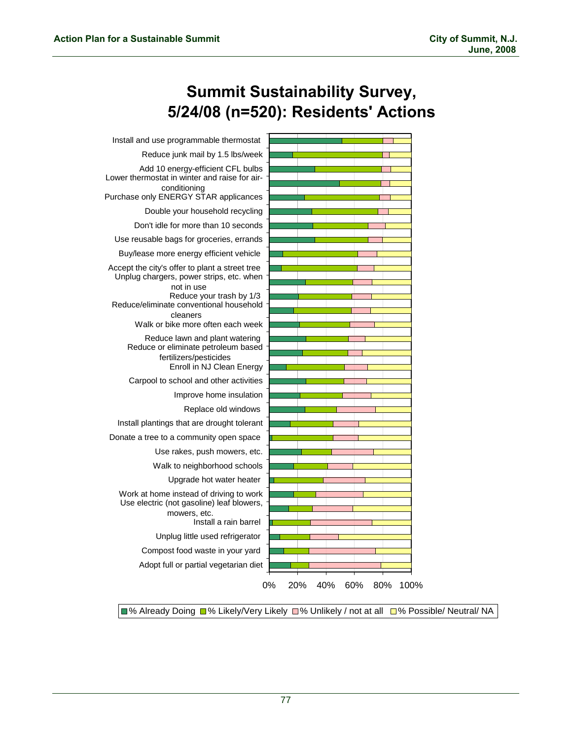# **Summit Sustainability Survey, 5/24/08 (n=520): Residents' Actions**



■% Already Doing ■% Likely/Very Likely ■% Unlikely / not at all ■% Possible/ Neutral/ NA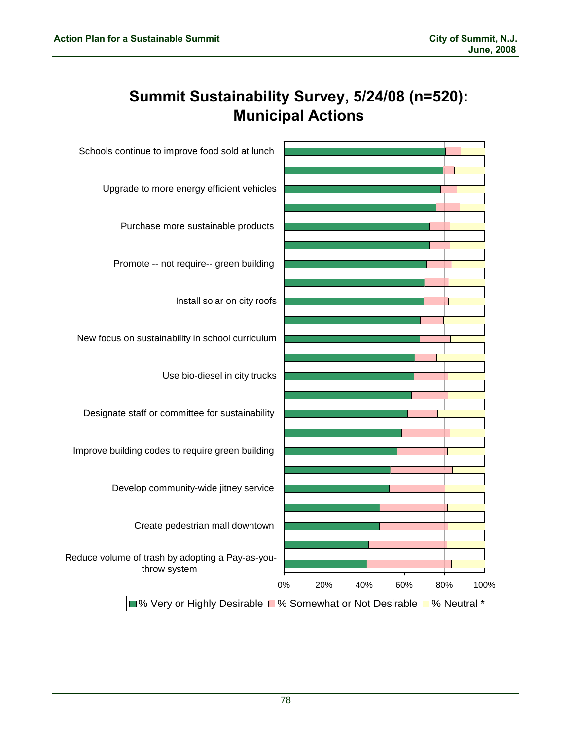# **Summit Sustainability Survey, 5/24/08 (n=520): Municipal Actions**

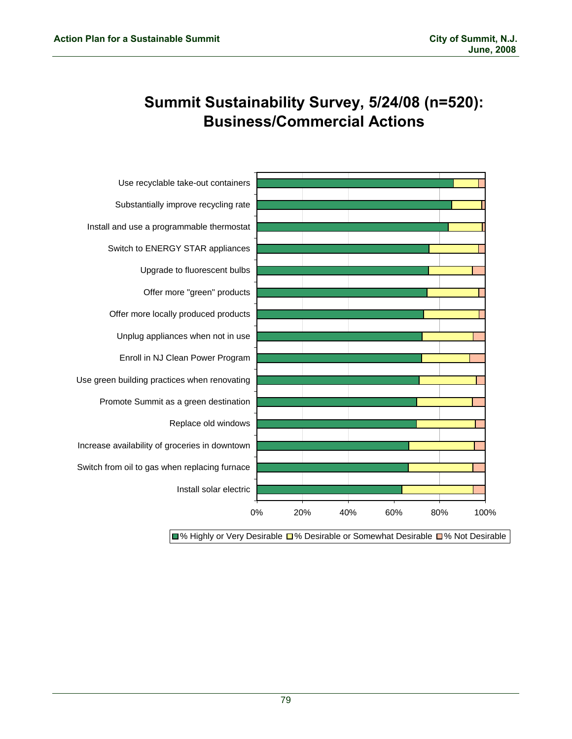# **Summit Sustainability Survey, 5/24/08 (n=520): Business/Commercial Actions**



■% Highly or Very Desirable ■% Desirable or Somewhat Desirable ■% Not Desirable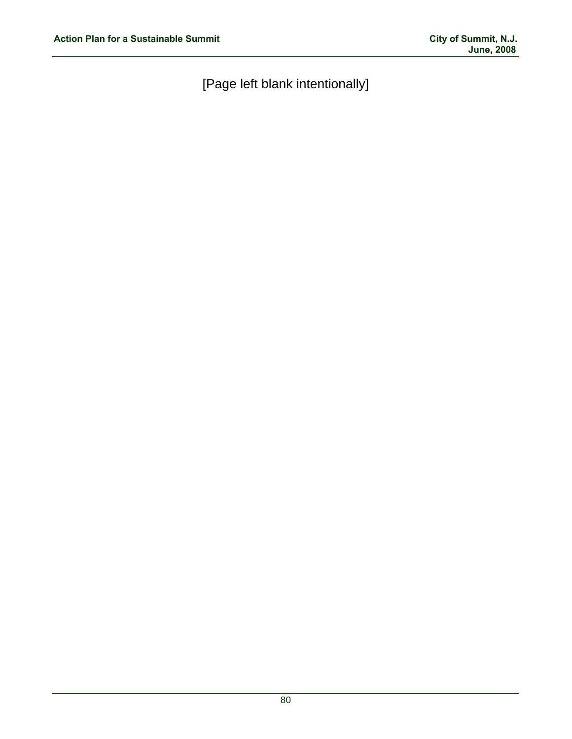[Page left blank intentionally]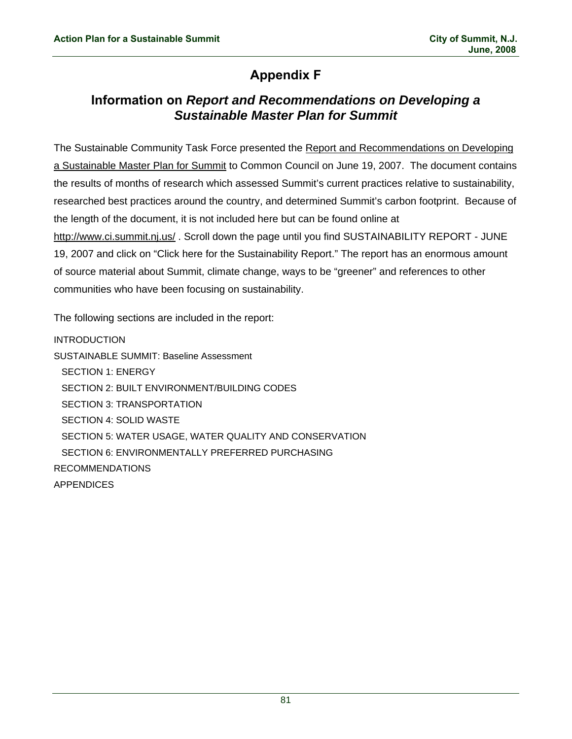# **Appendix F**

# **Information on** *Report and Recommendations on Developing a Sustainable Master Plan for Summit*

The Sustainable Community Task Force presented the Report and Recommendations on Developing a Sustainable Master Plan for Summit to Common Council on June 19, 2007. The document contains the results of months of research which assessed Summit's current practices relative to sustainability, researched best practices around the country, and determined Summit's carbon footprint. Because of the length of the document, it is not included here but can be found online at http://www.ci.summit.nj.us/ . Scroll down the page until you find SUSTAINABILITY REPORT - JUNE 19, 2007 and click on "Click here for the Sustainability Report." The report has an enormous amount of source material about Summit, climate change, ways to be "greener" and references to other communities who have been focusing on sustainability.

The following sections are included in the report:

#### INTRODUCTION

SUSTAINABLE SUMMIT: Baseline Assessment SECTION 1: ENERGY SECTION 2: BUILT ENVIRONMENT/BUILDING CODES SECTION 3: TRANSPORTATION SECTION 4: SOLID WASTE SECTION 5: WATER USAGE, WATER QUALITY AND CONSERVATION SECTION 6: ENVIRONMENTALLY PREFERRED PURCHASING RECOMMENDATIONS **APPENDICES**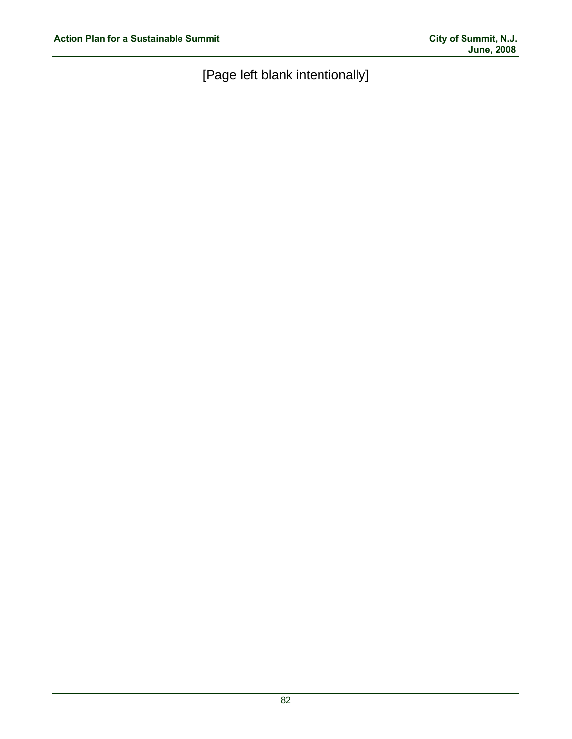[Page left blank intentionally]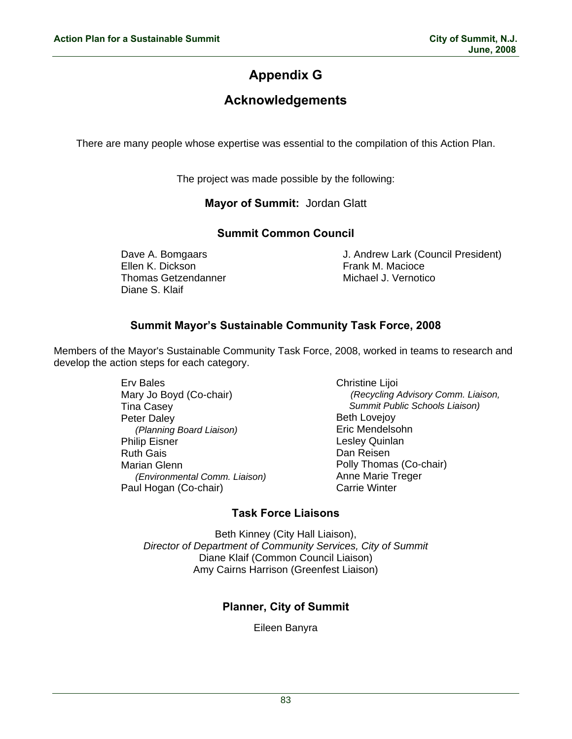# **Appendix G**

# **Acknowledgements**

There are many people whose expertise was essential to the compilation of this Action Plan.

The project was made possible by the following:

**Mayor of Summit:** Jordan Glatt

## **Summit Common Council**

Dave A. Bomgaars Ellen K. Dickson Thomas Getzendanner Diane S. Klaif

J. Andrew Lark (Council President) Frank M. Macioce Michael J. Vernotico

## **Summit Mayor's Sustainable Community Task Force, 2008**

Members of the Mayor's Sustainable Community Task Force, 2008, worked in teams to research and develop the action steps for each category.

> Erv Bales Mary Jo Boyd (Co-chair) Tina Casey Peter Daley *(Planning Board Liaison)*  Philip Eisner Ruth Gais Marian Glenn *(Environmental Comm. Liaison)*  Paul Hogan (Co-chair)

Christine Lijoi *(Recycling Advisory Comm. Liaison, Summit Public Schools Liaison)*  Beth Lovejoy Eric Mendelsohn Lesley Quinlan Dan Reisen Polly Thomas (Co-chair) Anne Marie Treger Carrie Winter

## **Task Force Liaisons**

Beth Kinney (City Hall Liaison), *Director of Department of Community Services, City of Summit*  Diane Klaif (Common Council Liaison) Amy Cairns Harrison (Greenfest Liaison)

## **Planner, City of Summit**

Eileen Banyra